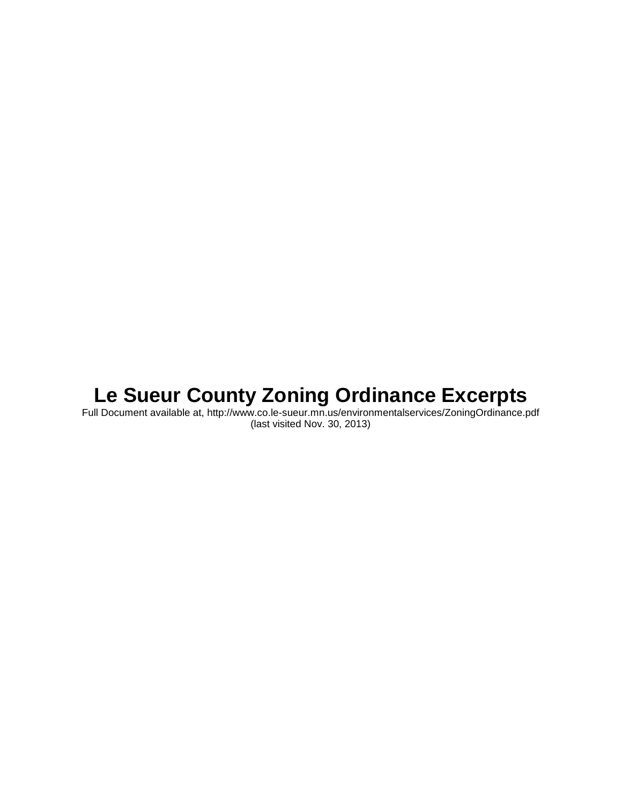# **Le Sueur County Zoning Ordinance Excerpts**

Full Document available at, http://www.co.le-sueur.mn.us/environmentalservices/ZoningOrdinance.pdf (last visited Nov. 30, 2013)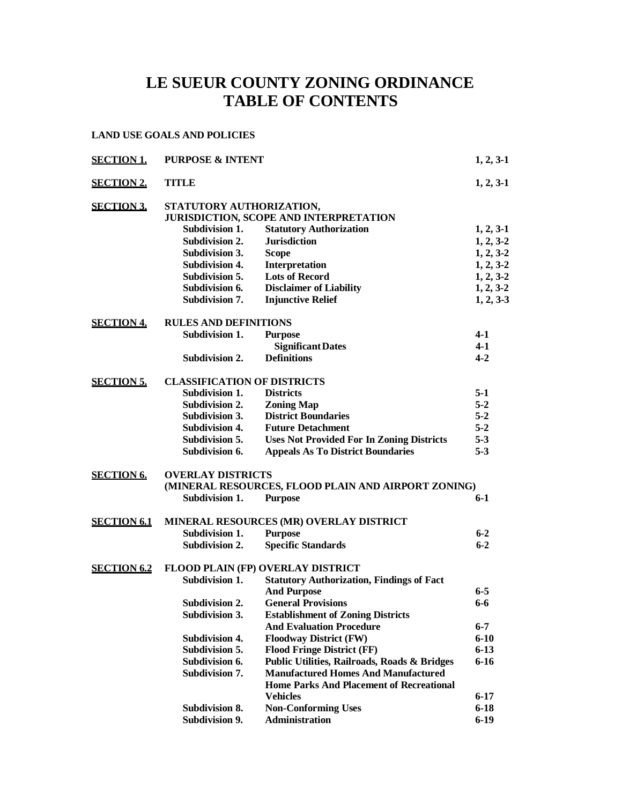# **LE SUEUR COUNTY ZONING ORDINANCE TABLE OF CONTENTS**

#### **LAND USE GOALS AND POLICIES**

| <b>SECTION 1.</b>  | <b>PURPOSE &amp; INTENT</b>        |                                                                                               | $1, 2, 3-1$ |  |
|--------------------|------------------------------------|-----------------------------------------------------------------------------------------------|-------------|--|
| <b>SECTION 2.</b>  | <b>TITLE</b>                       |                                                                                               | $1, 2, 3-1$ |  |
| <b>SECTION 3.</b>  | STATUTORY AUTHORIZATION,           |                                                                                               |             |  |
|                    |                                    | JURISDICTION, SCOPE AND INTERPRETATION                                                        |             |  |
|                    | Subdivision 1.                     | <b>Statutory Authorization</b>                                                                | $1, 2, 3-1$ |  |
|                    | Subdivision 2.                     | <b>Jurisdiction</b>                                                                           | $1, 2, 3-2$ |  |
|                    | Subdivision 3.                     | <b>Scope</b>                                                                                  | $1, 2, 3-2$ |  |
|                    | <b>Subdivision 4.</b>              | Interpretation                                                                                | $1, 2, 3-2$ |  |
|                    | Subdivision 5.                     | <b>Lots of Record</b>                                                                         | $1, 2, 3-2$ |  |
|                    | Subdivision 6.                     | <b>Disclaimer of Liability</b>                                                                | $1, 2, 3-2$ |  |
|                    | <b>Subdivision 7.</b>              | <b>Injunctive Relief</b>                                                                      | $1, 2, 3-3$ |  |
| <b>SECTION 4.</b>  | <b>RULES AND DEFINITIONS</b>       |                                                                                               |             |  |
|                    | Subdivision 1.                     | <b>Purpose</b>                                                                                | 4-1         |  |
|                    |                                    | <b>Significant Dates</b>                                                                      | $4 - 1$     |  |
|                    | Subdivision 2.                     | <b>Definitions</b>                                                                            | $4 - 2$     |  |
| <b>SECTION 5.</b>  | <b>CLASSIFICATION OF DISTRICTS</b> |                                                                                               |             |  |
|                    | <b>Subdivision 1.</b>              | <b>Districts</b>                                                                              | $5-1$       |  |
|                    | Subdivision 2.                     | <b>Zoning Map</b>                                                                             | $5-2$       |  |
|                    | Subdivision 3.                     | <b>District Boundaries</b>                                                                    | $5 - 2$     |  |
|                    | <b>Subdivision 4.</b>              | <b>Future Detachment</b>                                                                      | $5 - 2$     |  |
|                    | Subdivision 5.                     | <b>Uses Not Provided For In Zoning Districts</b>                                              | $5 - 3$     |  |
|                    | Subdivision 6.                     | <b>Appeals As To District Boundaries</b>                                                      | $5 - 3$     |  |
| <b>SECTION 6.</b>  | <b>OVERLAY DISTRICTS</b>           |                                                                                               |             |  |
|                    |                                    | (MINERAL RESOURCES, FLOOD PLAIN AND AIRPORT ZONING)                                           |             |  |
|                    | Subdivision 1.                     | <b>Purpose</b>                                                                                | $6-1$       |  |
| <b>SECTION 6.1</b> |                                    | MINERAL RESOURCES (MR) OVERLAY DISTRICT                                                       |             |  |
|                    | Subdivision 1.                     | <b>Purpose</b>                                                                                | $6 - 2$     |  |
|                    | Subdivision 2.                     | <b>Specific Standards</b>                                                                     | $6 - 2$     |  |
| <b>SECTION 6.2</b> |                                    | FLOOD PLAIN (FP) OVERLAY DISTRICT                                                             |             |  |
|                    | Subdivision 1.                     | <b>Statutory Authorization, Findings of Fact</b>                                              |             |  |
|                    |                                    | <b>And Purpose</b>                                                                            | $6 - 5$     |  |
|                    | Subdivision 2.                     | <b>General Provisions</b>                                                                     | $6 - 6$     |  |
|                    | Subdivision 3.                     | <b>Establishment of Zoning Districts</b>                                                      |             |  |
|                    |                                    | <b>And Evaluation Procedure</b>                                                               | $6 - 7$     |  |
|                    | <b>Subdivision 4.</b>              | <b>Floodway District (FW)</b>                                                                 | $6 - 10$    |  |
|                    | Subdivision 5.                     | <b>Flood Fringe District (FF)</b>                                                             | $6 - 13$    |  |
|                    | Subdivision 6.                     | Public Utilities, Railroads, Roads & Bridges                                                  | $6 - 16$    |  |
|                    | Subdivision 7.                     | <b>Manufactured Homes And Manufactured</b><br><b>Home Parks And Placement of Recreational</b> |             |  |
|                    |                                    | <b>Vehicles</b>                                                                               | $6 - 17$    |  |
|                    | Subdivision 8.                     | <b>Non-Conforming Uses</b>                                                                    | $6 - 18$    |  |
|                    | Subdivision 9.                     | <b>Administration</b>                                                                         | $6-19$      |  |
|                    |                                    |                                                                                               |             |  |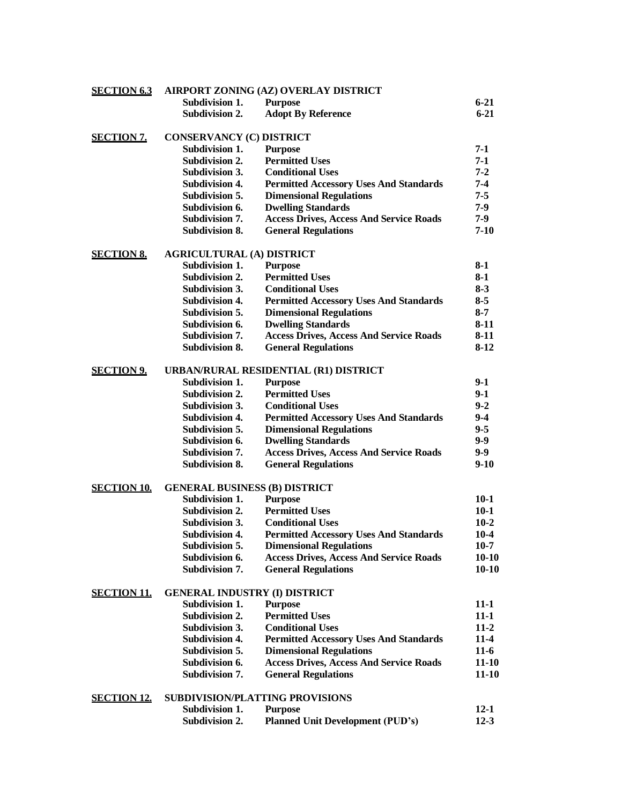| <b>SECTION 6.3</b> |                                      | AIRPORT ZONING (AZ) OVERLAY DISTRICT           |           |
|--------------------|--------------------------------------|------------------------------------------------|-----------|
|                    | Subdivision 1.                       | <b>Purpose</b>                                 | $6 - 21$  |
|                    | Subdivision 2.                       | <b>Adopt By Reference</b>                      | $6 - 21$  |
| <u>SECTION 7.</u>  | <b>CONSERVANCY (C) DISTRICT</b>      |                                                |           |
|                    | Subdivision 1.                       | <b>Purpose</b>                                 | $7-1$     |
|                    | <b>Subdivision 2.</b>                | <b>Permitted Uses</b>                          | $7-1$     |
|                    | Subdivision 3.                       | <b>Conditional Uses</b>                        | $7 - 2$   |
|                    | <b>Subdivision 4.</b>                | <b>Permitted Accessory Uses And Standards</b>  | $7 - 4$   |
|                    | Subdivision 5.                       | <b>Dimensional Regulations</b>                 | $7 - 5$   |
|                    | Subdivision 6.                       | <b>Dwelling Standards</b>                      | $7-9$     |
|                    | Subdivision 7.                       | <b>Access Drives, Access And Service Roads</b> | $7 - 9$   |
|                    | <b>Subdivision 8.</b>                | <b>General Regulations</b>                     | $7-10$    |
| <b>SECTION 8.</b>  | <b>AGRICULTURAL (A) DISTRICT</b>     |                                                |           |
|                    | Subdivision 1.                       | <b>Purpose</b>                                 | $8-1$     |
|                    | Subdivision 2.                       | <b>Permitted Uses</b>                          | $8-1$     |
|                    | Subdivision 3.                       | <b>Conditional Uses</b>                        | $8 - 3$   |
|                    | <b>Subdivision 4.</b>                | <b>Permitted Accessory Uses And Standards</b>  | $8 - 5$   |
|                    | Subdivision 5.                       | <b>Dimensional Regulations</b>                 | $8 - 7$   |
|                    | Subdivision 6.                       | <b>Dwelling Standards</b>                      | $8-11$    |
|                    | Subdivision 7.                       | <b>Access Drives, Access And Service Roads</b> | $8-11$    |
|                    | <b>Subdivision 8.</b>                | <b>General Regulations</b>                     | $8-12$    |
| <b>SECTION 9.</b>  |                                      | URBAN/RURAL RESIDENTIAL (R1) DISTRICT          |           |
|                    | Subdivision 1.                       | <b>Purpose</b>                                 | $9-1$     |
|                    | Subdivision 2.                       | <b>Permitted Uses</b>                          | $9-1$     |
|                    | Subdivision 3.                       | <b>Conditional Uses</b>                        | $9 - 2$   |
|                    | <b>Subdivision 4.</b>                | <b>Permitted Accessory Uses And Standards</b>  | $9 - 4$   |
|                    | Subdivision 5.                       | <b>Dimensional Regulations</b>                 | $9 - 5$   |
|                    | Subdivision 6.                       | <b>Dwelling Standards</b>                      | $9 - 9$   |
|                    | <b>Subdivision 7.</b>                | <b>Access Drives, Access And Service Roads</b> | $9-9$     |
|                    | Subdivision 8.                       | <b>General Regulations</b>                     | $9-10$    |
| <b>SECTION 10.</b> | <b>GENERAL BUSINESS (B) DISTRICT</b> |                                                |           |
|                    | Subdivision 1.                       | <b>Purpose</b>                                 | $10-1$    |
|                    | Subdivision 2.                       | <b>Permitted Uses</b>                          | $10-1$    |
|                    | Subdivision 3.                       | <b>Conditional Uses</b>                        | $10-2$    |
|                    | Subdivision 4.                       | <b>Permitted Accessory Uses And Standards</b>  | 10-4      |
|                    | Subdivision 5.                       | <b>Dimensional Regulations</b>                 | $10-7$    |
|                    | Subdivision 6.                       | <b>Access Drives, Access And Service Roads</b> | $10 - 10$ |
|                    | Subdivision 7.                       | <b>General Regulations</b>                     | $10-10$   |
| <u>SECTION 11.</u> | <b>GENERAL INDUSTRY (I) DISTRICT</b> |                                                |           |
|                    | Subdivision 1.                       | <b>Purpose</b>                                 | $11 - 1$  |
|                    | <b>Subdivision 2.</b>                | <b>Permitted Uses</b>                          | $11-1$    |
|                    | Subdivision 3.                       | <b>Conditional Uses</b>                        | $11-2$    |
|                    | <b>Subdivision 4.</b>                | <b>Permitted Accessory Uses And Standards</b>  | $11-4$    |
|                    | Subdivision 5.                       | <b>Dimensional Regulations</b>                 | $11-6$    |
|                    | Subdivision 6.                       | <b>Access Drives, Access And Service Roads</b> | $11 - 10$ |
|                    | Subdivision 7.                       | <b>General Regulations</b>                     | $11 - 10$ |
| <b>SECTION 12.</b> |                                      | <b>SUBDIVISION/PLATTING PROVISIONS</b>         |           |
|                    | Subdivision 1.                       | <b>Purpose</b>                                 | $12 - 1$  |
|                    | Subdivision 2.                       | <b>Planned Unit Development (PUD's)</b>        | $12 - 3$  |
|                    |                                      |                                                |           |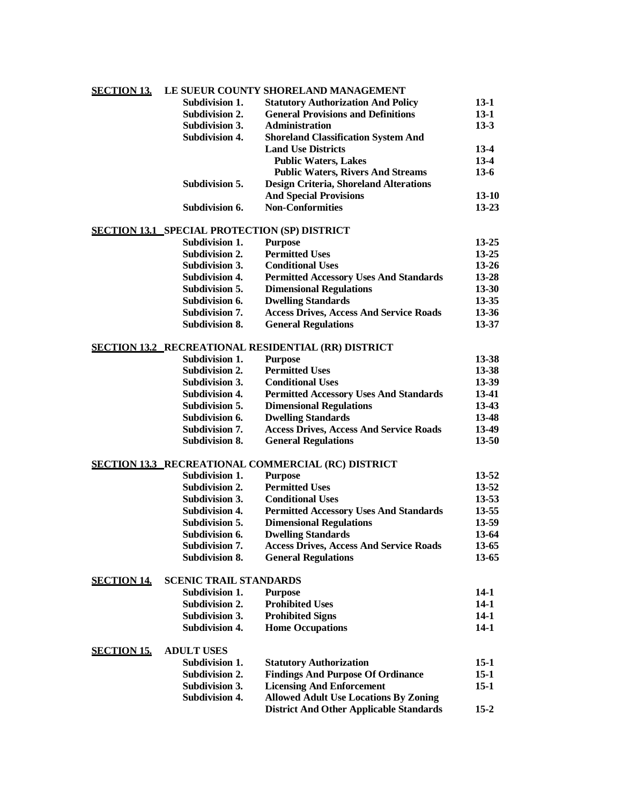| <b>SECTION 13.</b> |                | LE SUEUR COUNTY SHORELAND MANAGEMENT          |        |
|--------------------|----------------|-----------------------------------------------|--------|
|                    | Subdivision 1. | <b>Statutory Authorization And Policy</b>     | 13-1   |
|                    | Subdivision 2. | <b>General Provisions and Definitions</b>     | $13-1$ |
|                    | Subdivision 3. | <b>Administration</b>                         | $13-3$ |
|                    | Subdivision 4. | <b>Shoreland Classification System And</b>    |        |
|                    |                | <b>Land Use Districts</b>                     | $13-4$ |
|                    |                | <b>Public Waters, Lakes</b>                   | $13-4$ |
|                    |                | <b>Public Waters, Rivers And Streams</b>      | $13-6$ |
|                    | Subdivision 5. | <b>Design Criteria, Shoreland Alterations</b> |        |
|                    |                | <b>And Special Provisions</b>                 | 13-10  |
|                    | Subdivision 6. | <b>Non-Conformities</b>                       | 13-23  |
|                    |                |                                               |        |

#### **SECTION 13.1 SPECIAL PROTECTION (SP) DISTRICT**

| Subdivision 1.        | <b>Purpose</b>                                 | $13 - 25$ |
|-----------------------|------------------------------------------------|-----------|
| Subdivision 2.        | <b>Permitted Uses</b>                          | $13 - 25$ |
| Subdivision 3.        | <b>Conditional Uses</b>                        | $13 - 26$ |
| Subdivision 4.        | <b>Permitted Accessory Uses And Standards</b>  | $13 - 28$ |
| Subdivision 5.        | <b>Dimensional Regulations</b>                 | $13 - 30$ |
| Subdivision 6.        | <b>Dwelling Standards</b>                      | $13 - 35$ |
| Subdivision 7.        | <b>Access Drives, Access And Service Roads</b> | $13 - 36$ |
| <b>Subdivision 8.</b> | <b>General Regulations</b>                     | 13-37     |
|                       |                                                |           |

| <b>SECTION 13.2_RECREATIONAL RESIDENTIAL (RR) DISTRICT</b> |                                                |       |
|------------------------------------------------------------|------------------------------------------------|-------|
| Subdivision 1.                                             | <b>Purpose</b>                                 | 13-38 |
| Subdivision 2.                                             | <b>Permitted Uses</b>                          | 13-38 |
| Subdivision 3.                                             | <b>Conditional Uses</b>                        | 13-39 |
| <b>Subdivision 4.</b>                                      | <b>Permitted Accessory Uses And Standards</b>  | 13-41 |
| Subdivision 5.                                             | <b>Dimensional Regulations</b>                 | 13-43 |
| Subdivision 6.                                             | <b>Dwelling Standards</b>                      | 13-48 |
| Subdivision 7.                                             | <b>Access Drives, Access And Service Roads</b> | 13-49 |
| <b>Subdivision 8.</b>                                      | <b>General Regulations</b>                     | 13-50 |

# **SECTION 13.3 RECREATIONAL COMMERCIAL (RC) DISTRICT**

| Subdivision 1.        | <b>Purpose</b>                                 | $13 - 52$ |
|-----------------------|------------------------------------------------|-----------|
| Subdivision 2.        | <b>Permitted Uses</b>                          | $13 - 52$ |
| Subdivision 3.        | <b>Conditional Uses</b>                        | $13 - 53$ |
| <b>Subdivision 4.</b> | <b>Permitted Accessory Uses And Standards</b>  | 13-55     |
| Subdivision 5.        | <b>Dimensional Regulations</b>                 | 13-59     |
| Subdivision 6.        | <b>Dwelling Standards</b>                      | 13-64     |
| Subdivision 7.        | <b>Access Drives, Access And Service Roads</b> | 13-65     |
| Subdivision 8.        | <b>General Regulations</b>                     | 13-65     |

### **SECTION 14. SCENIC TRAIL STANDARDS**

| Subdivision 1. | Purpose                 | $14-1$ |
|----------------|-------------------------|--------|
| Subdivision 2. | <b>Prohibited Uses</b>  | 14-1   |
| Subdivision 3. | <b>Prohibited Signs</b> | 14-1   |
| Subdivision 4. | <b>Home Occupations</b> | $14-1$ |

#### **SECTION 15. ADULT USES**

| Subdivision 1. | <b>Statutory Authorization</b>                 | $15-1$   |
|----------------|------------------------------------------------|----------|
| Subdivision 2. | <b>Findings And Purpose Of Ordinance</b>       | $15-1$   |
| Subdivision 3. | <b>Licensing And Enforcement</b>               | 15-1     |
| Subdivision 4. | <b>Allowed Adult Use Locations By Zoning</b>   |          |
|                | <b>District And Other Applicable Standards</b> | $15 - 2$ |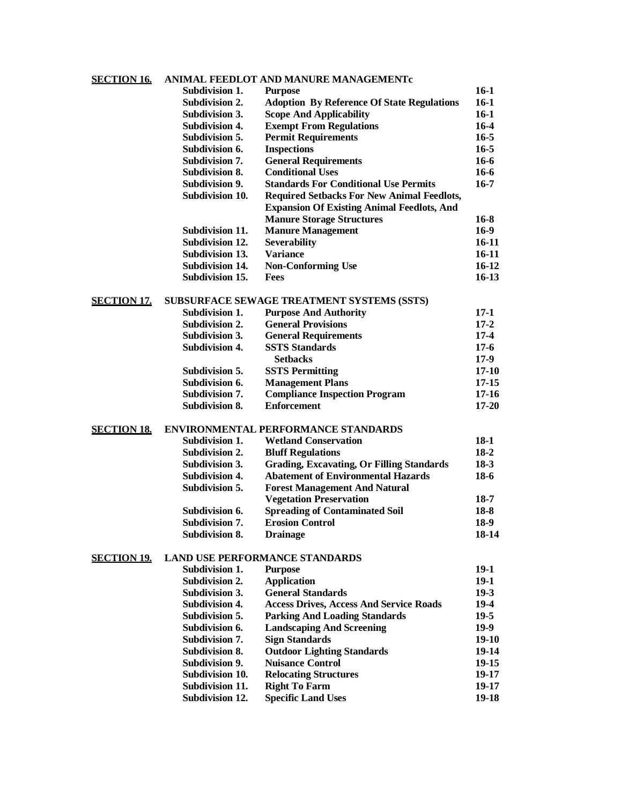# **SECTION 16. ANIMAL FEEDLOT AND MANURE MANAGEMENTc**

|                    | Subdivision 1.         | <b>Purpose</b>                                    | $16-1$    |
|--------------------|------------------------|---------------------------------------------------|-----------|
|                    | Subdivision 2.         | <b>Adoption By Reference Of State Regulations</b> | $16-1$    |
|                    | Subdivision 3.         | <b>Scope And Applicability</b>                    | $16-1$    |
|                    | <b>Subdivision 4.</b>  | <b>Exempt From Regulations</b>                    | $16-4$    |
|                    | Subdivision 5.         | <b>Permit Requirements</b>                        | $16 - 5$  |
|                    | Subdivision 6.         | <b>Inspections</b>                                | $16 - 5$  |
|                    | <b>Subdivision 7.</b>  | <b>General Requirements</b>                       | $16-6$    |
|                    | <b>Subdivision 8.</b>  | <b>Conditional Uses</b>                           | $16-6$    |
|                    | <b>Subdivision 9.</b>  | <b>Standards For Conditional Use Permits</b>      | $16-7$    |
|                    | Subdivision 10.        | <b>Required Setbacks For New Animal Feedlots,</b> |           |
|                    |                        | <b>Expansion Of Existing Animal Feedlots, And</b> |           |
|                    |                        | <b>Manure Storage Structures</b>                  | 16-8      |
|                    | Subdivision 11.        | <b>Manure Management</b>                          | $16-9$    |
|                    | Subdivision 12.        | <b>Severability</b>                               | $16-11$   |
|                    | Subdivision 13.        | <b>Variance</b>                                   | $16-11$   |
|                    | Subdivision 14.        | <b>Non-Conforming Use</b>                         | $16 - 12$ |
|                    | Subdivision 15.        | <b>Fees</b>                                       | $16-13$   |
| <b>SECTION 17.</b> |                        | SUBSURFACE SEWAGE TREATMENT SYSTEMS (SSTS)        |           |
|                    | <b>Subdivision 1.</b>  | <b>Purpose And Authority</b>                      | $17-1$    |
|                    | <b>Subdivision 2.</b>  | <b>General Provisions</b>                         | $17 - 2$  |
|                    | <b>Subdivision 3.</b>  | <b>General Requirements</b>                       | $17-4$    |
|                    | <b>Subdivision 4.</b>  | <b>SSTS Standards</b>                             | $17-6$    |
|                    |                        | <b>Setbacks</b>                                   | $17-9$    |
|                    | Subdivision 5.         | <b>SSTS Permitting</b>                            | $17 - 10$ |
|                    | Subdivision 6.         | <b>Management Plans</b>                           | $17 - 15$ |
|                    | Subdivision 7.         | <b>Compliance Inspection Program</b>              | $17 - 16$ |
|                    | <b>Subdivision 8.</b>  | <b>Enforcement</b>                                | $17 - 20$ |
| <u>SECTION 18.</u> |                        | ENVIRONMENTAL PERFORMANCE STANDARDS               |           |
|                    | Subdivision 1.         | <b>Wetland Conservation</b>                       | $18-1$    |
|                    | Subdivision 2.         | <b>Bluff Regulations</b>                          | $18-2$    |
|                    | Subdivision 3.         | <b>Grading, Excavating, Or Filling Standards</b>  | $18-3$    |
|                    | <b>Subdivision 4.</b>  | <b>Abatement of Environmental Hazards</b>         | $18-6$    |
|                    | Subdivision 5.         | <b>Forest Management And Natural</b>              |           |
|                    |                        | <b>Vegetation Preservation</b>                    | $18-7$    |
|                    | Subdivision 6.         | <b>Spreading of Contaminated Soil</b>             | $18-8$    |
|                    | <b>Subdivision 7.</b>  | <b>Erosion Control</b>                            | $18-9$    |
|                    | <b>Subdivision 8.</b>  | <b>Drainage</b>                                   | 18-14     |
| <u>SECTION 19.</u> |                        | <b>LAND USE PERFORMANCE STANDARDS</b>             |           |
|                    | Subdivision 1.         | <b>Purpose</b>                                    | $19-1$    |
|                    | Subdivision 2.         | <b>Application</b>                                | $19-1$    |
|                    | Subdivision 3.         | <b>General Standards</b>                          | $19-3$    |
|                    | <b>Subdivision 4.</b>  | <b>Access Drives, Access And Service Roads</b>    | $19-4$    |
|                    | Subdivision 5.         | <b>Parking And Loading Standards</b>              | $19-5$    |
|                    | Subdivision 6.         | <b>Landscaping And Screening</b>                  | $19-9$    |
|                    | Subdivision 7.         | <b>Sign Standards</b>                             | $19-10$   |
|                    | Subdivision 8.         | <b>Outdoor Lighting Standards</b>                 | $19-14$   |
|                    | Subdivision 9.         | <b>Nuisance Control</b>                           | $19-15$   |
|                    | Subdivision 10.        | <b>Relocating Structures</b>                      | $19-17$   |
|                    | Subdivision 11.        | <b>Right To Farm</b>                              | $19-17$   |
|                    | <b>Subdivision 12.</b> | <b>Specific Land Uses</b>                         | $19-18$   |
|                    |                        |                                                   |           |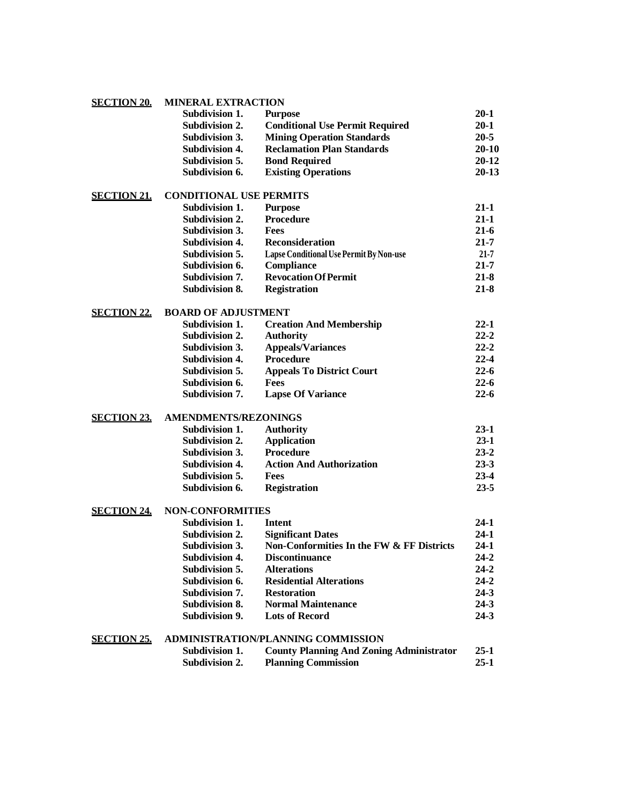| <b>SECTION 20.</b> | <b>MINERAL EXTRACTION</b> |  |  |
|--------------------|---------------------------|--|--|
|--------------------|---------------------------|--|--|

|                    | Subdivision 1.                 | <b>Purpose</b>                            | $20 - 1$  |
|--------------------|--------------------------------|-------------------------------------------|-----------|
|                    | Subdivision 2.                 | <b>Conditional Use Permit Required</b>    | $20 - 1$  |
|                    | Subdivision 3.                 | <b>Mining Operation Standards</b>         | $20 - 5$  |
|                    | <b>Subdivision 4.</b>          | <b>Reclamation Plan Standards</b>         | $20 - 10$ |
|                    | Subdivision 5.                 | <b>Bond Required</b>                      | $20 - 12$ |
|                    | Subdivision 6.                 | <b>Existing Operations</b>                | $20 - 13$ |
| <b>SECTION 21.</b> | <b>CONDITIONAL USE PERMITS</b> |                                           |           |
|                    | Subdivision 1.                 | <b>Purpose</b>                            | $21 - 1$  |
|                    | Subdivision 2.                 | <b>Procedure</b>                          | $21 - 1$  |
|                    | Subdivision 3.                 | <b>Fees</b>                               | $21 - 6$  |
|                    | Subdivision 4.                 | <b>Reconsideration</b>                    | $21 - 7$  |
|                    | Subdivision 5.                 | Lapse Conditional Use Permit By Non-use   | $21 - 7$  |
|                    | Subdivision 6.                 | Compliance                                | $21 - 7$  |
|                    | <b>Subdivision 7.</b>          | <b>Revocation Of Permit</b>               | $21 - 8$  |
|                    | Subdivision 8.                 | <b>Registration</b>                       | $21 - 8$  |
| <b>SECTION 22.</b> | <b>BOARD OF ADJUSTMENT</b>     |                                           |           |
|                    | Subdivision 1.                 | <b>Creation And Membership</b>            | $22 - 1$  |
|                    | Subdivision 2.                 | <b>Authority</b>                          | $22 - 2$  |
|                    | Subdivision 3.                 | <b>Appeals/Variances</b>                  | $22 - 2$  |
|                    | <b>Subdivision 4.</b>          | <b>Procedure</b>                          | $22 - 4$  |
|                    | Subdivision 5.                 | <b>Appeals To District Court</b>          | $22 - 6$  |
|                    | Subdivision 6.                 | <b>Fees</b>                               | $22 - 6$  |
|                    | <b>Subdivision 7.</b>          | <b>Lapse Of Variance</b>                  | $22 - 6$  |
| <b>SECTION 23.</b> | <b>AMENDMENTS/REZONINGS</b>    |                                           |           |
|                    | Subdivision 1.                 | <b>Authority</b>                          | $23-1$    |
|                    | <b>Subdivision 2.</b>          | <b>Application</b>                        | $23-1$    |
|                    | Subdivision 3.                 | <b>Procedure</b>                          | $23 - 2$  |
|                    | <b>Subdivision 4.</b>          | <b>Action And Authorization</b>           | $23 - 3$  |
|                    | Subdivision 5.                 | <b>Fees</b>                               | $23 - 4$  |
|                    | Subdivision 6.                 | <b>Registration</b>                       | $23 - 5$  |
| <b>SECTION 24.</b> | <b>NON-CONFORMITIES</b>        |                                           |           |
|                    | Subdivision 1.                 | Intent                                    | $24-1$    |
|                    | <b>Subdivision 2.</b>          | <b>Significant Dates</b>                  | $24-1$    |
|                    | <b>Subdivision 3.</b>          | Non-Conformities In the FW & FF Districts | $24 - 1$  |
|                    | <b>Subdivision 4.</b>          | <b>Discontinuance</b>                     | $24 - 2$  |
|                    | Subdivision 5.                 | <b>Alterations</b>                        | $24 - 2$  |
|                    | Subdivision 6.                 | <b>Residential Alterations</b>            | $24 - 2$  |
|                    | Subdivision 7.                 | <b>Restoration</b>                        | $24 - 3$  |
|                    | Subdivision 8.                 | <b>Normal Maintenance</b>                 | $24 - 3$  |
|                    | Subdivision 9.                 | <b>Lots of Record</b>                     | $24 - 3$  |

# **SECTION 25. ADMINISTRATION/PLANNING COMMISSION**

| Subdivision 1. | <b>County Planning And Zoning Administrator</b> | $25 - 1$ |
|----------------|-------------------------------------------------|----------|
| Subdivision 2. | <b>Planning Commission</b>                      | 25-1     |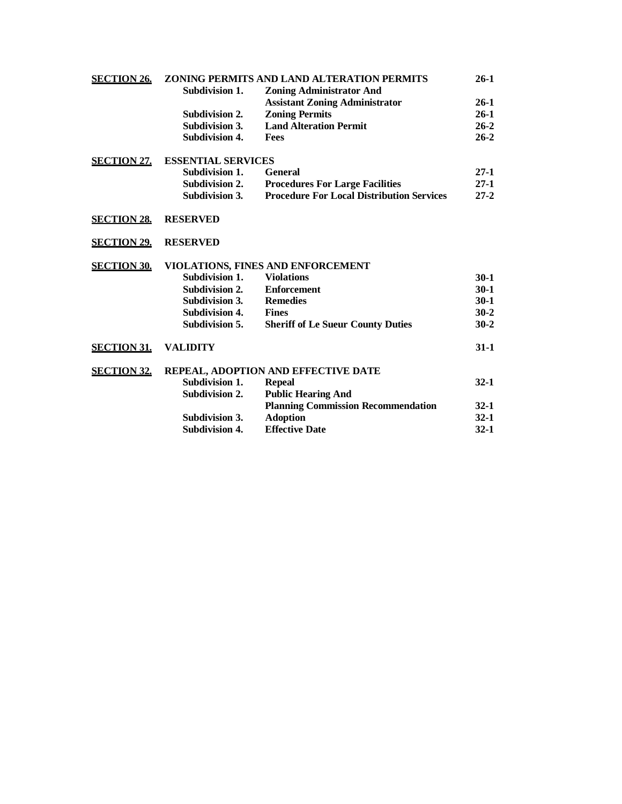| <b>SECTION 26.</b> | ZONING PERMITS AND LAND ALTERATION PERMITS |                                                  |          |  |  |
|--------------------|--------------------------------------------|--------------------------------------------------|----------|--|--|
|                    | Subdivision 1.                             | <b>Zoning Administrator And</b>                  |          |  |  |
|                    |                                            | <b>Assistant Zoning Administrator</b>            | $26-1$   |  |  |
|                    | <b>Subdivision 2.</b>                      | <b>Zoning Permits</b>                            | $26-1$   |  |  |
|                    | <b>Subdivision 3.</b>                      | <b>Land Alteration Permit</b>                    | $26 - 2$ |  |  |
|                    | <b>Subdivision 4.</b>                      | <b>Fees</b>                                      | $26 - 2$ |  |  |
| <b>SECTION 27.</b> | <b>ESSENTIAL SERVICES</b>                  |                                                  |          |  |  |
|                    | Subdivision 1.                             | <b>General</b>                                   | $27-1$   |  |  |
|                    | Subdivision 2.                             | <b>Procedures For Large Facilities</b>           | $27-1$   |  |  |
|                    | Subdivision 3.                             | <b>Procedure For Local Distribution Services</b> | $27 - 2$ |  |  |
| <b>SECTION 28.</b> | <b>RESERVED</b>                            |                                                  |          |  |  |
| <b>SECTION 29.</b> | <b>RESERVED</b>                            |                                                  |          |  |  |
| <b>SECTION 30.</b> | VIOLATIONS, FINES AND ENFORCEMENT          |                                                  |          |  |  |
|                    | Subdivision 1.                             | <b>Violations</b>                                | $30-1$   |  |  |
|                    | Subdivision 2.                             | <b>Enforcement</b>                               | $30-1$   |  |  |
|                    | <b>Subdivision 3.</b>                      | <b>Remedies</b>                                  | $30-1$   |  |  |
|                    | <b>Subdivision 4.</b>                      | <b>Fines</b>                                     | $30 - 2$ |  |  |
|                    | Subdivision 5.                             | <b>Sheriff of Le Sueur County Duties</b>         | $30 - 2$ |  |  |
| <b>SECTION 31.</b> | <b>VALIDITY</b>                            |                                                  | $31 - 1$ |  |  |
| <b>SECTION 32.</b> | <b>REPEAL, ADOPTION AND EFFECTIVE DATE</b> |                                                  |          |  |  |
|                    | <b>Subdivision 1.</b>                      | <b>Repeal</b>                                    | $32 - 1$ |  |  |
|                    | Subdivision 2.                             | <b>Public Hearing And</b>                        |          |  |  |
|                    |                                            | <b>Planning Commission Recommendation</b>        | $32 - 1$ |  |  |
|                    | Subdivision 3.                             | <b>Adoption</b>                                  | $32 - 1$ |  |  |
|                    | <b>Subdivision 4.</b>                      | <b>Effective Date</b>                            | $32 - 1$ |  |  |
|                    |                                            |                                                  |          |  |  |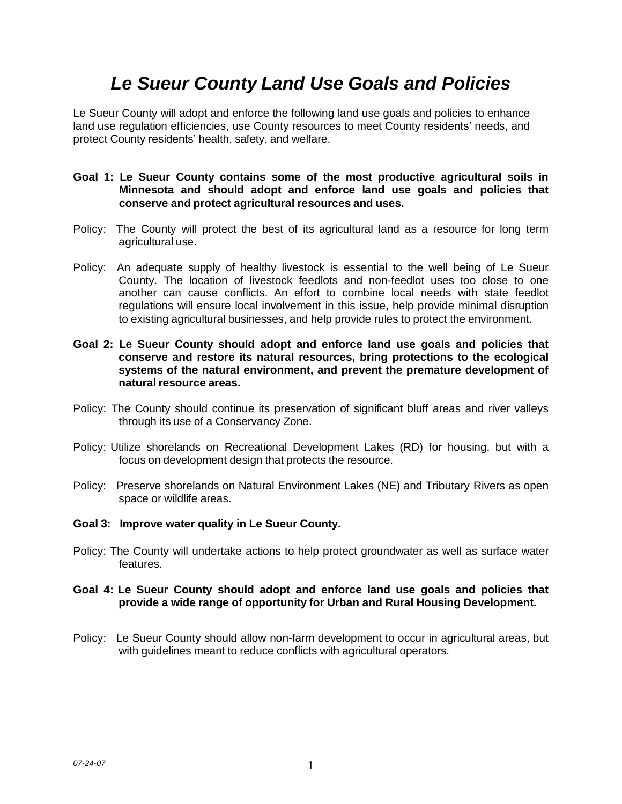# *Le Sueur County Land Use Goals and Policies*

Le Sueur County will adopt and enforce the following land use goals and policies to enhance land use regulation efficiencies, use County resources to meet County residents' needs, and protect County residents' health, safety, and welfare.

- **Goal 1: Le Sueur County contains some of the most productive agricultural soils in Minnesota and should adopt and enforce land use goals and policies that conserve and protect agricultural resources and uses.**
- Policy: The County will protect the best of its agricultural land as a resource for long term agricultural use.
- Policy: An adequate supply of healthy livestock is essential to the well being of Le Sueur County. The location of livestock feedlots and non-feedlot uses too close to one another can cause conflicts. An effort to combine local needs with state feedlot regulations will ensure local involvement in this issue, help provide minimal disruption to existing agricultural businesses, and help provide rules to protect the environment.
- **Goal 2: Le Sueur County should adopt and enforce land use goals and policies that conserve and restore its natural resources, bring protections to the ecological systems of the natural environment, and prevent the premature development of natural resource areas.**
- Policy: The County should continue its preservation of significant bluff areas and river valleys through its use of a Conservancy Zone.
- Policy: Utilize shorelands on Recreational Development Lakes (RD) for housing, but with a focus on development design that protects the resource.
- Policy: Preserve shorelands on Natural Environment Lakes (NE) and Tributary Rivers as open space or wildlife areas.
- **Goal 3: Improve water quality in Le Sueur County.**
- Policy: The County will undertake actions to help protect groundwater as well as surface water features.
- **Goal 4: Le Sueur County should adopt and enforce land use goals and policies that provide a wide range of opportunity for Urban and Rural Housing Development.**
- Policy: Le Sueur County should allow non-farm development to occur in agricultural areas, but with guidelines meant to reduce conflicts with agricultural operators.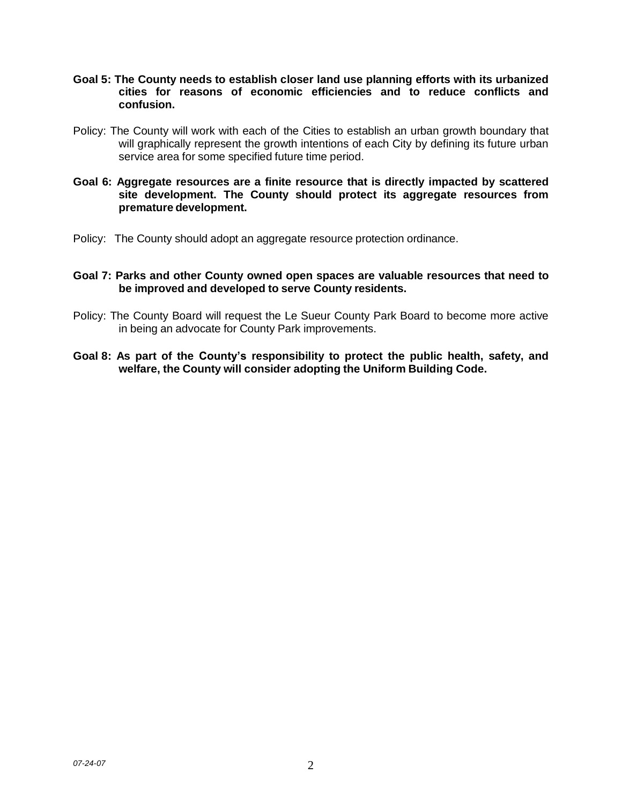- **Goal 5: The County needs to establish closer land use planning efforts with its urbanized cities for reasons of economic efficiencies and to reduce conflicts and confusion.**
- Policy: The County will work with each of the Cities to establish an urban growth boundary that will graphically represent the growth intentions of each City by defining its future urban service area for some specified future time period.
- **Goal 6: Aggregate resources are a finite resource that is directly impacted by scattered site development. The County should protect its aggregate resources from premature development.**
- Policy: The County should adopt an aggregate resource protection ordinance.

### **Goal 7: Parks and other County owned open spaces are valuable resources that need to be improved and developed to serve County residents.**

- Policy: The County Board will request the Le Sueur County Park Board to become more active in being an advocate for County Park improvements.
- **Goal 8: As part of the County's responsibility to protect the public health, safety, and welfare, the County will consider adopting the Uniform Building Code.**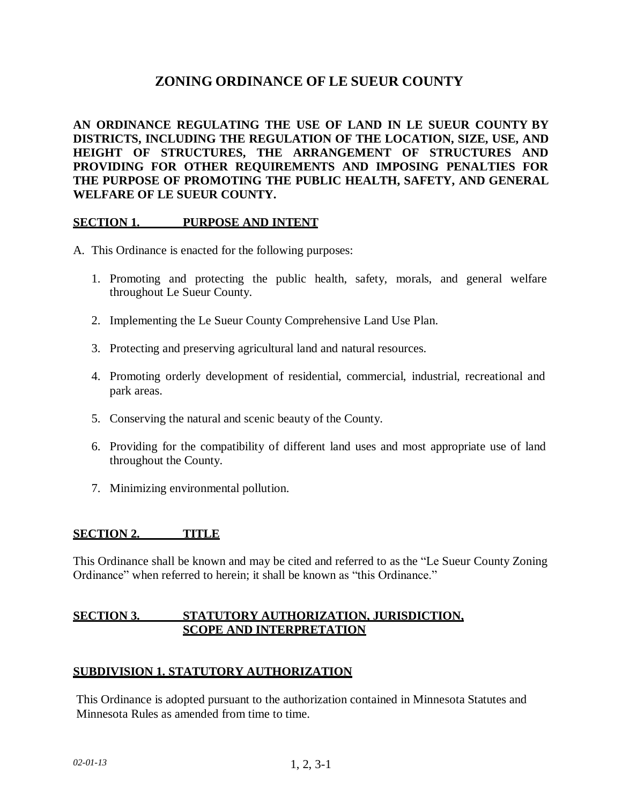# **ZONING ORDINANCE OF LE SUEUR COUNTY**

**AN ORDINANCE REGULATING THE USE OF LAND IN LE SUEUR COUNTY BY DISTRICTS, INCLUDING THE REGULATION OF THE LOCATION, SIZE, USE, AND HEIGHT OF STRUCTURES, THE ARRANGEMENT OF STRUCTURES AND PROVIDING FOR OTHER REQUIREMENTS AND IMPOSING PENALTIES FOR THE PURPOSE OF PROMOTING THE PUBLIC HEALTH, SAFETY, AND GENERAL WELFARE OF LE SUEUR COUNTY.**

# **SECTION 1. PURPOSE AND INTENT**

- A. This Ordinance is enacted for the following purposes:
	- 1. Promoting and protecting the public health, safety, morals, and general welfare throughout Le Sueur County.
	- 2. Implementing the Le Sueur County Comprehensive Land Use Plan.
	- 3. Protecting and preserving agricultural land and natural resources.
	- 4. Promoting orderly development of residential, commercial, industrial, recreational and park areas.
	- 5. Conserving the natural and scenic beauty of the County.
	- 6. Providing for the compatibility of different land uses and most appropriate use of land throughout the County.
	- 7. Minimizing environmental pollution.

### **SECTION 2. TITLE**

This Ordinance shall be known and may be cited and referred to as the "Le Sueur County Zoning Ordinance" when referred to herein; it shall be known as "this Ordinance."

# **SECTION 3. STATUTORY AUTHORIZATION, JURISDICTION, SCOPE AND INTERPRETATION**

# **SUBDIVISION 1. STATUTORY AUTHORIZATION**

This Ordinance is adopted pursuant to the authorization contained in Minnesota Statutes and Minnesota Rules as amended from time to time.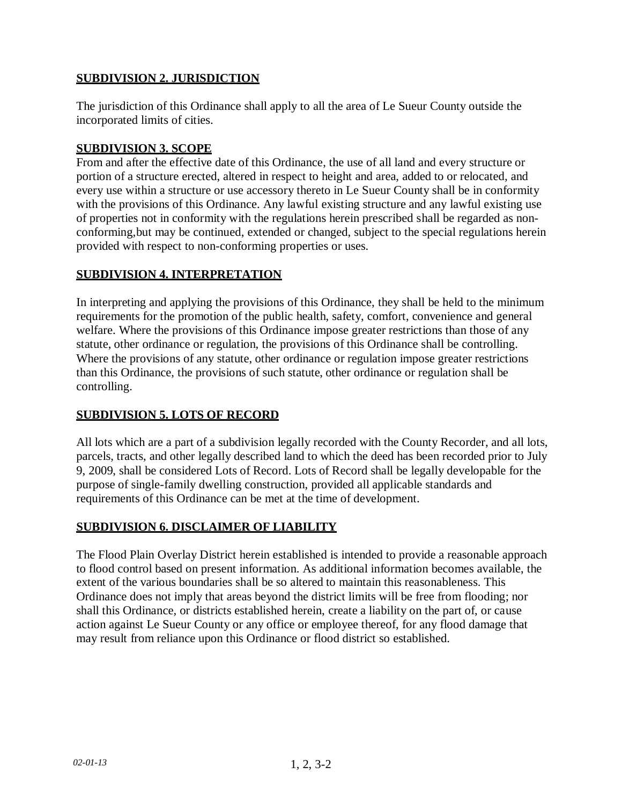# **SUBDIVISION 2. JURISDICTION**

The jurisdiction of this Ordinance shall apply to all the area of Le Sueur County outside the incorporated limits of cities.

# **SUBDIVISION 3. SCOPE**

From and after the effective date of this Ordinance, the use of all land and every structure or portion of a structure erected, altered in respect to height and area, added to or relocated, and every use within a structure or use accessory thereto in Le Sueur County shall be in conformity with the provisions of this Ordinance. Any lawful existing structure and any lawful existing use of properties not in conformity with the regulations herein prescribed shall be regarded as nonconforming,but may be continued, extended or changed, subject to the special regulations herein provided with respect to non-conforming properties or uses.

# **SUBDIVISION 4. INTERPRETATION**

In interpreting and applying the provisions of this Ordinance, they shall be held to the minimum requirements for the promotion of the public health, safety, comfort, convenience and general welfare. Where the provisions of this Ordinance impose greater restrictions than those of any statute, other ordinance or regulation, the provisions of this Ordinance shall be controlling. Where the provisions of any statute, other ordinance or regulation impose greater restrictions than this Ordinance, the provisions of such statute, other ordinance or regulation shall be controlling.

# **SUBDIVISION 5. LOTS OF RECORD**

All lots which are a part of a subdivision legally recorded with the County Recorder, and all lots, parcels, tracts, and other legally described land to which the deed has been recorded prior to July 9, 2009, shall be considered Lots of Record. Lots of Record shall be legally developable for the purpose of single-family dwelling construction, provided all applicable standards and requirements of this Ordinance can be met at the time of development.

# **SUBDIVISION 6. DISCLAIMER OF LIABILITY**

The Flood Plain Overlay District herein established is intended to provide a reasonable approach to flood control based on present information. As additional information becomes available, the extent of the various boundaries shall be so altered to maintain this reasonableness. This Ordinance does not imply that areas beyond the district limits will be free from flooding; nor shall this Ordinance, or districts established herein, create a liability on the part of, or cause action against Le Sueur County or any office or employee thereof, for any flood damage that may result from reliance upon this Ordinance or flood district so established.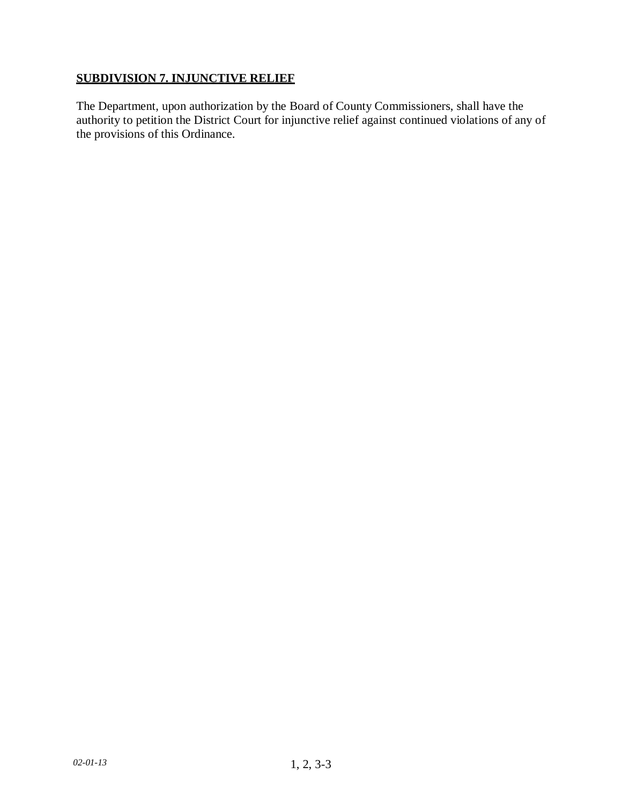# **SUBDIVISION 7. INJUNCTIVE RELIEF**

The Department, upon authorization by the Board of County Commissioners, shall have the authority to petition the District Court for injunctive relief against continued violations of any of the provisions of this Ordinance.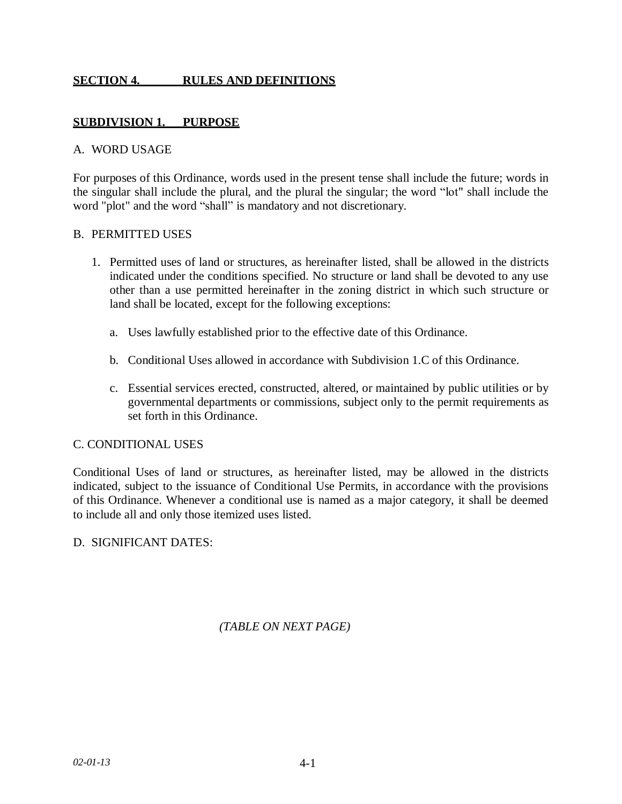# **SECTION 4. RULES AND DEFINITIONS**

# <span id="page-12-0"></span>**SUBDIVISION 1. PURPOSE**

### A. WORD USAGE

For purposes of this Ordinance, words used in the present tense shall include the future; words in the singular shall include the plural, and the plural the singular; the word "lot" shall include the word "plot" and the word "shall" is mandatory and not discretionary.

### B. PERMITTED USES

- 1. Permitted uses of land or structures, as hereinafter listed, shall be allowed in the districts indicated under the conditions specified. No structure or land shall be devoted to any use other than a use permitted hereinafter in the zoning district in which such structure or land shall be located, except for the following exceptions:
	- a. Uses lawfully established prior to the effective date of this Ordinance.
	- b. Conditional Uses allowed in accordance with Subdivision 1.C of this Ordinance.
	- c. Essential services erected, constructed, altered, or maintained by public utilities or by governmental departments or commissions, subject only to the permit requirements as set forth in this Ordinance.

# C. CONDITIONAL USES

Conditional Uses of land or structures, as hereinafter listed, may be allowed in the districts indicated, subject to the issuance of Conditional Use Permits, in accordance with the provisions of this Ordinance. Whenever a conditional use is named as a major category, it shall be deemed to include all and only those itemized uses listed.

# D. SIGNIFICANT DATES:

*(TABLE ON NEXT PAGE)*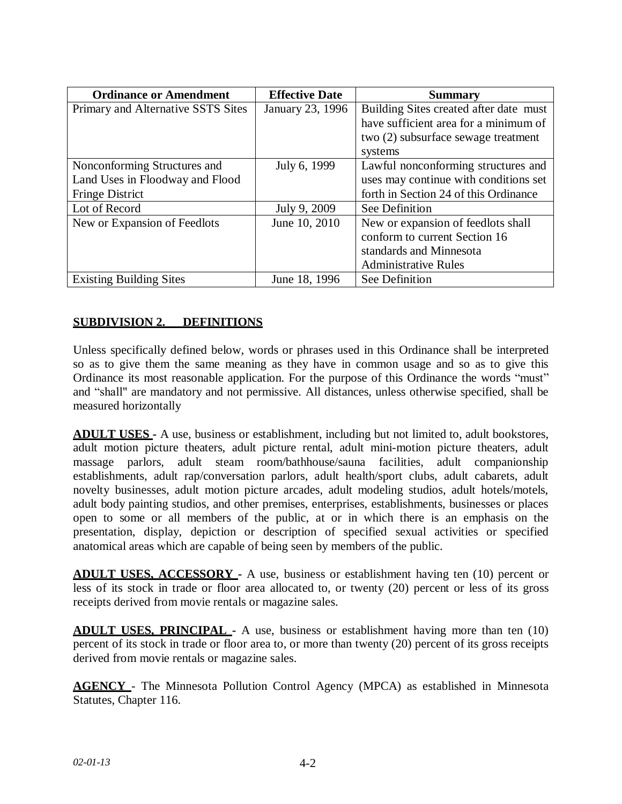| <b>Ordinance or Amendment</b>      | <b>Effective Date</b> | <b>Summary</b>                         |
|------------------------------------|-----------------------|----------------------------------------|
| Primary and Alternative SSTS Sites | January 23, 1996      | Building Sites created after date must |
|                                    |                       | have sufficient area for a minimum of  |
|                                    |                       | two (2) subsurface sewage treatment    |
|                                    |                       | systems                                |
| Nonconforming Structures and       | July 6, 1999          | Lawful nonconforming structures and    |
| Land Uses in Floodway and Flood    |                       | uses may continue with conditions set  |
| <b>Fringe District</b>             |                       | forth in Section 24 of this Ordinance  |
| Lot of Record                      | July 9, 2009          | See Definition                         |
| New or Expansion of Feedlots       | June 10, 2010         | New or expansion of feedlots shall     |
|                                    |                       | conform to current Section 16          |
|                                    |                       | standards and Minnesota                |
|                                    |                       | <b>Administrative Rules</b>            |
| <b>Existing Building Sites</b>     | June 18, 1996         | See Definition                         |

# **SUBDIVISION 2. DEFINITIONS**

Unless specifically defined below, words or phrases used in this Ordinance shall be interpreted so as to give them the same meaning as they have in common usage and so as to give this Ordinance its most reasonable application. For the purpose of this Ordinance the words "must" and "shall" are mandatory and not permissive. All distances, unless otherwise specified, shall be measured horizontally

**ADULT USES -** A use, business or establishment, including but not limited to, adult bookstores, adult motion picture theaters, adult picture rental, adult mini-motion picture theaters, adult massage parlors, adult steam room/bathhouse/sauna facilities, adult companionship establishments, adult rap/conversation parlors, adult health/sport clubs, adult cabarets, adult novelty businesses, adult motion picture arcades, adult modeling studios, adult hotels/motels, adult body painting studios, and other premises, enterprises, establishments, businesses or places open to some or all members of the public, at or in which there is an emphasis on the presentation, display, depiction or description of specified sexual activities or specified anatomical areas which are capable of being seen by members of the public.

**ADULT USES, ACCESSORY -** A use, business or establishment having ten (10) percent or less of its stock in trade or floor area allocated to, or twenty (20) percent or less of its gross receipts derived from movie rentals or magazine sales.

**ADULT USES, PRINCIPAL -** A use, business or establishment having more than ten (10) percent of its stock in trade or floor area to, or more than twenty (20) percent of its gross receipts derived from movie rentals or magazine sales.

**AGENCY** - The Minnesota Pollution Control Agency (MPCA) as established in Minnesota Statutes, Chapter 116.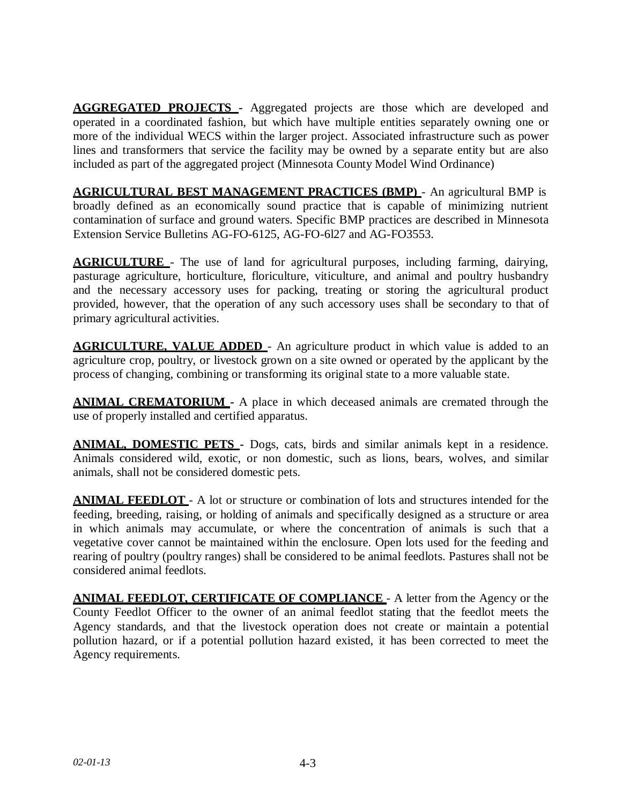**AGGREGATED PROJECTS -** Aggregated projects are those which are developed and operated in a coordinated fashion, but which have multiple entities separately owning one or more of the individual WECS within the larger project. Associated infrastructure such as power lines and transformers that service the facility may be owned by a separate entity but are also included as part of the aggregated project (Minnesota County Model Wind Ordinance)

**AGRICULTURAL BEST MANAGEMENT PRACTICES (BMP)** - An agricultural BMP is broadly defined as an economically sound practice that is capable of minimizing nutrient contamination of surface and ground waters. Specific BMP practices are described in Minnesota Extension Service Bulletins AG-FO-6125, AG-FO-6l27 and AG-FO3553.

**AGRICULTURE** - The use of land for agricultural purposes, including farming, dairying, pasturage agriculture, horticulture, floriculture, viticulture, and animal and poultry husbandry and the necessary accessory uses for packing, treating or storing the agricultural product provided, however, that the operation of any such accessory uses shall be secondary to that of primary agricultural activities.

**AGRICULTURE, VALUE ADDED** - An agriculture product in which value is added to an agriculture crop, poultry, or livestock grown on a site owned or operated by the applicant by the process of changing, combining or transforming its original state to a more valuable state.

**ANIMAL CREMATORIUM -** A place in which deceased animals are cremated through the use of properly installed and certified apparatus.

**ANIMAL, DOMESTIC PETS -** Dogs, cats, birds and similar animals kept in a residence. Animals considered wild, exotic, or non domestic, such as lions, bears, wolves, and similar animals, shall not be considered domestic pets.

**ANIMAL FEEDLOT** - A lot or structure or combination of lots and structures intended for the feeding, breeding, raising, or holding of animals and specifically designed as a structure or area in which animals may accumulate, or where the concentration of animals is such that a vegetative cover cannot be maintained within the enclosure. Open lots used for the feeding and rearing of poultry (poultry ranges) shall be considered to be animal feedlots. Pastures shall not be considered animal feedlots.

**ANIMAL FEEDLOT, CERTIFICATE OF COMPLIANCE** - A letter from the Agency or the County Feedlot Officer to the owner of an animal feedlot stating that the feedlot meets the Agency standards, and that the livestock operation does not create or maintain a potential pollution hazard, or if a potential pollution hazard existed, it has been corrected to meet the Agency requirements.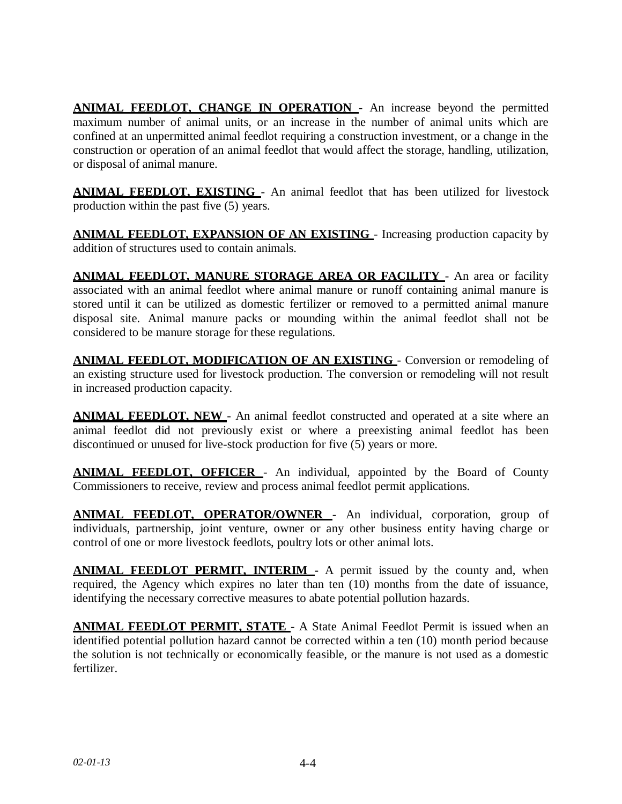**ANIMAL FEEDLOT, CHANGE IN OPERATION** - An increase beyond the permitted maximum number of animal units, or an increase in the number of animal units which are confined at an unpermitted animal feedlot requiring a construction investment, or a change in the construction or operation of an animal feedlot that would affect the storage, handling, utilization, or disposal of animal manure.

**ANIMAL FEEDLOT, EXISTING** - An animal feedlot that has been utilized for livestock production within the past five (5) years.

**ANIMAL FEEDLOT, EXPANSION OF AN EXISTING** - Increasing production capacity by addition of structures used to contain animals.

**ANIMAL FEEDLOT, MANURE STORAGE AREA OR FACILITY** - An area or facility associated with an animal feedlot where animal manure or runoff containing animal manure is stored until it can be utilized as domestic fertilizer or removed to a permitted animal manure disposal site. Animal manure packs or mounding within the animal feedlot shall not be considered to be manure storage for these regulations.

**ANIMAL FEEDLOT, MODIFICATION OF AN EXISTING** - Conversion or remodeling of an existing structure used for livestock production. The conversion or remodeling will not result in increased production capacity.

**ANIMAL FEEDLOT, NEW** - An animal feedlot constructed and operated at a site where an animal feedlot did not previously exist or where a preexisting animal feedlot has been discontinued or unused for live-stock production for five (5) years or more.

**ANIMAL FEEDLOT, OFFICER** - An individual, appointed by the Board of County Commissioners to receive, review and process animal feedlot permit applications.

**ANIMAL FEEDLOT, OPERATOR/OWNER** - An individual, corporation, group of individuals, partnership, joint venture, owner or any other business entity having charge or control of one or more livestock feedlots, poultry lots or other animal lots.

**ANIMAL FEEDLOT PERMIT, INTERIM -** A permit issued by the county and, when required, the Agency which expires no later than ten (10) months from the date of issuance, identifying the necessary corrective measures to abate potential pollution hazards.

**ANIMAL FEEDLOT PERMIT, STATE** - A State Animal Feedlot Permit is issued when an identified potential pollution hazard cannot be corrected within a ten (10) month period because the solution is not technically or economically feasible, or the manure is not used as a domestic fertilizer.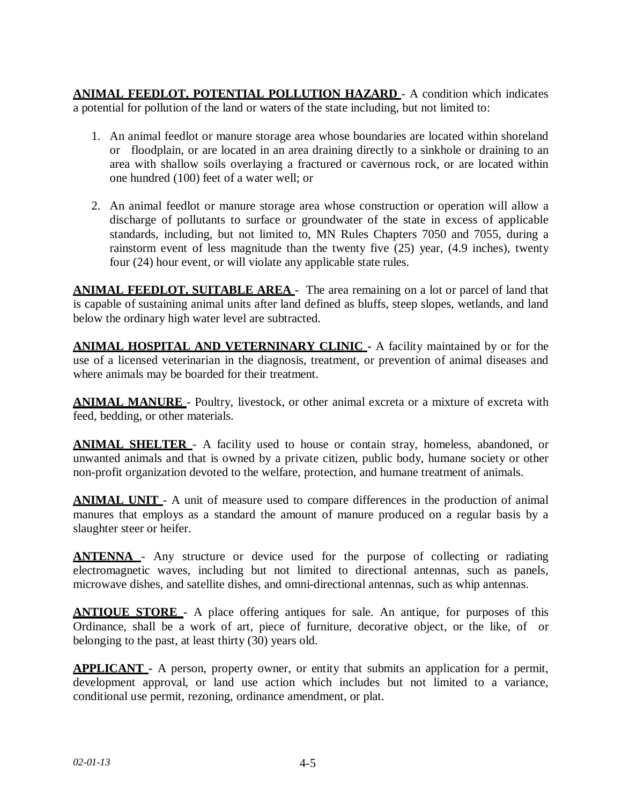**ANIMAL FEEDLOT, POTENTIAL POLLUTION HAZARD** - A condition which indicates a potential for pollution of the land or waters of the state including, but not limited to:

- 1. An animal feedlot or manure storage area whose boundaries are located within shoreland or floodplain, or are located in an area draining directly to a sinkhole or draining to an area with shallow soils overlaying a fractured or cavernous rock, or are located within one hundred (100) feet of a water well; or
- 2. An animal feedlot or manure storage area whose construction or operation will allow a discharge of pollutants to surface or groundwater of the state in excess of applicable standards, including, but not limited to, MN Rules Chapters 7050 and 7055, during a rainstorm event of less magnitude than the twenty five (25) year, (4.9 inches), twenty four (24) hour event, or will violate any applicable state rules.

**ANIMAL FEEDLOT, SUITABLE AREA** - The area remaining on a lot or parcel of land that is capable of sustaining animal units after land defined as bluffs, steep slopes, wetlands, and land below the ordinary high water level are subtracted.

**ANIMAL HOSPITAL AND VETERNINARY CLINIC -** A facility maintained by or for the use of a licensed veterinarian in the diagnosis, treatment, or prevention of animal diseases and where animals may be boarded for their treatment.

**ANIMAL MANURE** - Poultry, livestock, or other animal excreta or a mixture of excreta with feed, bedding, or other materials.

**ANIMAL SHELTER** - A facility used to house or contain stray, homeless, abandoned, or unwanted animals and that is owned by a private citizen, public body, humane society or other non-profit organization devoted to the welfare, protection, and humane treatment of animals.

**ANIMAL UNIT** - A unit of measure used to compare differences in the production of animal manures that employs as a standard the amount of manure produced on a regular basis by a slaughter steer or heifer.

**ANTENNA** - Any structure or device used for the purpose of collecting or radiating electromagnetic waves, including but not limited to directional antennas, such as panels, microwave dishes, and satellite dishes, and omni-directional antennas, such as whip antennas.

**ANTIQUE STORE** - A place offering antiques for sale. An antique, for purposes of this Ordinance, shall be a work of art, piece of furniture, decorative object, or the like, of or belonging to the past, at least thirty (30) years old.

**APPLICANT -** A person, property owner, or entity that submits an application for a permit, development approval, or land use action which includes but not limited to a variance, conditional use permit, rezoning, ordinance amendment, or plat.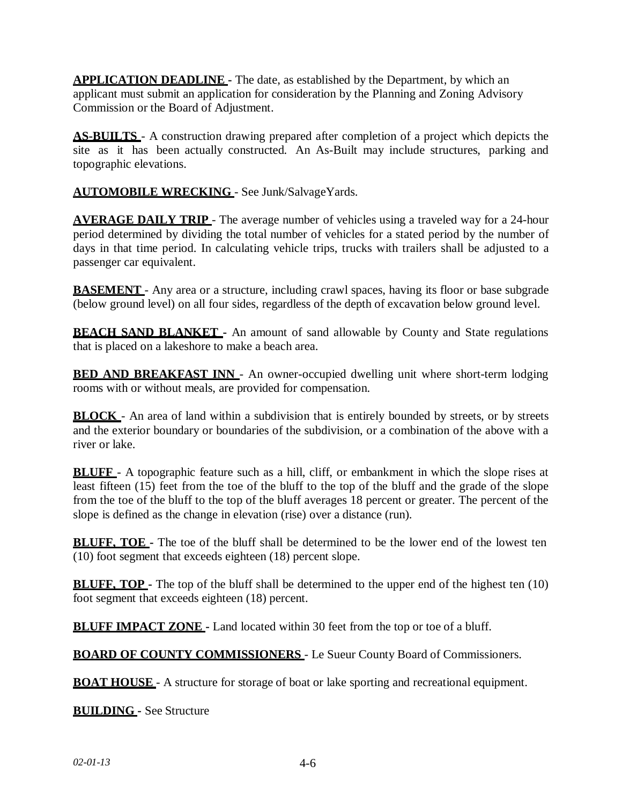**APPLICATION DEADLINE -** The date, as established by the Department, by which an applicant must submit an application for consideration by the Planning and Zoning Advisory Commission or the Board of Adjustment.

**AS-BUILTS** - A construction drawing prepared after completion of a project which depicts the site as it has been actually constructed. An As-Built may include structures, parking and topographic elevations.

**AUTOMOBILE WRECKING** - See Junk/SalvageYards.

**AVERAGE DAILY TRIP** - The average number of vehicles using a traveled way for a 24-hour period determined by dividing the total number of vehicles for a stated period by the number of days in that time period. In calculating vehicle trips, trucks with trailers shall be adjusted to a passenger car equivalent.

**BASEMENT** - Any area or a structure, including crawl spaces, having its floor or base subgrade (below ground level) on all four sides, regardless of the depth of excavation below ground level.

**BEACH SAND BLANKET** - An amount of sand allowable by County and State regulations that is placed on a lakeshore to make a beach area.

**BED AND BREAKFAST <b>INN** - An owner-occupied dwelling unit where short-term lodging rooms with or without meals, are provided for compensation.

**BLOCK** - An area of land within a subdivision that is entirely bounded by streets, or by streets and the exterior boundary or boundaries of the subdivision, or a combination of the above with a river or lake.

**BLUFF** - A topographic feature such as a hill, cliff, or embankment in which the slope rises at least fifteen (15) feet from the toe of the bluff to the top of the bluff and the grade of the slope from the toe of the bluff to the top of the bluff averages 18 percent or greater. The percent of the slope is defined as the change in elevation (rise) over a distance (run).

**BLUFF, TOE** - The toe of the bluff shall be determined to be the lower end of the lowest ten (10) foot segment that exceeds eighteen (18) percent slope.

**BLUFF, TOP -** The top of the bluff shall be determined to the upper end of the highest ten (10) foot segment that exceeds eighteen (18) percent.

**BLUFF IMPACT ZONE -** Land located within 30 feet from the top or toe of a bluff.

**BOARD OF COUNTY COMMISSIONERS** - Le Sueur County Board of Commissioners.

**BOAT HOUSE** - A structure for storage of boat or lake sporting and recreational equipment.

**BUILDING -** See Structure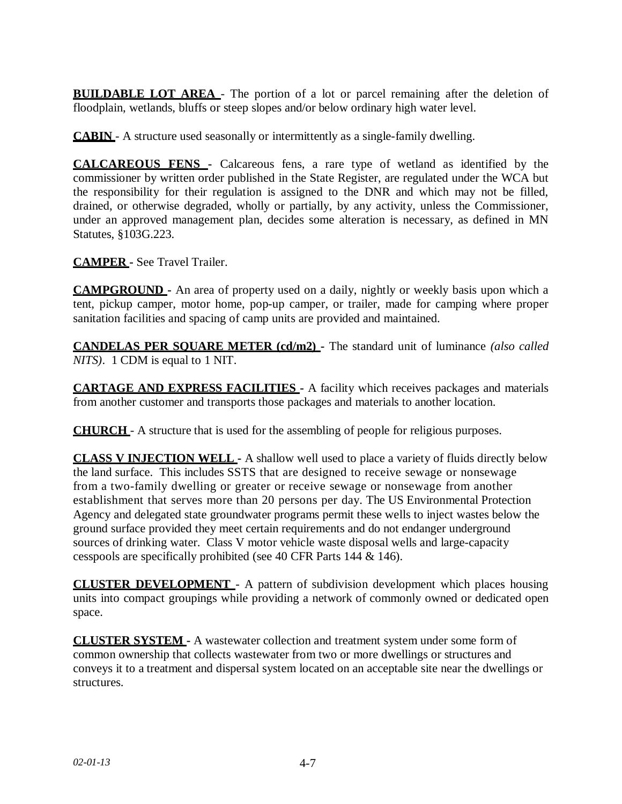**BUILDABLE LOT AREA** - The portion of a lot or parcel remaining after the deletion of floodplain, wetlands, bluffs or steep slopes and/or below ordinary high water level.

**CABIN** - A structure used seasonally or intermittently as a single-family dwelling.

**CALCAREOUS FENS -** Calcareous fens, a rare type of wetland as identified by the commissioner by written order published in the State Register, are regulated under the WCA but the responsibility for their regulation is assigned to the DNR and which may not be filled, drained, or otherwise degraded, wholly or partially, by any activity, unless the Commissioner, under an approved management plan, decides some alteration is necessary, as defined in MN Statutes, §103G.223.

**CAMPER -** See Travel Trailer.

**CAMPGROUND -** An area of property used on a daily, nightly or weekly basis upon which a tent, pickup camper, motor home, pop-up camper, or trailer, made for camping where proper sanitation facilities and spacing of camp units are provided and maintained.

**CANDELAS PER SQUARE METER (cd/m2) -** The standard unit of luminance *(also called NITS)*. 1 CDM is equal to 1 NIT.

**CARTAGE AND EXPRESS FACILITIES -** A facility which receives packages and materials from another customer and transports those packages and materials to another location.

**CHURCH** - A structure that is used for the assembling of people for religious purposes.

**CLASS V INJECTION WELL -** A shallow well used to place a variety of fluids directly below the land surface. This includes SSTS that are designed to receive sewage or nonsewage from a two-family dwelling or greater or receive sewage or nonsewage from another establishment that serves more than 20 persons per day. The US Environmental Protection Agency and delegated state groundwater programs permit these wells to inject wastes below the ground surface provided they meet certain requirements and do not endanger underground sources of drinking water. Class V motor vehicle waste disposal wells and large-capacity cesspools are specifically prohibited (see 40 CFR Parts 144 & 146).

**CLUSTER DEVELOPMENT** - A pattern of subdivision development which places housing units into compact groupings while providing a network of commonly owned or dedicated open space.

**CLUSTER SYSTEM -** A wastewater collection and treatment system under some form of common ownership that collects wastewater from two or more dwellings or structures and conveys it to a treatment and dispersal system located on an acceptable site near the dwellings or structures.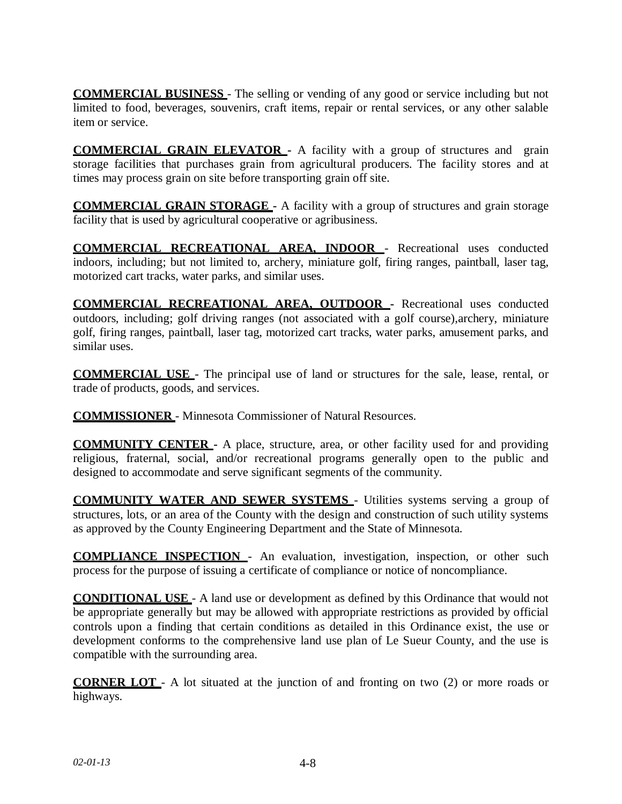**COMMERCIAL BUSINESS** - The selling or vending of any good or service including but not limited to food, beverages, souvenirs, craft items, repair or rental services, or any other salable item or service.

**COMMERCIAL GRAIN ELEVATOR -** A facility with a group of structures and grain storage facilities that purchases grain from agricultural producers. The facility stores and at times may process grain on site before transporting grain off site.

**COMMERCIAL GRAIN STORAGE -** A facility with a group of structures and grain storage facility that is used by agricultural cooperative or agribusiness.

**COMMERCIAL RECREATIONAL AREA, INDOOR** - Recreational uses conducted indoors, including; but not limited to, archery, miniature golf, firing ranges, paintball, laser tag, motorized cart tracks, water parks, and similar uses.

**COMMERCIAL RECREATIONAL AREA, OUTDOOR -** Recreational uses conducted outdoors, including; golf driving ranges (not associated with a golf course),archery, miniature golf, firing ranges, paintball, laser tag, motorized cart tracks, water parks, amusement parks, and similar uses.

**COMMERCIAL USE** - The principal use of land or structures for the sale, lease, rental, or trade of products, goods, and services.

**COMMISSIONER** - Minnesota Commissioner of Natural Resources.

**COMMUNITY CENTER -** A place, structure, area, or other facility used for and providing religious, fraternal, social, and/or recreational programs generally open to the public and designed to accommodate and serve significant segments of the community.

**COMMUNITY WATER AND SEWER SYSTEMS** - Utilities systems serving a group of structures, lots, or an area of the County with the design and construction of such utility systems as approved by the County Engineering Department and the State of Minnesota.

**COMPLIANCE INSPECTION** - An evaluation, investigation, inspection, or other such process for the purpose of issuing a certificate of compliance or notice of noncompliance.

**CONDITIONAL USE** - A land use or development as defined by this Ordinance that would not be appropriate generally but may be allowed with appropriate restrictions as provided by official controls upon a finding that certain conditions as detailed in this Ordinance exist, the use or development conforms to the comprehensive land use plan of Le Sueur County, and the use is compatible with the surrounding area.

**CORNER LOT** - A lot situated at the junction of and fronting on two (2) or more roads or highways.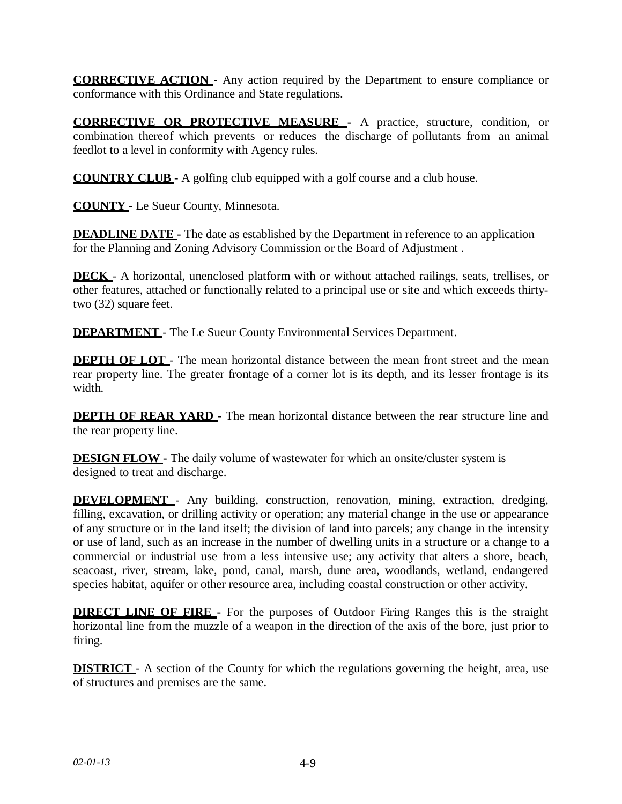**CORRECTIVE ACTION** - Any action required by the Department to ensure compliance or conformance with this Ordinance and State regulations.

**CORRECTIVE OR PROTECTIVE MEASURE -** A practice, structure, condition, or combination thereof which prevents or reduces the discharge of pollutants from an animal feedlot to a level in conformity with Agency rules.

**COUNTRY CLUB** - A golfing club equipped with a golf course and a club house.

**COUNTY** - Le Sueur County, Minnesota.

**DEADLINE DATE** - The date as established by the Department in reference to an application for the Planning and Zoning Advisory Commission or the Board of Adjustment .

**DECK** - A horizontal, unenclosed platform with or without attached railings, seats, trellises, or other features, attached or functionally related to a principal use or site and which exceeds thirtytwo (32) square feet.

**DEPARTMENT** - The Le Sueur County Environmental Services Department.

**DEPTH OF LOT** - The mean horizontal distance between the mean front street and the mean rear property line. The greater frontage of a corner lot is its depth, and its lesser frontage is its width.

**DEPTH OF REAR YARD** - The mean horizontal distance between the rear structure line and the rear property line.

**DESIGN FLOW -** The daily volume of wastewater for which an onsite/cluster system is designed to treat and discharge.

**DEVELOPMENT** - Any building, construction, renovation, mining, extraction, dredging, filling, excavation, or drilling activity or operation; any material change in the use or appearance of any structure or in the land itself; the division of land into parcels; any change in the intensity or use of land, such as an increase in the number of dwelling units in a structure or a change to a commercial or industrial use from a less intensive use; any activity that alters a shore, beach, seacoast, river, stream, lake, pond, canal, marsh, dune area, woodlands, wetland, endangered species habitat, aquifer or other resource area, including coastal construction or other activity.

**DIRECT LINE OF FIRE** – For the purposes of Outdoor Firing Ranges this is the straight horizontal line from the muzzle of a weapon in the direction of the axis of the bore, just prior to firing.

**DISTRICT** - A section of the County for which the regulations governing the height, area, use of structures and premises are the same.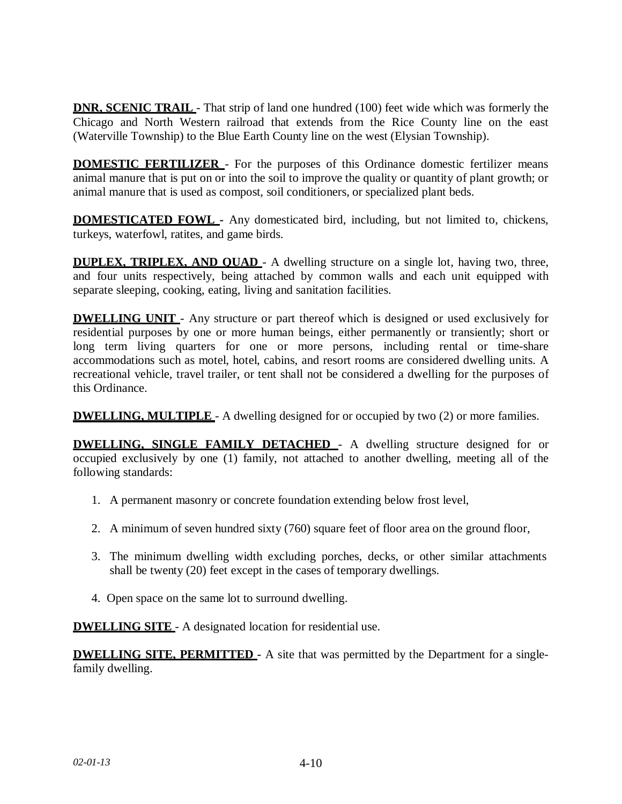**DNR, SCENIC TRAIL** - That strip of land one hundred (100) feet wide which was formerly the Chicago and North Western railroad that extends from the Rice County line on the east (Waterville Township) to the Blue Earth County line on the west (Elysian Township).

**DOMESTIC FERTILIZER** - For the purposes of this Ordinance domestic fertilizer means animal manure that is put on or into the soil to improve the quality or quantity of plant growth; or animal manure that is used as compost, soil conditioners, or specialized plant beds.

**DOMESTICATED FOWL -** Any domesticated bird, including, but not limited to, chickens, turkeys, waterfowl, ratites, and game birds.

**DUPLEX, TRIPLEX, AND QUAD** - A dwelling structure on a single lot, having two, three, and four units respectively, being attached by common walls and each unit equipped with separate sleeping, cooking, eating, living and sanitation facilities.

**DWELLING UNIT** - Any structure or part thereof which is designed or used exclusively for residential purposes by one or more human beings, either permanently or transiently; short or long term living quarters for one or more persons, including rental or time-share accommodations such as motel, hotel, cabins, and resort rooms are considered dwelling units. A recreational vehicle, travel trailer, or tent shall not be considered a dwelling for the purposes of this Ordinance.

**DWELLING, MULTIPLE** - A dwelling designed for or occupied by two (2) or more families.

**DWELLING, SINGLE FAMILY DETACHED** - A dwelling structure designed for or occupied exclusively by one (1) family, not attached to another dwelling, meeting all of the following standards:

- 1. A permanent masonry or concrete foundation extending below frost level,
- 2. A minimum of seven hundred sixty (760) square feet of floor area on the ground floor,
- 3. The minimum dwelling width excluding porches, decks, or other similar attachments shall be twenty (20) feet except in the cases of temporary dwellings.
- 4. Open space on the same lot to surround dwelling.

**DWELLING SITE** - A designated location for residential use.

**DWELLING SITE, PERMITTED -** A site that was permitted by the Department for a singlefamily dwelling.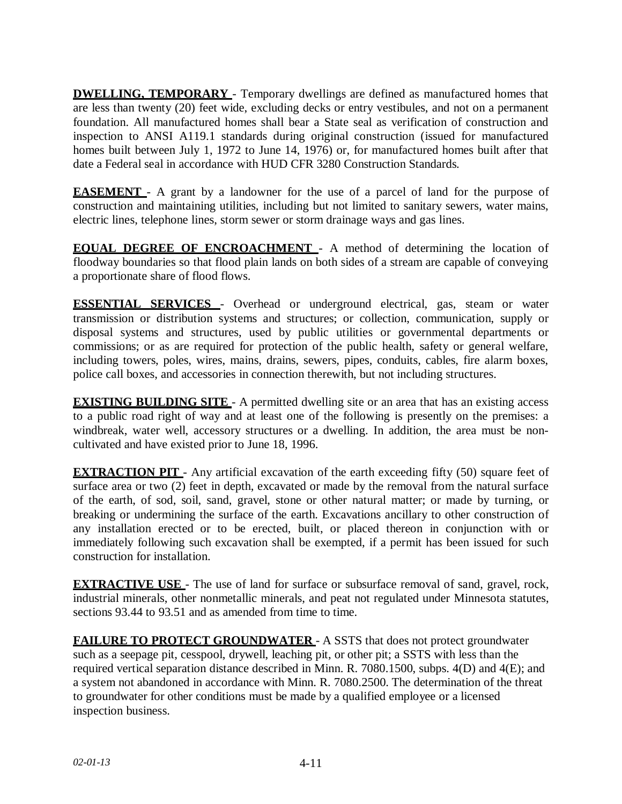**DWELLING, TEMPORARY** - Temporary dwellings are defined as manufactured homes that are less than twenty (20) feet wide, excluding decks or entry vestibules, and not on a permanent foundation. All manufactured homes shall bear a State seal as verification of construction and inspection to ANSI A119.1 standards during original construction (issued for manufactured homes built between July 1, 1972 to June 14, 1976) or, for manufactured homes built after that date a Federal seal in accordance with HUD CFR 3280 Construction Standards.

**EASEMENT** - A grant by a landowner for the use of a parcel of land for the purpose of construction and maintaining utilities, including but not limited to sanitary sewers, water mains, electric lines, telephone lines, storm sewer or storm drainage ways and gas lines.

**EQUAL DEGREE OF ENCROACHMENT** - A method of determining the location of floodway boundaries so that flood plain lands on both sides of a stream are capable of conveying a proportionate share of flood flows.

**ESSENTIAL SERVICES** - Overhead or underground electrical, gas, steam or water transmission or distribution systems and structures; or collection, communication, supply or disposal systems and structures, used by public utilities or governmental departments or commissions; or as are required for protection of the public health, safety or general welfare, including towers, poles, wires, mains, drains, sewers, pipes, conduits, cables, fire alarm boxes, police call boxes, and accessories in connection therewith, but not including structures.

**EXISTING BUILDING SITE** - A permitted dwelling site or an area that has an existing access to a public road right of way and at least one of the following is presently on the premises: a windbreak, water well, accessory structures or a dwelling. In addition, the area must be noncultivated and have existed prior to June 18, 1996.

**EXTRACTION PIT** - Any artificial excavation of the earth exceeding fifty (50) square feet of surface area or two (2) feet in depth, excavated or made by the removal from the natural surface of the earth, of sod, soil, sand, gravel, stone or other natural matter; or made by turning, or breaking or undermining the surface of the earth. Excavations ancillary to other construction of any installation erected or to be erected, built, or placed thereon in conjunction with or immediately following such excavation shall be exempted, if a permit has been issued for such construction for installation.

**EXTRACTIVE USE** - The use of land for surface or subsurface removal of sand, gravel, rock, industrial minerals, other nonmetallic minerals, and peat not regulated under Minnesota statutes, sections 93.44 to 93.51 and as amended from time to time.

**FAILURE TO PROTECT GROUNDWATER** - A SSTS that does not protect groundwater such as a seepage pit, cesspool, drywell, leaching pit, or other pit; a SSTS with less than the required vertical separation distance described in Minn. R. 7080.1500, subps. 4(D) and 4(E); and a system not abandoned in accordance with Minn. R. 7080.2500. The determination of the threat to groundwater for other conditions must be made by a qualified employee or a licensed inspection business.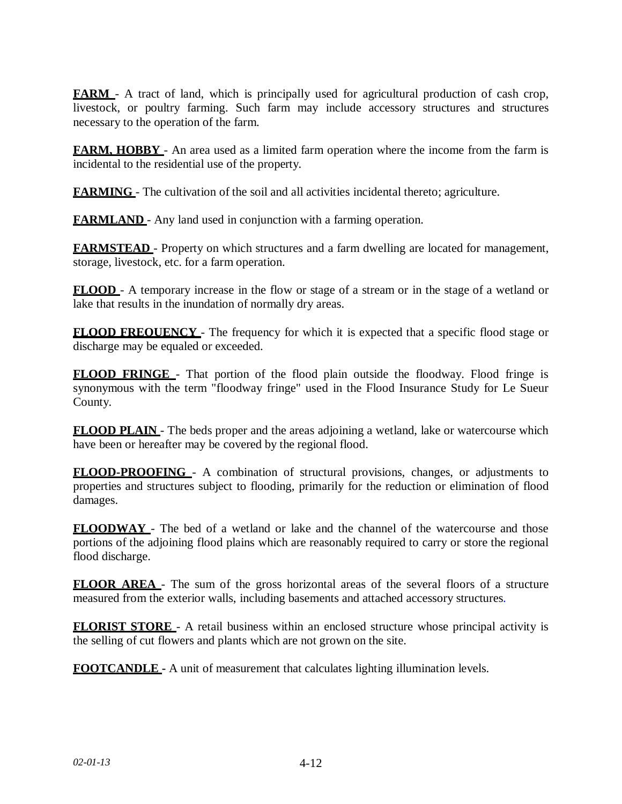**FARM** - A tract of land, which is principally used for agricultural production of cash crop, livestock, or poultry farming. Such farm may include accessory structures and structures necessary to the operation of the farm.

**FARM, HOBBY** - An area used as a limited farm operation where the income from the farm is incidental to the residential use of the property.

**FARMING** - The cultivation of the soil and all activities incidental thereto; agriculture.

**FARMLAND** - Any land used in conjunction with a farming operation.

**FARMSTEAD** - Property on which structures and a farm dwelling are located for management, storage, livestock, etc. for a farm operation.

**FLOOD** - A temporary increase in the flow or stage of a stream or in the stage of a wetland or lake that results in the inundation of normally dry areas.

**FLOOD FREQUENCY** - The frequency for which it is expected that a specific flood stage or discharge may be equaled or exceeded.

**FLOOD FRINGE** - That portion of the flood plain outside the floodway. Flood fringe is synonymous with the term "floodway fringe" used in the Flood Insurance Study for Le Sueur County.

**FLOOD PLAIN** - The beds proper and the areas adjoining a wetland, lake or watercourse which have been or hereafter may be covered by the regional flood.

**FLOOD-PROOFING** - A combination of structural provisions, changes, or adjustments to properties and structures subject to flooding, primarily for the reduction or elimination of flood damages.

**FLOODWAY** - The bed of a wetland or lake and the channel of the watercourse and those portions of the adjoining flood plains which are reasonably required to carry or store the regional flood discharge.

**FLOOR AREA** - The sum of the gross horizontal areas of the several floors of a structure measured from the exterior walls, including basements and attached accessory structures.

**FLORIST STORE** - A retail business within an enclosed structure whose principal activity is the selling of cut flowers and plants which are not grown on the site.

**FOOTCANDLE -** A unit of measurement that calculates lighting illumination levels.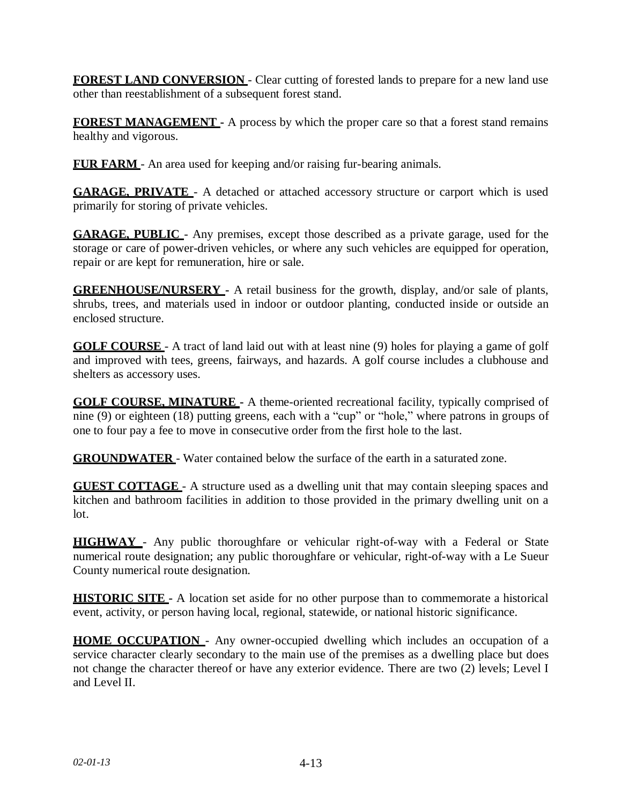**FOREST LAND CONVERSION** - Clear cutting of forested lands to prepare for a new land use other than reestablishment of a subsequent forest stand.

**FOREST MANAGEMENT -** A process by which the proper care so that a forest stand remains healthy and vigorous.

**FUR FARM** - An area used for keeping and/or raising fur-bearing animals.

**GARAGE, PRIVATE** - A detached or attached accessory structure or carport which is used primarily for storing of private vehicles.

**GARAGE, PUBLIC** - Any premises, except those described as a private garage, used for the storage or care of power-driven vehicles, or where any such vehicles are equipped for operation, repair or are kept for remuneration, hire or sale.

**GREENHOUSE/NURSERY -** A retail business for the growth, display, and/or sale of plants, shrubs, trees, and materials used in indoor or outdoor planting, conducted inside or outside an enclosed structure.

**GOLF COURSE** - A tract of land laid out with at least nine (9) holes for playing a game of golf and improved with tees, greens, fairways, and hazards. A golf course includes a clubhouse and shelters as accessory uses.

**GOLF COURSE, MINATURE -** A theme-oriented recreational facility, typically comprised of nine (9) or eighteen (18) putting greens, each with a "cup" or "hole," where patrons in groups of one to four pay a fee to move in consecutive order from the first hole to the last.

**GROUNDWATER** - Water contained below the surface of the earth in a saturated zone.

**GUEST COTTAGE** - A structure used as a dwelling unit that may contain sleeping spaces and kitchen and bathroom facilities in addition to those provided in the primary dwelling unit on a lot.

**HIGHWAY** - Any public thoroughfare or vehicular right-of-way with a Federal or State numerical route designation; any public thoroughfare or vehicular, right-of-way with a Le Sueur County numerical route designation.

**HISTORIC SITE -** A location set aside for no other purpose than to commemorate a historical event, activity, or person having local, regional, statewide, or national historic significance.

**HOME OCCUPATION** - Any owner-occupied dwelling which includes an occupation of a service character clearly secondary to the main use of the premises as a dwelling place but does not change the character thereof or have any exterior evidence. There are two (2) levels; Level I and Level II.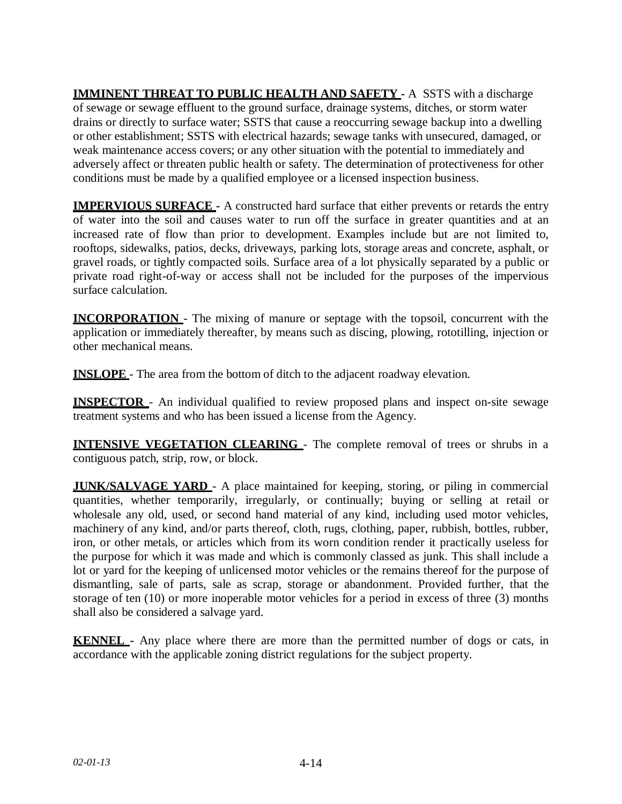**IMMINENT THREAT TO PUBLIC HEALTH AND SAFETY -** A SSTS with a discharge of sewage or sewage effluent to the ground surface, drainage systems, ditches, or storm water drains or directly to surface water; SSTS that cause a reoccurring sewage backup into a dwelling or other establishment; SSTS with electrical hazards; sewage tanks with unsecured, damaged, or weak maintenance access covers; or any other situation with the potential to immediately and adversely affect or threaten public health or safety. The determination of protectiveness for other conditions must be made by a qualified employee or a licensed inspection business.

**IMPERVIOUS SURFACE -** A constructed hard surface that either prevents or retards the entry of water into the soil and causes water to run off the surface in greater quantities and at an increased rate of flow than prior to development. Examples include but are not limited to, rooftops, sidewalks, patios, decks, driveways, parking lots, storage areas and concrete, asphalt, or gravel roads, or tightly compacted soils. Surface area of a lot physically separated by a public or private road right-of-way or access shall not be included for the purposes of the impervious surface calculation.

**INCORPORATION** - The mixing of manure or septage with the topsoil, concurrent with the application or immediately thereafter, by means such as discing, plowing, rototilling, injection or other mechanical means.

**INSLOPE** - The area from the bottom of ditch to the adjacent roadway elevation.

**INSPECTOR** - An individual qualified to review proposed plans and inspect on-site sewage treatment systems and who has been issued a license from the Agency.

**INTENSIVE VEGETATION CLEARING** - The complete removal of trees or shrubs in a contiguous patch, strip, row, or block.

**JUNK/SALVAGE YARD** - A place maintained for keeping, storing, or piling in commercial quantities, whether temporarily, irregularly, or continually; buying or selling at retail or wholesale any old, used, or second hand material of any kind, including used motor vehicles, machinery of any kind, and/or parts thereof, cloth, rugs, clothing, paper, rubbish, bottles, rubber, iron, or other metals, or articles which from its worn condition render it practically useless for the purpose for which it was made and which is commonly classed as junk. This shall include a lot or yard for the keeping of unlicensed motor vehicles or the remains thereof for the purpose of dismantling, sale of parts, sale as scrap, storage or abandonment. Provided further, that the storage of ten (10) or more inoperable motor vehicles for a period in excess of three (3) months shall also be considered a salvage yard.

**KENNEL -** Any place where there are more than the permitted number of dogs or cats, in accordance with the applicable zoning district regulations for the subject property.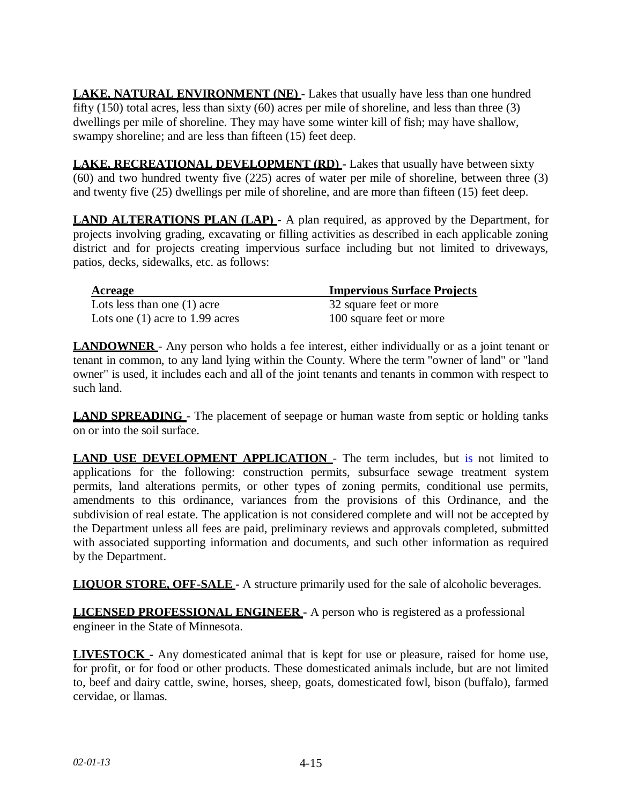**LAKE, NATURAL ENVIRONMENT (NE)** - Lakes that usually have less than one hundred fifty (150) total acres, less than sixty (60) acres per mile of shoreline, and less than three (3) dwellings per mile of shoreline. They may have some winter kill of fish; may have shallow, swampy shoreline; and are less than fifteen  $(15)$  feet deep.

**LAKE, RECREATIONAL DEVELOPMENT (RD) -** Lakes that usually have between sixty (60) and two hundred twenty five (225) acres of water per mile of shoreline, between three (3) and twenty five (25) dwellings per mile of shoreline, and are more than fifteen (15) feet deep.

**LAND ALTERATIONS PLAN (LAP)** - A plan required, as approved by the Department, for projects involving grading, excavating or filling activities as described in each applicable zoning district and for projects creating impervious surface including but not limited to driveways, patios, decks, sidewalks, etc. as follows:

| Acreage                           | <b>Impervious Surface Projects</b> |
|-----------------------------------|------------------------------------|
| Lots less than one $(1)$ acre     | 32 square feet or more             |
| Lots one $(1)$ acre to 1.99 acres | 100 square feet or more            |

**LANDOWNER** - Any person who holds a fee interest, either individually or as a joint tenant or tenant in common, to any land lying within the County. Where the term "owner of land" or "land owner" is used, it includes each and all of the joint tenants and tenants in common with respect to such land.

**LAND SPREADING** - The placement of seepage or human waste from septic or holding tanks on or into the soil surface.

**LAND USE DEVELOPMENT APPLICATION** - The term includes, but is not limited to applications for the following: construction permits, subsurface sewage treatment system permits, land alterations permits, or other types of zoning permits, conditional use permits, amendments to this ordinance, variances from the provisions of this Ordinance, and the subdivision of real estate. The application is not considered complete and will not be accepted by the Department unless all fees are paid, preliminary reviews and approvals completed, submitted with associated supporting information and documents, and such other information as required by the Department.

**LIQUOR STORE, OFF-SALE -** A structure primarily used for the sale of alcoholic beverages.

**LICENSED PROFESSIONAL ENGINEER -** A person who is registered as a professional engineer in the State of Minnesota.

**LIVESTOCK -** Any domesticated animal that is kept for use or pleasure, raised for home use, for profit, or for food or other products. These domesticated animals include, but are not limited to, beef and dairy cattle, swine, horses, sheep, goats, domesticated fowl, bison (buffalo), farmed cervidae, or llamas.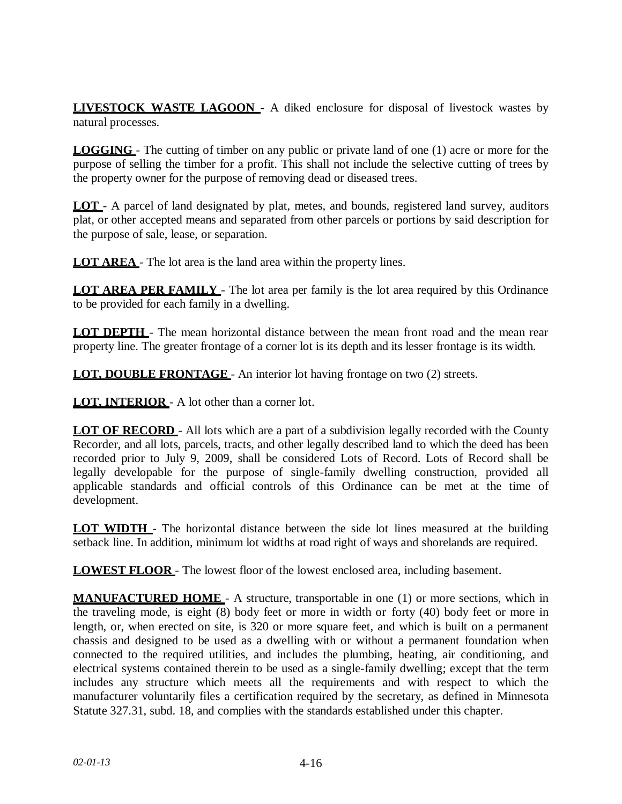**LIVESTOCK WASTE LAGOON** - A diked enclosure for disposal of livestock wastes by natural processes.

**LOGGING** - The cutting of timber on any public or private land of one (1) acre or more for the purpose of selling the timber for a profit. This shall not include the selective cutting of trees by the property owner for the purpose of removing dead or diseased trees.

**LOT** - A parcel of land designated by plat, metes, and bounds, registered land survey, auditors plat, or other accepted means and separated from other parcels or portions by said description for the purpose of sale, lease, or separation.

**LOT AREA** - The lot area is the land area within the property lines.

**LOT AREA PER FAMILY** - The lot area per family is the lot area required by this Ordinance to be provided for each family in a dwelling.

**LOT DEPTH** - The mean horizontal distance between the mean front road and the mean rear property line. The greater frontage of a corner lot is its depth and its lesser frontage is its width.

**LOT, DOUBLE FRONTAGE** - An interior lot having frontage on two (2) streets.

**LOT, INTERIOR** - A lot other than a corner lot.

**LOT OF RECORD** - All lots which are a part of a subdivision legally recorded with the County Recorder, and all lots, parcels, tracts, and other legally described land to which the deed has been recorded prior to July 9, 2009, shall be considered Lots of Record. Lots of Record shall be legally developable for the purpose of single-family dwelling construction, provided all applicable standards and official controls of this Ordinance can be met at the time of development.

**LOT WIDTH** - The horizontal distance between the side lot lines measured at the building setback line. In addition, minimum lot widths at road right of ways and shorelands are required.

**LOWEST FLOOR** - The lowest floor of the lowest enclosed area, including basement.

**MANUFACTURED HOME** - A structure, transportable in one (1) or more sections, which in the traveling mode, is eight (8) body feet or more in width or forty (40) body feet or more in length, or, when erected on site, is 320 or more square feet, and which is built on a permanent chassis and designed to be used as a dwelling with or without a permanent foundation when connected to the required utilities, and includes the plumbing, heating, air conditioning, and electrical systems contained therein to be used as a single-family dwelling; except that the term includes any structure which meets all the requirements and with respect to which the manufacturer voluntarily files a certification required by the secretary, as defined in Minnesota Statute 327.31, subd. 18, and complies with the standards established under this chapter.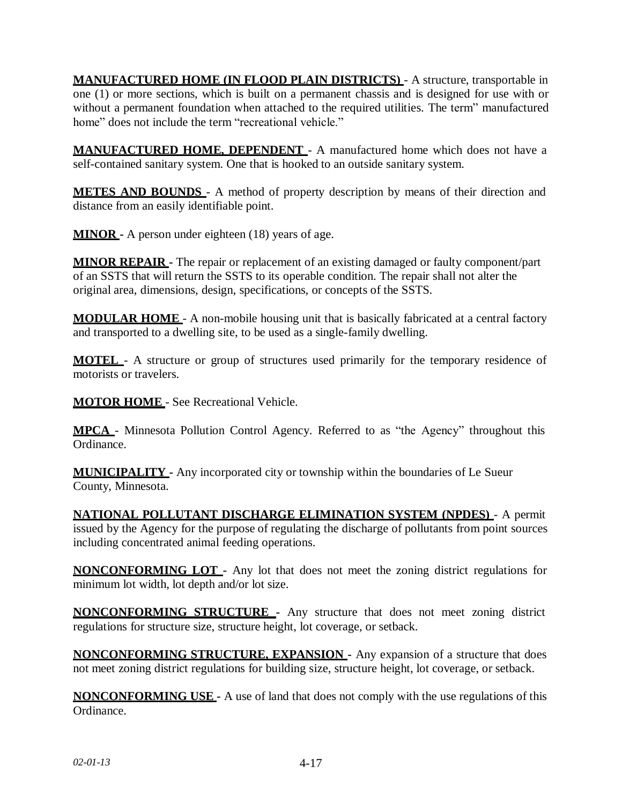**MANUFACTURED HOME (IN FLOOD PLAIN DISTRICTS)** - A structure, transportable in one (1) or more sections, which is built on a permanent chassis and is designed for use with or without a permanent foundation when attached to the required utilities. The term" manufactured home" does not include the term "recreational vehicle."

**MANUFACTURED HOME, DEPENDENT** - A manufactured home which does not have a self-contained sanitary system. One that is hooked to an outside sanitary system.

**METES AND BOUNDS** - A method of property description by means of their direction and distance from an easily identifiable point.

**MINOR -** A person under eighteen (18) years of age.

**MINOR REPAIR -** The repair or replacement of an existing damaged or faulty component/part of an SSTS that will return the SSTS to its operable condition. The repair shall not alter the original area, dimensions, design, specifications, or concepts of the SSTS.

**MODULAR HOME** - A non-mobile housing unit that is basically fabricated at a central factory and transported to a dwelling site, to be used as a single-family dwelling.

**MOTEL** - A structure or group of structures used primarily for the temporary residence of motorists or travelers.

**MOTOR HOME** - See Recreational Vehicle.

**MPCA** - Minnesota Pollution Control Agency. Referred to as "the Agency" throughout this Ordinance.

**MUNICIPALITY -** Any incorporated city or township within the boundaries of Le Sueur County, Minnesota.

**NATIONAL POLLUTANT DISCHARGE ELIMINATION SYSTEM (NPDES)** - A permit issued by the Agency for the purpose of regulating the discharge of pollutants from point sources including concentrated animal feeding operations.

**NONCONFORMING LOT -** Any lot that does not meet the zoning district regulations for minimum lot width, lot depth and/or lot size.

**NONCONFORMING STRUCTURE -** Any structure that does not meet zoning district regulations for structure size, structure height, lot coverage, or setback.

**NONCONFORMING STRUCTURE, EXPANSION -** Any expansion of a structure that does not meet zoning district regulations for building size, structure height, lot coverage, or setback.

**NONCONFORMING USE -** A use of land that does not comply with the use regulations of this Ordinance.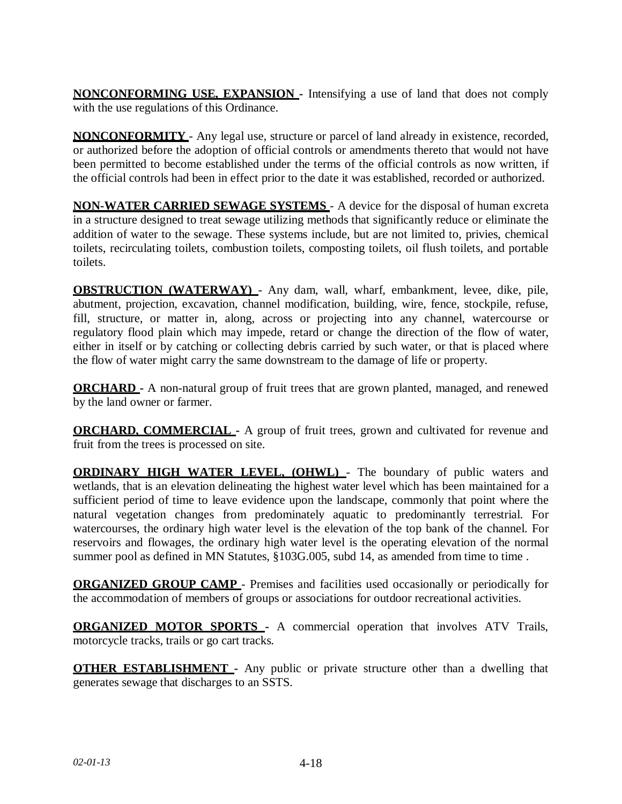**NONCONFORMING USE, EXPANSION -** Intensifying a use of land that does not comply with the use regulations of this Ordinance.

**NONCONFORMITY** - Any legal use, structure or parcel of land already in existence, recorded, or authorized before the adoption of official controls or amendments thereto that would not have been permitted to become established under the terms of the official controls as now written, if the official controls had been in effect prior to the date it was established, recorded or authorized.

**NON-WATER CARRIED SEWAGE SYSTEMS** - A device for the disposal of human excreta in a structure designed to treat sewage utilizing methods that significantly reduce or eliminate the addition of water to the sewage. These systems include, but are not limited to, privies, chemical toilets, recirculating toilets, combustion toilets, composting toilets, oil flush toilets, and portable toilets.

**OBSTRUCTION (WATERWAY)** - Any dam, wall, wharf, embankment, levee, dike, pile, abutment, projection, excavation, channel modification, building, wire, fence, stockpile, refuse, fill, structure, or matter in, along, across or projecting into any channel, watercourse or regulatory flood plain which may impede, retard or change the direction of the flow of water, either in itself or by catching or collecting debris carried by such water, or that is placed where the flow of water might carry the same downstream to the damage of life or property.

**ORCHARD -** A non-natural group of fruit trees that are grown planted, managed, and renewed by the land owner or farmer.

**ORCHARD, COMMERCIAL** - A group of fruit trees, grown and cultivated for revenue and fruit from the trees is processed on site.

**ORDINARY HIGH WATER LEVEL, (OHWL)** - The boundary of public waters and wetlands, that is an elevation delineating the highest water level which has been maintained for a sufficient period of time to leave evidence upon the landscape, commonly that point where the natural vegetation changes from predominately aquatic to predominantly terrestrial. For watercourses, the ordinary high water level is the elevation of the top bank of the channel. For reservoirs and flowages, the ordinary high water level is the operating elevation of the normal summer pool as defined in MN Statutes, §103G.005, subd 14, as amended from time to time .

**ORGANIZED GROUP CAMP** - Premises and facilities used occasionally or periodically for the accommodation of members of groups or associations for outdoor recreational activities.

**ORGANIZED MOTOR SPORTS -** A commercial operation that involves ATV Trails, motorcycle tracks, trails or go cart tracks.

**OTHER ESTABLISHMENT -** Any public or private structure other than a dwelling that generates sewage that discharges to an SSTS.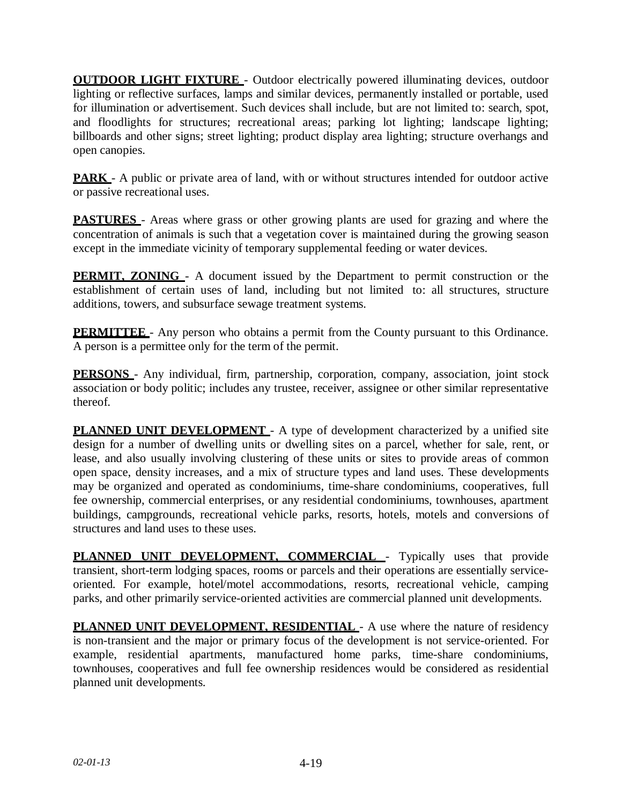**OUTDOOR LIGHT FIXTURE** - Outdoor electrically powered illuminating devices, outdoor lighting or reflective surfaces, lamps and similar devices, permanently installed or portable, used for illumination or advertisement. Such devices shall include, but are not limited to: search, spot, and floodlights for structures; recreational areas; parking lot lighting; landscape lighting; billboards and other signs; street lighting; product display area lighting; structure overhangs and open canopies.

**PARK** - A public or private area of land, with or without structures intended for outdoor active or passive recreational uses.

**PASTURES** - Areas where grass or other growing plants are used for grazing and where the concentration of animals is such that a vegetation cover is maintained during the growing season except in the immediate vicinity of temporary supplemental feeding or water devices.

**PERMIT, ZONING** - A document issued by the Department to permit construction or the establishment of certain uses of land, including but not limited to: all structures, structure additions, towers, and subsurface sewage treatment systems.

**PERMITTEE** - Any person who obtains a permit from the County pursuant to this Ordinance. A person is a permittee only for the term of the permit.

**PERSONS** - Any individual, firm, partnership, corporation, company, association, joint stock association or body politic; includes any trustee, receiver, assignee or other similar representative thereof.

**PLANNED UNIT DEVELOPMENT** - A type of development characterized by a unified site design for a number of dwelling units or dwelling sites on a parcel, whether for sale, rent, or lease, and also usually involving clustering of these units or sites to provide areas of common open space, density increases, and a mix of structure types and land uses. These developments may be organized and operated as condominiums, time-share condominiums, cooperatives, full fee ownership, commercial enterprises, or any residential condominiums, townhouses, apartment buildings, campgrounds, recreational vehicle parks, resorts, hotels, motels and conversions of structures and land uses to these uses.

**PLANNED UNIT DEVELOPMENT, COMMERCIAL** - Typically uses that provide transient, short-term lodging spaces, rooms or parcels and their operations are essentially serviceoriented. For example, hotel/motel accommodations, resorts, recreational vehicle, camping parks, and other primarily service-oriented activities are commercial planned unit developments.

**PLANNED UNIT DEVELOPMENT, RESIDENTIAL** - A use where the nature of residency is non-transient and the major or primary focus of the development is not service-oriented. For example, residential apartments, manufactured home parks, time-share condominiums, townhouses, cooperatives and full fee ownership residences would be considered as residential planned unit developments.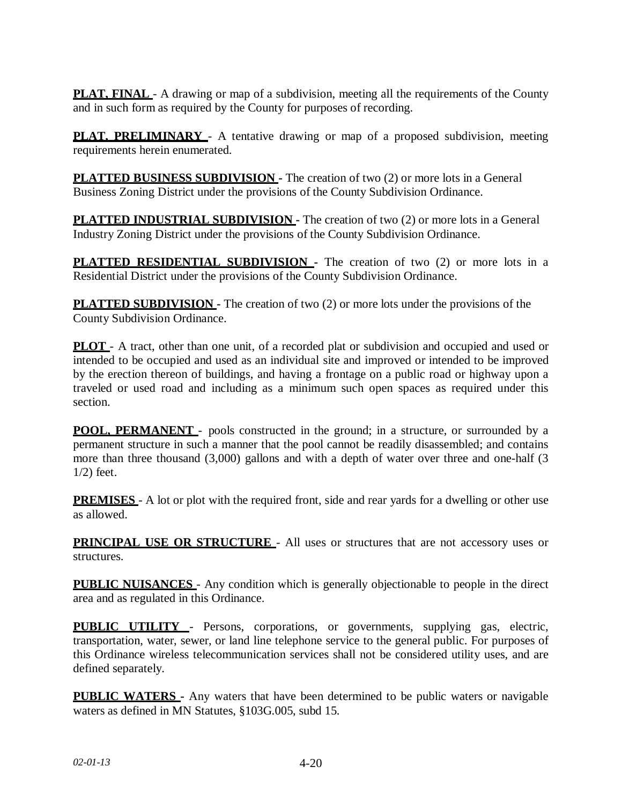**PLAT, FINAL** - A drawing or map of a subdivision, meeting all the requirements of the County and in such form as required by the County for purposes of recording.

**PLAT, PRELIMINARY** - A tentative drawing or map of a proposed subdivision, meeting requirements herein enumerated.

**PLATTED BUSINESS SUBDIVISION -** The creation of two (2) or more lots in a General Business Zoning District under the provisions of the County Subdivision Ordinance.

**PLATTED INDUSTRIAL SUBDIVISION -** The creation of two (2) or more lots in a General Industry Zoning District under the provisions of the County Subdivision Ordinance.

**PLATTED RESIDENTIAL SUBDIVISION -** The creation of two (2) or more lots in a Residential District under the provisions of the County Subdivision Ordinance.

**PLATTED SUBDIVISION -** The creation of two (2) or more lots under the provisions of the County Subdivision Ordinance.

**PLOT** - A tract, other than one unit, of a recorded plat or subdivision and occupied and used or intended to be occupied and used as an individual site and improved or intended to be improved by the erection thereon of buildings, and having a frontage on a public road or highway upon a traveled or used road and including as a minimum such open spaces as required under this section.

**POOL, PERMANENT** - pools constructed in the ground; in a structure, or surrounded by a permanent structure in such a manner that the pool cannot be readily disassembled; and contains more than three thousand (3,000) gallons and with a depth of water over three and one-half (3 1/2) feet.

**PREMISES** - A lot or plot with the required front, side and rear yards for a dwelling or other use as allowed.

**PRINCIPAL USE OR STRUCTURE** - All uses or structures that are not accessory uses or structures.

**PUBLIC NUISANCES** - Any condition which is generally objectionable to people in the direct area and as regulated in this Ordinance.

**PUBLIC UTILITY** - Persons, corporations, or governments, supplying gas, electric, transportation, water, sewer, or land line telephone service to the general public. For purposes of this Ordinance wireless telecommunication services shall not be considered utility uses, and are defined separately.

**PUBLIC WATERS -** Any waters that have been determined to be public waters or navigable waters as defined in MN Statutes, §103G.005, subd 15.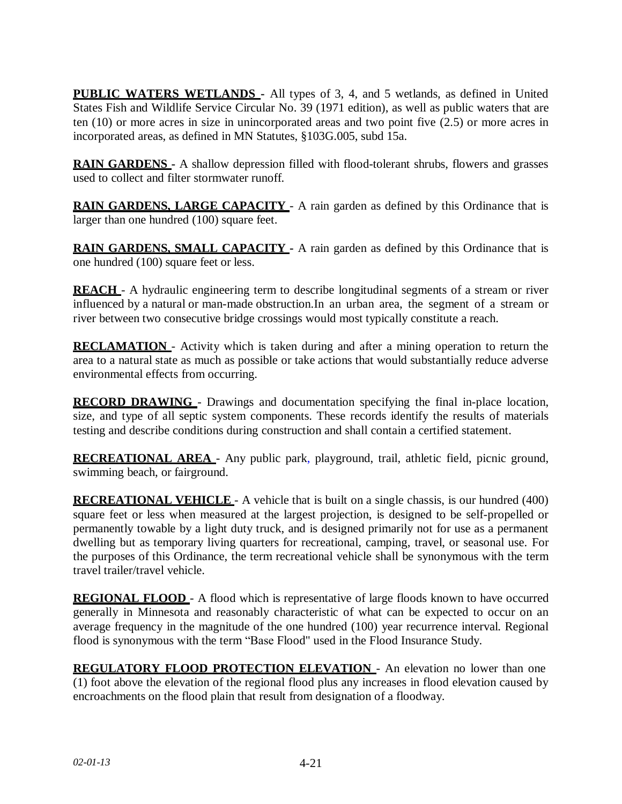**PUBLIC WATERS WETLANDS -** All types of 3, 4, and 5 wetlands, as defined in United States Fish and Wildlife Service Circular No. 39 (1971 edition), as well as public waters that are ten (10) or more acres in size in unincorporated areas and two point five (2.5) or more acres in incorporated areas, as defined in MN Statutes, §103G.005, subd 15a.

**RAIN GARDENS** - A shallow depression filled with flood-tolerant shrubs, flowers and grasses used to collect and filter stormwater runoff.

**RAIN GARDENS, LARGE CAPACITY** - A rain garden as defined by this Ordinance that is larger than one hundred (100) square feet.

**RAIN GARDENS, SMALL CAPACITY -** A rain garden as defined by this Ordinance that is one hundred (100) square feet or less.

**REACH** - A hydraulic engineering term to describe longitudinal segments of a stream or river influenced by a natural or man-made obstruction.In an urban area, the segment of a stream or river between two consecutive bridge crossings would most typically constitute a reach.

**RECLAMATION** - Activity which is taken during and after a mining operation to return the area to a natural state as much as possible or take actions that would substantially reduce adverse environmental effects from occurring.

**RECORD DRAWING** - Drawings and documentation specifying the final in-place location, size, and type of all septic system components. These records identify the results of materials testing and describe conditions during construction and shall contain a certified statement.

**RECREATIONAL AREA** - Any public park, playground, trail, athletic field, picnic ground, swimming beach, or fairground.

**RECREATIONAL VEHICLE** - A vehicle that is built on a single chassis, is our hundred (400) square feet or less when measured at the largest projection, is designed to be self-propelled or permanently towable by a light duty truck, and is designed primarily not for use as a permanent dwelling but as temporary living quarters for recreational, camping, travel, or seasonal use. For the purposes of this Ordinance, the term recreational vehicle shall be synonymous with the term travel trailer/travel vehicle.

**REGIONAL FLOOD** - A flood which is representative of large floods known to have occurred generally in Minnesota and reasonably characteristic of what can be expected to occur on an average frequency in the magnitude of the one hundred (100) year recurrence interval. Regional flood is synonymous with the term "Base Flood" used in the Flood Insurance Study.

**REGULATORY FLOOD PROTECTION ELEVATION** - An elevation no lower than one (1) foot above the elevation of the regional flood plus any increases in flood elevation caused by encroachments on the flood plain that result from designation of a floodway.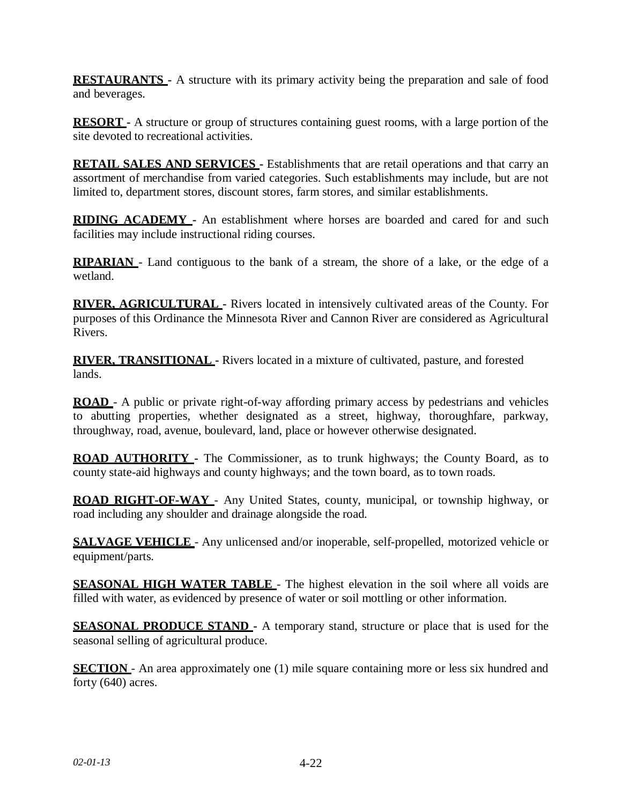**RESTAURANTS -** A structure with its primary activity being the preparation and sale of food and beverages.

**RESORT** - A structure or group of structures containing guest rooms, with a large portion of the site devoted to recreational activities.

**RETAIL SALES AND SERVICES -** Establishments that are retail operations and that carry an assortment of merchandise from varied categories. Such establishments may include, but are not limited to, department stores, discount stores, farm stores, and similar establishments.

**RIDING ACADEMY -** An establishment where horses are boarded and cared for and such facilities may include instructional riding courses.

**RIPARIAN** - Land contiguous to the bank of a stream, the shore of a lake, or the edge of a wetland.

**RIVER, AGRICULTURAL -** Rivers located in intensively cultivated areas of the County. For purposes of this Ordinance the Minnesota River and Cannon River are considered as Agricultural Rivers.

**RIVER, TRANSITIONAL -** Rivers located in a mixture of cultivated, pasture, and forested lands.

**ROAD** - A public or private right-of-way affording primary access by pedestrians and vehicles to abutting properties, whether designated as a street, highway, thoroughfare, parkway, throughway, road, avenue, boulevard, land, place or however otherwise designated.

**ROAD AUTHORITY -** The Commissioner, as to trunk highways; the County Board, as to county state-aid highways and county highways; and the town board, as to town roads.

**ROAD RIGHT-OF-WAY** - Any United States, county, municipal, or township highway, or road including any shoulder and drainage alongside the road.

**SALVAGE VEHICLE** - Any unlicensed and/or inoperable, self-propelled, motorized vehicle or equipment/parts.

**SEASONAL HIGH WATER TABLE** - The highest elevation in the soil where all voids are filled with water, as evidenced by presence of water or soil mottling or other information.

**SEASONAL PRODUCE STAND -** A temporary stand, structure or place that is used for the seasonal selling of agricultural produce.

**SECTION** - An area approximately one (1) mile square containing more or less six hundred and forty (640) acres.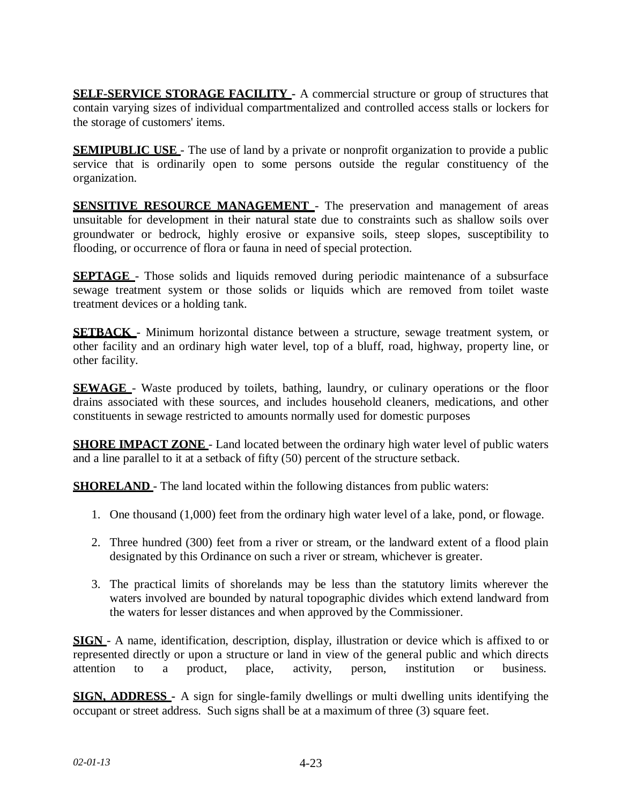**SELF-SERVICE STORAGE FACILITY -** A commercial structure or group of structures that contain varying sizes of individual compartmentalized and controlled access stalls or lockers for the storage of customers' items.

**SEMIPUBLIC USE** - The use of land by a private or nonprofit organization to provide a public service that is ordinarily open to some persons outside the regular constituency of the organization.

**SENSITIVE RESOURCE MANAGEMENT** - The preservation and management of areas unsuitable for development in their natural state due to constraints such as shallow soils over groundwater or bedrock, highly erosive or expansive soils, steep slopes, susceptibility to flooding, or occurrence of flora or fauna in need of special protection.

**SEPTAGE** - Those solids and liquids removed during periodic maintenance of a subsurface sewage treatment system or those solids or liquids which are removed from toilet waste treatment devices or a holding tank.

**SETBACK** - Minimum horizontal distance between a structure, sewage treatment system, or other facility and an ordinary high water level, top of a bluff, road, highway, property line, or other facility.

**SEWAGE** - Waste produced by toilets, bathing, laundry, or culinary operations or the floor drains associated with these sources, and includes household cleaners, medications, and other constituents in sewage restricted to amounts normally used for domestic purposes

**SHORE IMPACT ZONE** - Land located between the ordinary high water level of public waters and a line parallel to it at a setback of fifty (50) percent of the structure setback.

**SHORELAND** - The land located within the following distances from public waters:

- 1. One thousand (1,000) feet from the ordinary high water level of a lake, pond, or flowage.
- 2. Three hundred (300) feet from a river or stream, or the landward extent of a flood plain designated by this Ordinance on such a river or stream, whichever is greater.
- 3. The practical limits of shorelands may be less than the statutory limits wherever the waters involved are bounded by natural topographic divides which extend landward from the waters for lesser distances and when approved by the Commissioner.

**SIGN** - A name, identification, description, display, illustration or device which is affixed to or represented directly or upon a structure or land in view of the general public and which directs attention to a product, place, activity, person, institution or business.

**SIGN, ADDRESS -** A sign for single-family dwellings or multi dwelling units identifying the occupant or street address. Such signs shall be at a maximum of three (3) square feet.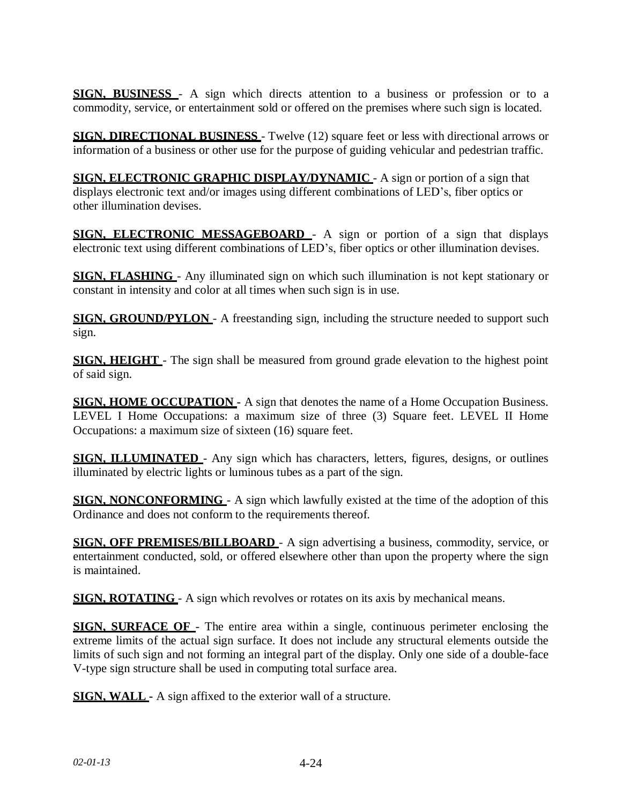**SIGN, BUSINESS** - A sign which directs attention to a business or profession or to a commodity, service, or entertainment sold or offered on the premises where such sign is located.

**SIGN, DIRECTIONAL BUSINESS** - Twelve (12) square feet or less with directional arrows or information of a business or other use for the purpose of guiding vehicular and pedestrian traffic.

**SIGN, ELECTRONIC GRAPHIC DISPLAY/DYNAMIC** - A sign or portion of a sign that displays electronic text and/or images using different combinations of LED's, fiber optics or other illumination devises.

**SIGN, ELECTRONIC MESSAGEBOARD** - A sign or portion of a sign that displays electronic text using different combinations of LED's, fiber optics or other illumination devises.

**SIGN, FLASHING** - Any illuminated sign on which such illumination is not kept stationary or constant in intensity and color at all times when such sign is in use.

**SIGN, GROUND/PYLON** - A freestanding sign, including the structure needed to support such sign.

**SIGN, HEIGHT** - The sign shall be measured from ground grade elevation to the highest point of said sign.

**SIGN, HOME OCCUPATION -** A sign that denotes the name of a Home Occupation Business. LEVEL I Home Occupations: a maximum size of three (3) Square feet. LEVEL II Home Occupations: a maximum size of sixteen (16) square feet.

**SIGN, ILLUMINATED** - Any sign which has characters, letters, figures, designs, or outlines illuminated by electric lights or luminous tubes as a part of the sign.

**SIGN, NONCONFORMING** - A sign which lawfully existed at the time of the adoption of this Ordinance and does not conform to the requirements thereof.

**SIGN, OFF PREMISES/BILLBOARD** - A sign advertising a business, commodity, service, or entertainment conducted, sold, or offered elsewhere other than upon the property where the sign is maintained.

**SIGN, ROTATING** - A sign which revolves or rotates on its axis by mechanical means.

**SIGN, SURFACE OF** - The entire area within a single, continuous perimeter enclosing the extreme limits of the actual sign surface. It does not include any structural elements outside the limits of such sign and not forming an integral part of the display. Only one side of a double-face V-type sign structure shall be used in computing total surface area.

**SIGN, WALL -** A sign affixed to the exterior wall of a structure.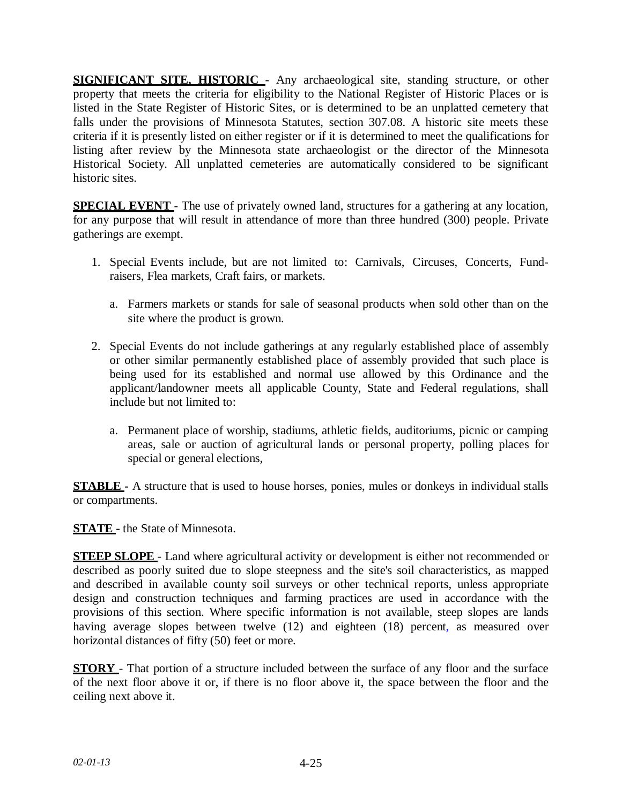**SIGNIFICANT SITE, HISTORIC** - Any archaeological site, standing structure, or other property that meets the criteria for eligibility to the National Register of Historic Places or is listed in the State Register of Historic Sites, or is determined to be an unplatted cemetery that falls under the provisions of Minnesota Statutes, section 307.08. A historic site meets these criteria if it is presently listed on either register or if it is determined to meet the qualifications for listing after review by the Minnesota state archaeologist or the director of the Minnesota Historical Society. All unplatted cemeteries are automatically considered to be significant historic sites.

**SPECIAL EVENT** - The use of privately owned land, structures for a gathering at any location, for any purpose that will result in attendance of more than three hundred (300) people. Private gatherings are exempt.

- 1. Special Events include, but are not limited to: Carnivals, Circuses, Concerts, Fundraisers, Flea markets, Craft fairs, or markets.
	- a. Farmers markets or stands for sale of seasonal products when sold other than on the site where the product is grown.
- 2. Special Events do not include gatherings at any regularly established place of assembly or other similar permanently established place of assembly provided that such place is being used for its established and normal use allowed by this Ordinance and the applicant/landowner meets all applicable County, State and Federal regulations, shall include but not limited to:
	- a. Permanent place of worship, stadiums, athletic fields, auditoriums, picnic or camping areas, sale or auction of agricultural lands or personal property, polling places for special or general elections,

**STABLE** - A structure that is used to house horses, ponies, mules or donkeys in individual stalls or compartments.

**STATE -** the State of Minnesota.

**STEEP SLOPE** - Land where agricultural activity or development is either not recommended or described as poorly suited due to slope steepness and the site's soil characteristics, as mapped and described in available county soil surveys or other technical reports, unless appropriate design and construction techniques and farming practices are used in accordance with the provisions of this section. Where specific information is not available, steep slopes are lands having average slopes between twelve (12) and eighteen (18) percent, as measured over horizontal distances of fifty (50) feet or more.

**STORY** - That portion of a structure included between the surface of any floor and the surface of the next floor above it or, if there is no floor above it, the space between the floor and the ceiling next above it.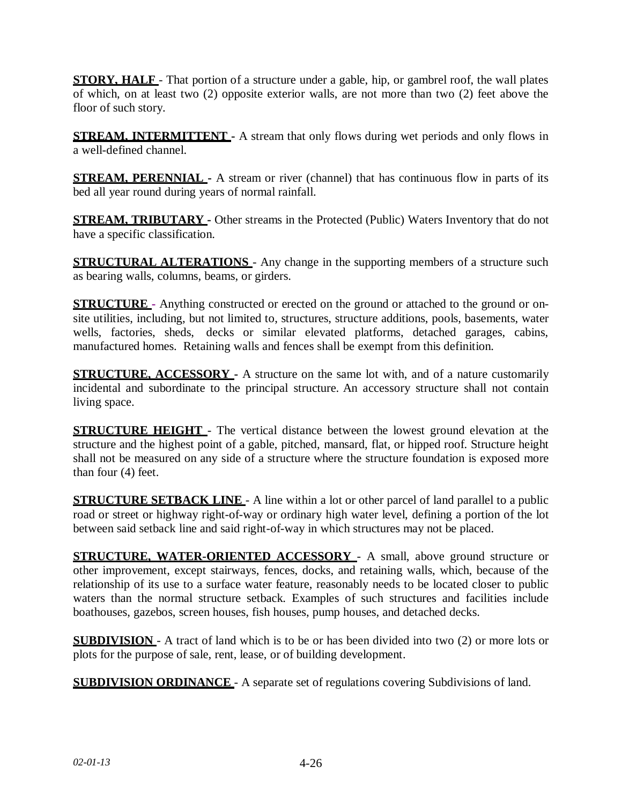**STORY, HALF** - That portion of a structure under a gable, hip, or gambrel roof, the wall plates of which, on at least two (2) opposite exterior walls, are not more than two (2) feet above the floor of such story.

**STREAM, INTERMITTENT** - A stream that only flows during wet periods and only flows in a well-defined channel.

**STREAM, PERENNIAL -** A stream or river (channel) that has continuous flow in parts of its bed all year round during years of normal rainfall.

**STREAM, TRIBUTARY -** Other streams in the Protected (Public) Waters Inventory that do not have a specific classification.

**STRUCTURAL ALTERATIONS** - Any change in the supporting members of a structure such as bearing walls, columns, beams, or girders.

**STRUCTURE -** Anything constructed or erected on the ground or attached to the ground or onsite utilities, including, but not limited to, structures, structure additions, pools, basements, water wells, factories, sheds, decks or similar elevated platforms, detached garages, cabins, manufactured homes. Retaining walls and fences shall be exempt from this definition.

**STRUCTURE, ACCESSORY -** A structure on the same lot with, and of a nature customarily incidental and subordinate to the principal structure. An accessory structure shall not contain living space.

**STRUCTURE HEIGHT** - The vertical distance between the lowest ground elevation at the structure and the highest point of a gable, pitched, mansard, flat, or hipped roof. Structure height shall not be measured on any side of a structure where the structure foundation is exposed more than four (4) feet.

**STRUCTURE SETBACK LINE** - A line within a lot or other parcel of land parallel to a public road or street or highway right-of-way or ordinary high water level, defining a portion of the lot between said setback line and said right-of-way in which structures may not be placed.

**STRUCTURE, WATER-ORIENTED ACCESSORY** - A small, above ground structure or other improvement, except stairways, fences, docks, and retaining walls, which, because of the relationship of its use to a surface water feature, reasonably needs to be located closer to public waters than the normal structure setback. Examples of such structures and facilities include boathouses, gazebos, screen houses, fish houses, pump houses, and detached decks.

**SUBDIVISION** - A tract of land which is to be or has been divided into two (2) or more lots or plots for the purpose of sale, rent, lease, or of building development.

**SUBDIVISION ORDINANCE** - A separate set of regulations covering Subdivisions of land.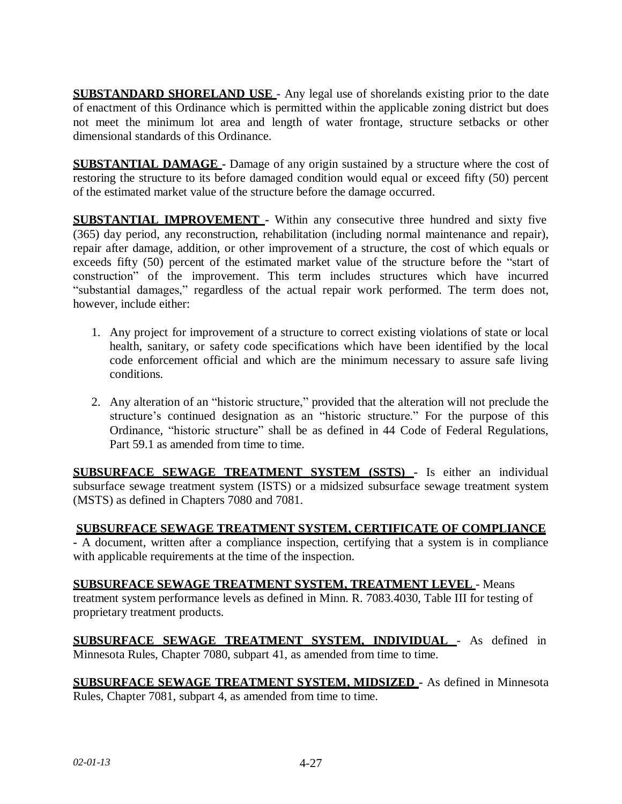**SUBSTANDARD SHORELAND USE -** Any legal use of shorelands existing prior to the date of enactment of this Ordinance which is permitted within the applicable zoning district but does not meet the minimum lot area and length of water frontage, structure setbacks or other dimensional standards of this Ordinance.

**SUBSTANTIAL DAMAGE -** Damage of any origin sustained by a structure where the cost of restoring the structure to its before damaged condition would equal or exceed fifty (50) percent of the estimated market value of the structure before the damage occurred.

**SUBSTANTIAL IMPROVEMENT -** Within any consecutive three hundred and sixty five (365) day period, any reconstruction, rehabilitation (including normal maintenance and repair), repair after damage, addition, or other improvement of a structure, the cost of which equals or exceeds fifty (50) percent of the estimated market value of the structure before the "start of construction" of the improvement. This term includes structures which have incurred "substantial damages," regardless of the actual repair work performed. The term does not, however, include either:

- 1. Any project for improvement of a structure to correct existing violations of state or local health, sanitary, or safety code specifications which have been identified by the local code enforcement official and which are the minimum necessary to assure safe living conditions.
- 2. Any alteration of an "historic structure," provided that the alteration will not preclude the structure's continued designation as an "historic structure." For the purpose of this Ordinance, "historic structure" shall be as defined in 44 Code of Federal Regulations, Part 59.1 as amended from time to time.

**SUBSURFACE SEWAGE TREATMENT SYSTEM (SSTS) -** Is either an individual subsurface sewage treatment system (ISTS) or a midsized subsurface sewage treatment system (MSTS) as defined in Chapters 7080 and 7081.

## **SUBSURFACE SEWAGE TREATMENT SYSTEM, CERTIFICATE OF COMPLIANCE**

**-** A document, written after a compliance inspection, certifying that a system is in compliance with applicable requirements at the time of the inspection.

**SUBSURFACE SEWAGE TREATMENT SYSTEM, TREATMENT LEVEL** - Means treatment system performance levels as defined in Minn. R. 7083.4030, Table III for testing of proprietary treatment products.

**SUBSURFACE SEWAGE TREATMENT SYSTEM, INDIVIDUAL** - As defined in Minnesota Rules, Chapter 7080, subpart 41, as amended from time to time.

**SUBSURFACE SEWAGE TREATMENT SYSTEM, MIDSIZED -** As defined in Minnesota Rules, Chapter 7081, subpart 4, as amended from time to time.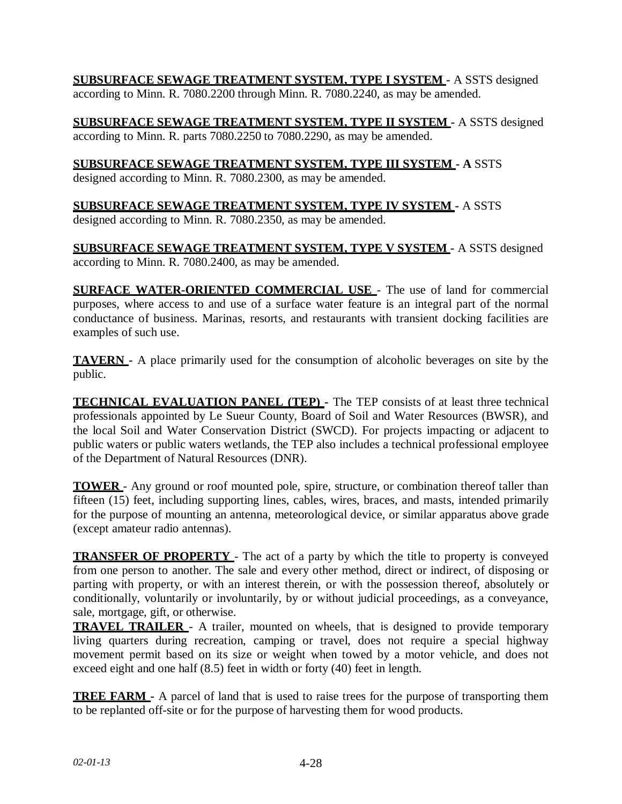**SUBSURFACE SEWAGE TREATMENT SYSTEM, TYPE I SYSTEM -** A SSTS designed according to Minn. R. 7080.2200 through Minn. R. 7080.2240, as may be amended.

**SUBSURFACE SEWAGE TREATMENT SYSTEM, TYPE II SYSTEM -** A SSTS designed according to Minn. R. parts 7080.2250 to 7080.2290, as may be amended.

# **SUBSURFACE SEWAGE TREATMENT SYSTEM, TYPE III SYSTEM - A** SSTS

designed according to Minn. R. 7080.2300, as may be amended.

### **SUBSURFACE SEWAGE TREATMENT SYSTEM, TYPE IV SYSTEM -** A SSTS designed according to Minn. R. 7080.2350, as may be amended.

**SUBSURFACE SEWAGE TREATMENT SYSTEM, TYPE V SYSTEM -** A SSTS designed according to Minn. R. 7080.2400, as may be amended.

**SURFACE WATER-ORIENTED COMMERCIAL USE** - The use of land for commercial purposes, where access to and use of a surface water feature is an integral part of the normal conductance of business. Marinas, resorts, and restaurants with transient docking facilities are examples of such use.

**TAVERN -** A place primarily used for the consumption of alcoholic beverages on site by the public.

**TECHNICAL EVALUATION PANEL (TEP) -** The TEP consists of at least three technical professionals appointed by Le Sueur County, Board of Soil and Water Resources (BWSR), and the local Soil and Water Conservation District (SWCD). For projects impacting or adjacent to public waters or public waters wetlands, the TEP also includes a technical professional employee of the Department of Natural Resources (DNR).

**TOWER** - Any ground or roof mounted pole, spire, structure, or combination thereof taller than fifteen (15) feet, including supporting lines, cables, wires, braces, and masts, intended primarily for the purpose of mounting an antenna, meteorological device, or similar apparatus above grade (except amateur radio antennas).

**TRANSFER OF PROPERTY** - The act of a party by which the title to property is conveyed from one person to another. The sale and every other method, direct or indirect, of disposing or parting with property, or with an interest therein, or with the possession thereof, absolutely or conditionally, voluntarily or involuntarily, by or without judicial proceedings, as a conveyance, sale, mortgage, gift, or otherwise.

**TRAVEL TRAILER** - A trailer, mounted on wheels, that is designed to provide temporary living quarters during recreation, camping or travel, does not require a special highway movement permit based on its size or weight when towed by a motor vehicle, and does not exceed eight and one half (8.5) feet in width or forty (40) feet in length.

**TREE FARM -** A parcel of land that is used to raise trees for the purpose of transporting them to be replanted off-site or for the purpose of harvesting them for wood products.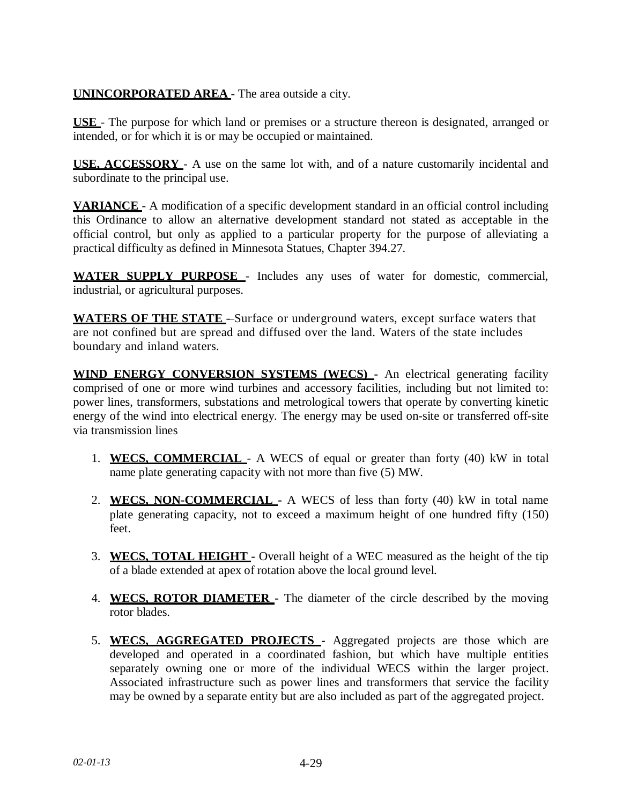# **UNINCORPORATED AREA** - The area outside a city.

**USE** - The purpose for which land or premises or a structure thereon is designated, arranged or intended, or for which it is or may be occupied or maintained.

**USE, ACCESSORY** - A use on the same lot with, and of a nature customarily incidental and subordinate to the principal use.

**VARIANCE** - A modification of a specific development standard in an official control including this Ordinance to allow an alternative development standard not stated as acceptable in the official control, but only as applied to a particular property for the purpose of alleviating a practical difficulty as defined in Minnesota Statues, Chapter 394.27.

**WATER SUPPLY PURPOSE** - Includes any uses of water for domestic, commercial, industrial, or agricultural purposes.

**WATERS OF THE STATE** - Surface or underground waters, except surface waters that are not confined but are spread and diffused over the land. Waters of the state includes boundary and inland waters.

**WIND ENERGY CONVERSION SYSTEMS (WECS) -** An electrical generating facility comprised of one or more wind turbines and accessory facilities, including but not limited to: power lines, transformers, substations and metrological towers that operate by converting kinetic energy of the wind into electrical energy. The energy may be used on-site or transferred off-site via transmission lines

- 1. **WECS, COMMERCIAL** A WECS of equal or greater than forty (40) kW in total name plate generating capacity with not more than five (5) MW.
- 2. **WECS, NON-COMMERCIAL -** A WECS of less than forty (40) kW in total name plate generating capacity, not to exceed a maximum height of one hundred fifty (150) feet.
- 3. **WECS, TOTAL HEIGHT -** Overall height of a WEC measured as the height of the tip of a blade extended at apex of rotation above the local ground level.
- 4. **WECS, ROTOR DIAMETER -** The diameter of the circle described by the moving rotor blades.
- 5. **WECS, AGGREGATED PROJECTS -** Aggregated projects are those which are developed and operated in a coordinated fashion, but which have multiple entities separately owning one or more of the individual WECS within the larger project. Associated infrastructure such as power lines and transformers that service the facility may be owned by a separate entity but are also included as part of the aggregated project.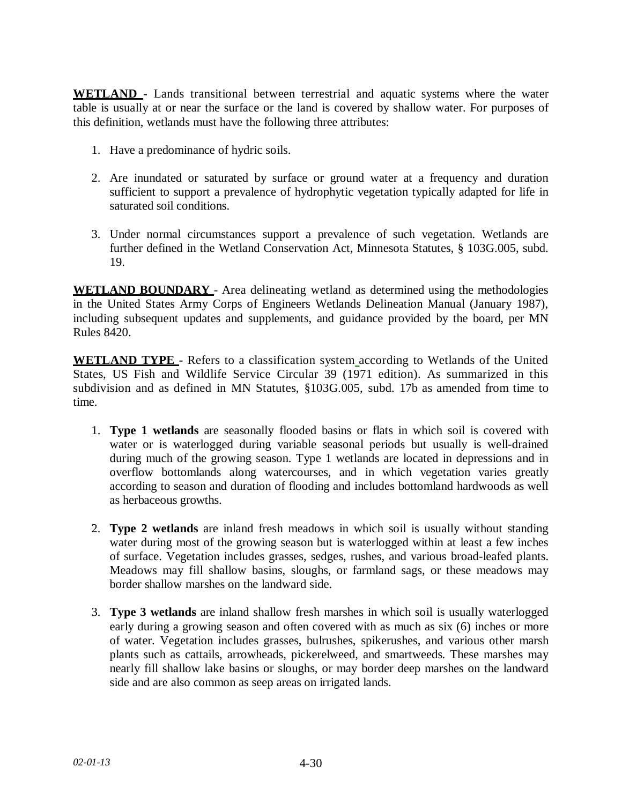**WETLAND -** Lands transitional between terrestrial and aquatic systems where the water table is usually at or near the surface or the land is covered by shallow water. For purposes of this definition, wetlands must have the following three attributes:

- 1. Have a predominance of hydric soils.
- 2. Are inundated or saturated by surface or ground water at a frequency and duration sufficient to support a prevalence of hydrophytic vegetation typically adapted for life in saturated soil conditions.
- 3. Under normal circumstances support a prevalence of such vegetation. Wetlands are further defined in the Wetland Conservation Act, Minnesota Statutes, § 103G.005, subd. 19.

**WETLAND BOUNDARY** - Area delineating wetland as determined using the methodologies in the United States Army Corps of Engineers Wetlands Delineation Manual (January 1987), including subsequent updates and supplements, and guidance provided by the board, per MN Rules 8420.

**WETLAND TYPE -** Refers to a classification system according to Wetlands of the United States, US Fish and Wildlife Service Circular 39 (1971 edition). As summarized in this subdivision and as defined in MN Statutes, §103G.005, subd. 17b as amended from time to time.

- 1. **Type 1 wetlands** are seasonally flooded basins or flats in which soil is covered with water or is waterlogged during variable seasonal periods but usually is well-drained during much of the growing season. Type 1 wetlands are located in depressions and in overflow bottomlands along watercourses, and in which vegetation varies greatly according to season and duration of flooding and includes bottomland hardwoods as well as herbaceous growths.
- 2. **Type 2 wetlands** are inland fresh meadows in which soil is usually without standing water during most of the growing season but is waterlogged within at least a few inches of surface. Vegetation includes grasses, sedges, rushes, and various broad-leafed plants. Meadows may fill shallow basins, sloughs, or farmland sags, or these meadows may border shallow marshes on the landward side.
- 3. **Type 3 wetlands** are inland shallow fresh marshes in which soil is usually waterlogged early during a growing season and often covered with as much as six (6) inches or more of water. Vegetation includes grasses, bulrushes, spikerushes, and various other marsh plants such as cattails, arrowheads, pickerelweed, and smartweeds. These marshes may nearly fill shallow lake basins or sloughs, or may border deep marshes on the landward side and are also common as seep areas on irrigated lands.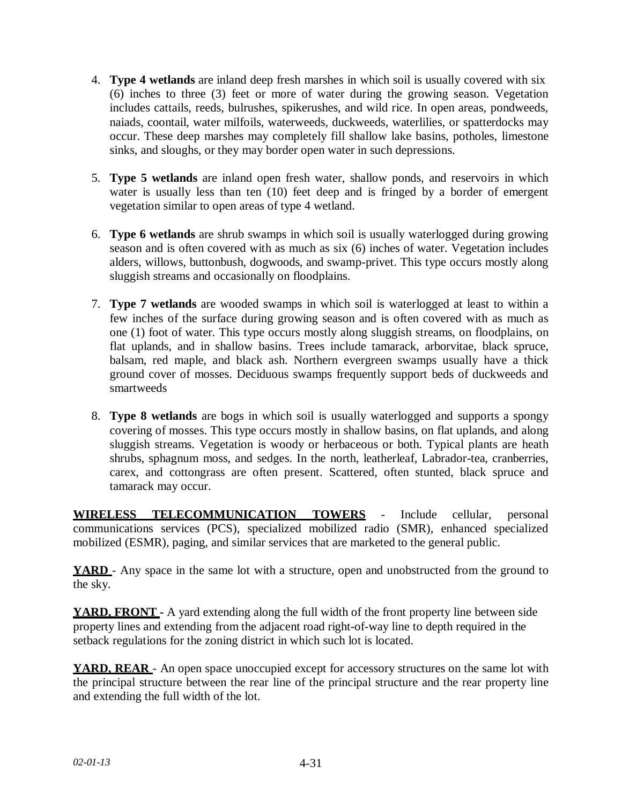- 4. **Type 4 wetlands** are inland deep fresh marshes in which soil is usually covered with six (6) inches to three (3) feet or more of water during the growing season. Vegetation includes cattails, reeds, bulrushes, spikerushes, and wild rice. In open areas, pondweeds, naiads, coontail, water milfoils, waterweeds, duckweeds, waterlilies, or spatterdocks may occur. These deep marshes may completely fill shallow lake basins, potholes, limestone sinks, and sloughs, or they may border open water in such depressions.
- 5. **Type 5 wetlands** are inland open fresh water, shallow ponds, and reservoirs in which water is usually less than ten (10) feet deep and is fringed by a border of emergent vegetation similar to open areas of type 4 wetland.
- 6. **Type 6 wetlands** are shrub swamps in which soil is usually waterlogged during growing season and is often covered with as much as six (6) inches of water. Vegetation includes alders, willows, buttonbush, dogwoods, and swamp-privet. This type occurs mostly along sluggish streams and occasionally on floodplains.
- 7. **Type 7 wetlands** are wooded swamps in which soil is waterlogged at least to within a few inches of the surface during growing season and is often covered with as much as one (1) foot of water. This type occurs mostly along sluggish streams, on floodplains, on flat uplands, and in shallow basins. Trees include tamarack, arborvitae, black spruce, balsam, red maple, and black ash. Northern evergreen swamps usually have a thick ground cover of mosses. Deciduous swamps frequently support beds of duckweeds and smartweeds
- 8. **Type 8 wetlands** are bogs in which soil is usually waterlogged and supports a spongy covering of mosses. This type occurs mostly in shallow basins, on flat uplands, and along sluggish streams. Vegetation is woody or herbaceous or both. Typical plants are heath shrubs, sphagnum moss, and sedges. In the north, leatherleaf, Labrador-tea, cranberries, carex, and cottongrass are often present. Scattered, often stunted, black spruce and tamarack may occur.

**WIRELESS TELECOMMUNICATION TOWERS** - Include cellular, personal communications services (PCS), specialized mobilized radio (SMR), enhanced specialized mobilized (ESMR), paging, and similar services that are marketed to the general public.

**YARD** - Any space in the same lot with a structure, open and unobstructed from the ground to the sky.

**YARD, FRONT** - A yard extending along the full width of the front property line between side property lines and extending from the adjacent road right-of-way line to depth required in the setback regulations for the zoning district in which such lot is located.

**YARD, REAR** - An open space unoccupied except for accessory structures on the same lot with the principal structure between the rear line of the principal structure and the rear property line and extending the full width of the lot.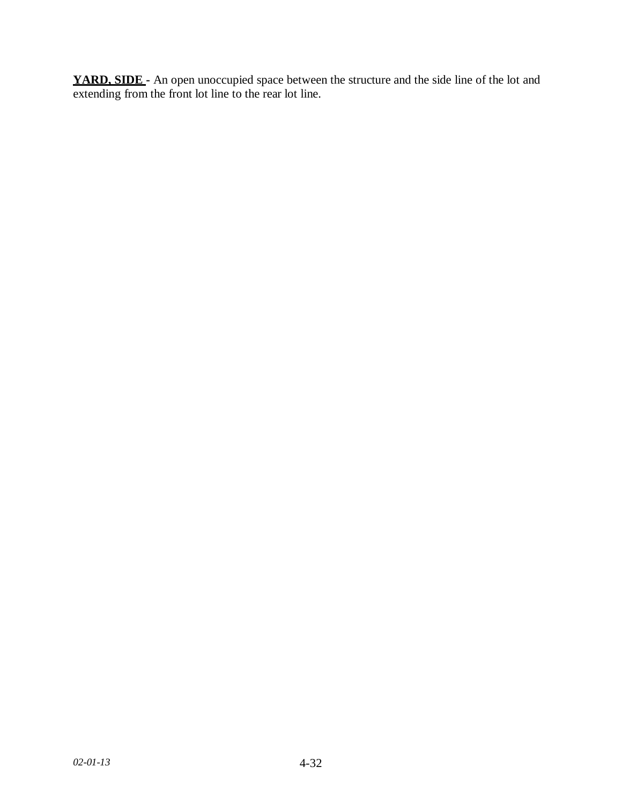**YARD, SIDE -** An open unoccupied space between the structure and the side line of the lot and extending from the front lot line to the rear lot line.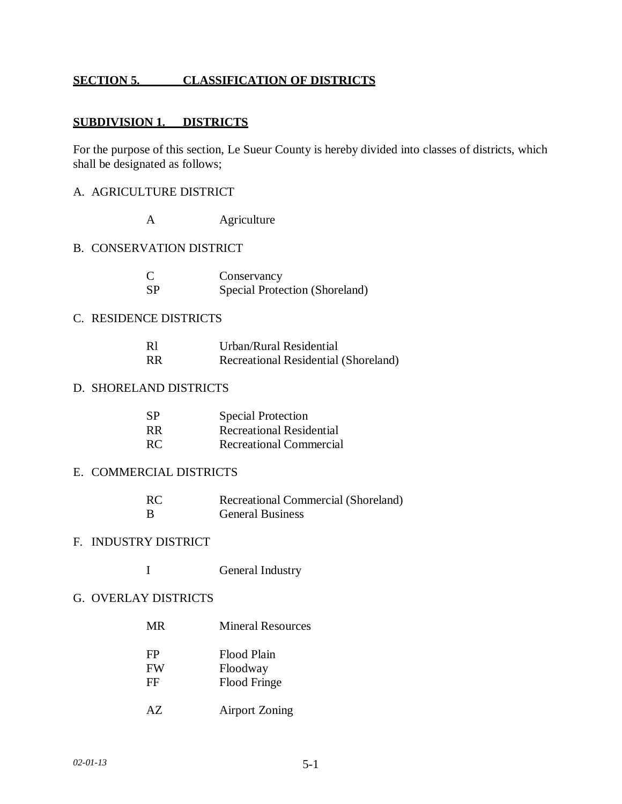## **SECTION 5. CLASSIFICATION OF DISTRICTS**

## **SUBDIVISION 1. DISTRICTS**

For the purpose of this section, Le Sueur County is hereby divided into classes of districts, which shall be designated as follows;

- A. AGRICULTURE DISTRICT
	- A **Agriculture**

### B. CONSERVATION DISTRICT

| C   | Conservancy                    |
|-----|--------------------------------|
| -SP | Special Protection (Shoreland) |

#### C. RESIDENCE DISTRICTS

| R1        | Urban/Rural Residential              |
|-----------|--------------------------------------|
| <b>RR</b> | Recreational Residential (Shoreland) |

## D. SHORELAND DISTRICTS

| <b>SP</b> | <b>Special Protection</b> |
|-----------|---------------------------|
| RR.       | Recreational Residential  |
| RC.       | Recreational Commercial   |

### E. COMMERCIAL DISTRICTS

| RC. | Recreational Commercial (Shoreland) |
|-----|-------------------------------------|
| - B | <b>General Business</b>             |

#### F. INDUSTRY DISTRICT

I General Industry

#### G. OVERLAY DISTRICTS

| MR.       | <b>Mineral Resources</b> |  |  |
|-----------|--------------------------|--|--|
| FP        | Flood Plain              |  |  |
| <b>FW</b> | Floodway                 |  |  |
| FF        | <b>Flood Fringe</b>      |  |  |

AZ Airport Zoning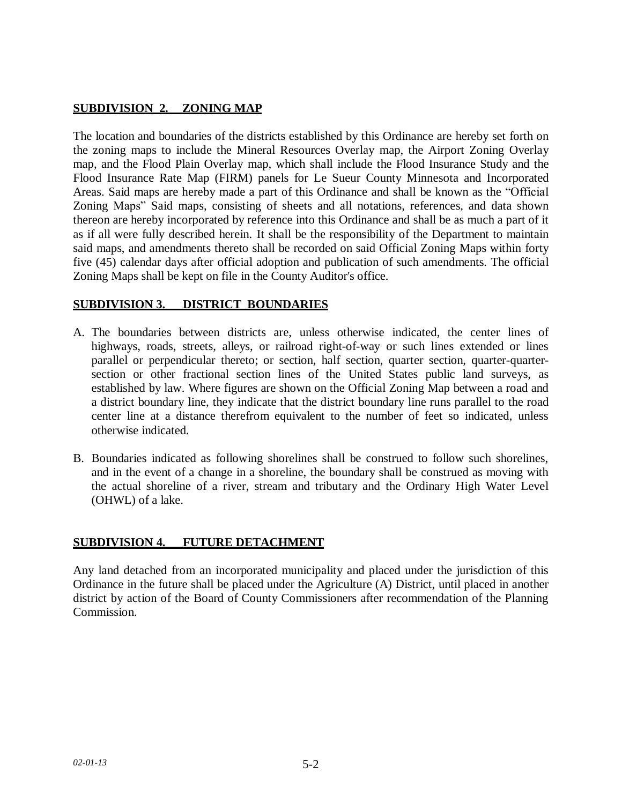# **SUBDIVISION\_2.\_ ZONING MAP**

The location and boundaries of the districts established by this Ordinance are hereby set forth on the zoning maps to include the Mineral Resources Overlay map, the Airport Zoning Overlay map, and the Flood Plain Overlay map, which shall include the Flood Insurance Study and the Flood Insurance Rate Map (FIRM) panels for Le Sueur County Minnesota and Incorporated Areas. Said maps are hereby made a part of this Ordinance and shall be known as the "Official Zoning Maps" Said maps, consisting of sheets and all notations, references, and data shown thereon are hereby incorporated by reference into this Ordinance and shall be as much a part of it as if all were fully described herein. It shall be the responsibility of the Department to maintain said maps, and amendments thereto shall be recorded on said Official Zoning Maps within forty five (45) calendar days after official adoption and publication of such amendments. The official Zoning Maps shall be kept on file in the County Auditor's office.

## **SUBDIVISION 3. DISTRICT\_BOUNDARIES**

- A. The boundaries between districts are, unless otherwise indicated, the center lines of highways, roads, streets, alleys, or railroad right-of-way or such lines extended or lines parallel or perpendicular thereto; or section, half section, quarter section, quarter-quartersection or other fractional section lines of the United States public land surveys, as established by law. Where figures are shown on the Official Zoning Map between a road and a district boundary line, they indicate that the district boundary line runs parallel to the road center line at a distance therefrom equivalent to the number of feet so indicated, unless otherwise indicated.
- B. Boundaries indicated as following shorelines shall be construed to follow such shorelines, and in the event of a change in a shoreline, the boundary shall be construed as moving with the actual shoreline of a river, stream and tributary and the Ordinary High Water Level (OHWL) of a lake.

### **SUBDIVISION 4. FUTURE DETACHMENT**

Any land detached from an incorporated municipality and placed under the jurisdiction of this Ordinance in the future shall be placed under the Agriculture (A) District, until placed in another district by action of the Board of County Commissioners after recommendation of the Planning Commission.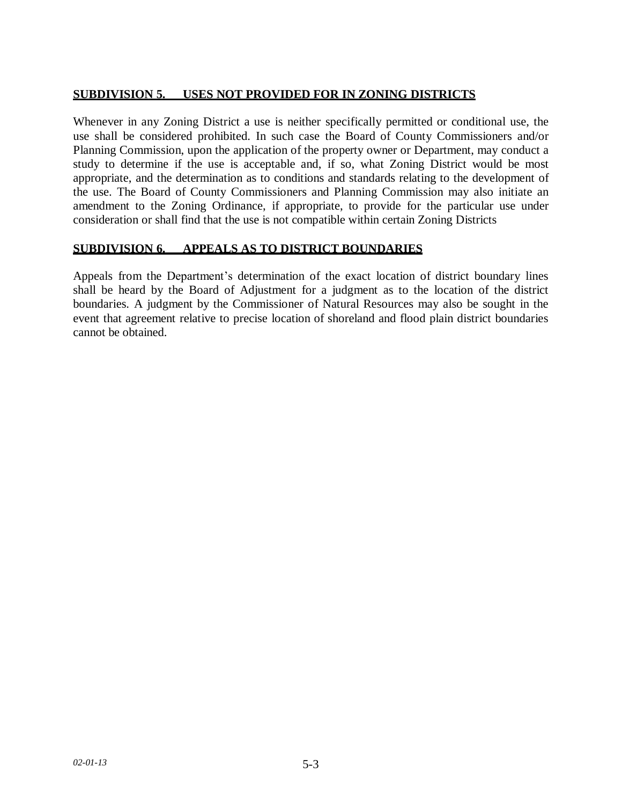## **SUBDIVISION 5. USES NOT PROVIDED FOR IN ZONING DISTRICTS**

Whenever in any Zoning District a use is neither specifically permitted or conditional use, the use shall be considered prohibited. In such case the Board of County Commissioners and/or Planning Commission, upon the application of the property owner or Department, may conduct a study to determine if the use is acceptable and, if so, what Zoning District would be most appropriate, and the determination as to conditions and standards relating to the development of the use. The Board of County Commissioners and Planning Commission may also initiate an amendment to the Zoning Ordinance, if appropriate, to provide for the particular use under consideration or shall find that the use is not compatible within certain Zoning Districts

## **SUBDIVISION 6. APPEALS AS TO DISTRICT BOUNDARIES**

Appeals from the Department's determination of the exact location of district boundary lines shall be heard by the Board of Adjustment for a judgment as to the location of the district boundaries. A judgment by the Commissioner of Natural Resources may also be sought in the event that agreement relative to precise location of shoreland and flood plain district boundaries cannot be obtained.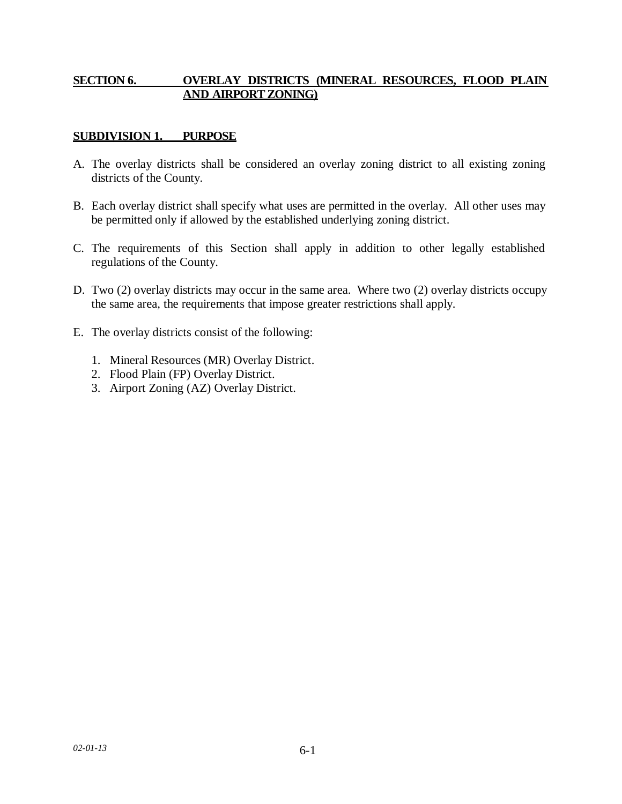## **SECTION 6. OVERLAY DISTRICTS (MINERAL RESOURCES, FLOOD PLAIN AND AIRPORTZONING)**

# **SUBDIVISION 1. PURPOSE**

- A. The overlay districts shall be considered an overlay zoning district to all existing zoning districts of the County.
- B. Each overlay district shall specify what uses are permitted in the overlay. All other uses may be permitted only if allowed by the established underlying zoning district.
- C. The requirements of this Section shall apply in addition to other legally established regulations of the County.
- D. Two (2) overlay districts may occur in the same area. Where two (2) overlay districts occupy the same area, the requirements that impose greater restrictions shall apply.
- E. The overlay districts consist of the following:
	- 1. Mineral Resources (MR) Overlay District.
	- 2. Flood Plain (FP) Overlay District.
	- 3. Airport Zoning (AZ) Overlay District.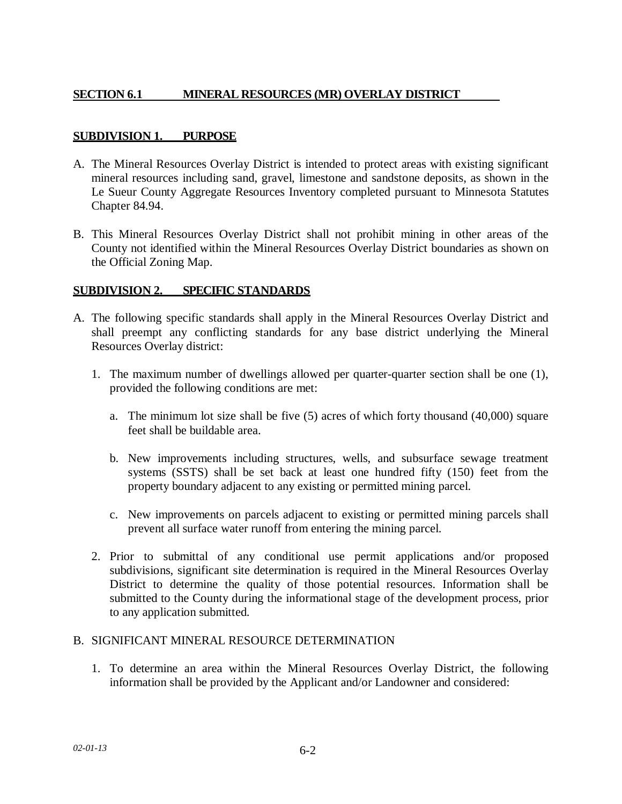# **SECTION 6.1 MINERAL RESOURCES (MR) OVERLAY DISTRICT**

## **SUBDIVISION 1. PURPOSE**

- A. The Mineral Resources Overlay District is intended to protect areas with existing significant mineral resources including sand, gravel, limestone and sandstone deposits, as shown in the Le Sueur County Aggregate Resources Inventory completed pursuant to Minnesota Statutes Chapter 84.94.
- B. This Mineral Resources Overlay District shall not prohibit mining in other areas of the County not identified within the Mineral Resources Overlay District boundaries as shown on the Official Zoning Map.

### **SUBDIVISION 2. SPECIFIC STANDARDS**

- A. The following specific standards shall apply in the Mineral Resources Overlay District and shall preempt any conflicting standards for any base district underlying the Mineral Resources Overlay district:
	- 1. The maximum number of dwellings allowed per quarter-quarter section shall be one (1), provided the following conditions are met:
		- a. The minimum lot size shall be five (5) acres of which forty thousand (40,000) square feet shall be buildable area.
		- b. New improvements including structures, wells, and subsurface sewage treatment systems (SSTS) shall be set back at least one hundred fifty (150) feet from the property boundary adjacent to any existing or permitted mining parcel.
		- c. New improvements on parcels adjacent to existing or permitted mining parcels shall prevent all surface water runoff from entering the mining parcel.
	- 2. Prior to submittal of any conditional use permit applications and/or proposed subdivisions, significant site determination is required in the Mineral Resources Overlay District to determine the quality of those potential resources. Information shall be submitted to the County during the informational stage of the development process, prior to any application submitted.

### B. SIGNIFICANT MINERAL RESOURCE DETERMINATION

1. To determine an area within the Mineral Resources Overlay District, the following information shall be provided by the Applicant and/or Landowner and considered: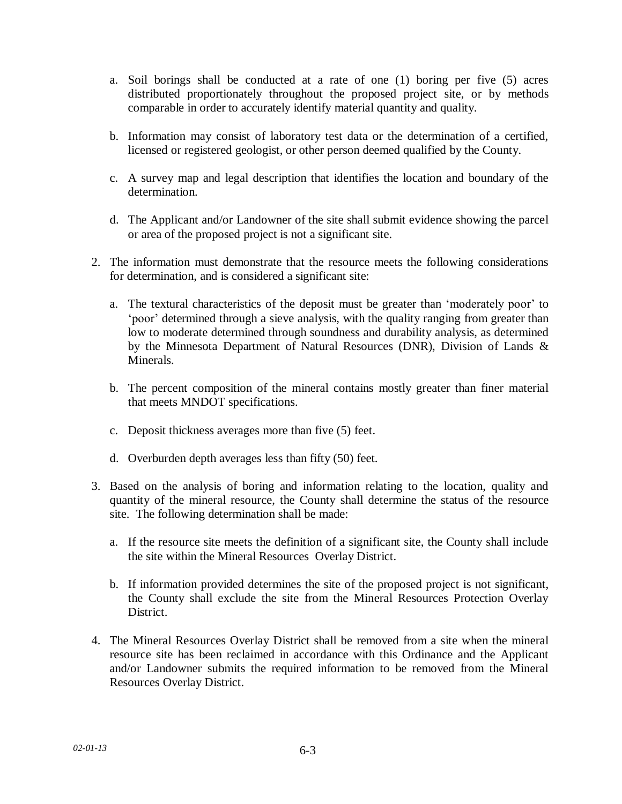- a. Soil borings shall be conducted at a rate of one (1) boring per five (5) acres distributed proportionately throughout the proposed project site, or by methods comparable in order to accurately identify material quantity and quality.
- b. Information may consist of laboratory test data or the determination of a certified, licensed or registered geologist, or other person deemed qualified by the County.
- c. A survey map and legal description that identifies the location and boundary of the determination.
- d. The Applicant and/or Landowner of the site shall submit evidence showing the parcel or area of the proposed project is not a significant site.
- 2. The information must demonstrate that the resource meets the following considerations for determination, and is considered a significant site:
	- a. The textural characteristics of the deposit must be greater than 'moderately poor' to 'poor' determined through a sieve analysis, with the quality ranging from greater than low to moderate determined through soundness and durability analysis, as determined by the Minnesota Department of Natural Resources (DNR), Division of Lands & Minerals.
	- b. The percent composition of the mineral contains mostly greater than finer material that meets MNDOT specifications.
	- c. Deposit thickness averages more than five (5) feet.
	- d. Overburden depth averages less than fifty (50) feet.
- 3. Based on the analysis of boring and information relating to the location, quality and quantity of the mineral resource, the County shall determine the status of the resource site. The following determination shall be made:
	- a. If the resource site meets the definition of a significant site, the County shall include the site within the Mineral Resources Overlay District.
	- b. If information provided determines the site of the proposed project is not significant, the County shall exclude the site from the Mineral Resources Protection Overlay District.
- 4. The Mineral Resources Overlay District shall be removed from a site when the mineral resource site has been reclaimed in accordance with this Ordinance and the Applicant and/or Landowner submits the required information to be removed from the Mineral Resources Overlay District.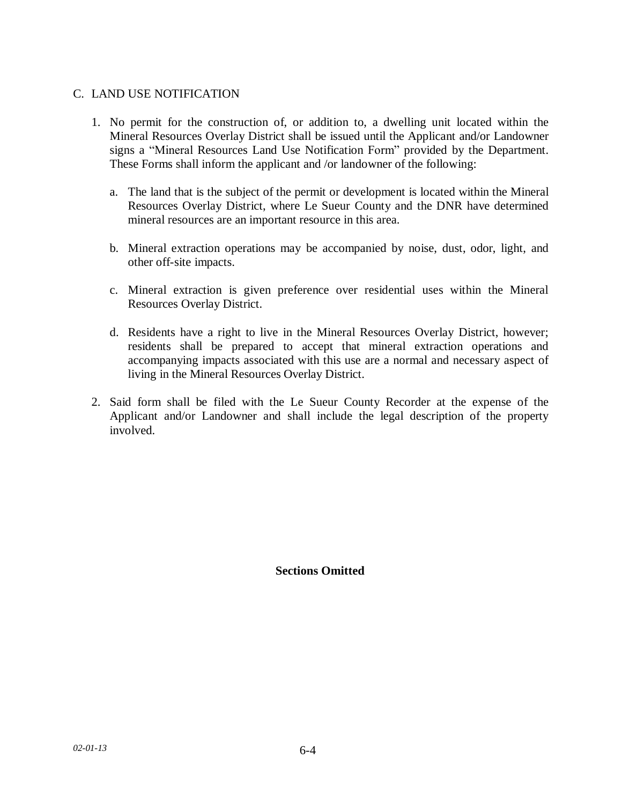## C. LAND USE NOTIFICATION

- 1. No permit for the construction of, or addition to, a dwelling unit located within the Mineral Resources Overlay District shall be issued until the Applicant and/or Landowner signs a "Mineral Resources Land Use Notification Form" provided by the Department. These Forms shall inform the applicant and /or landowner of the following:
	- a. The land that is the subject of the permit or development is located within the Mineral Resources Overlay District, where Le Sueur County and the DNR have determined mineral resources are an important resource in this area.
	- b. Mineral extraction operations may be accompanied by noise, dust, odor, light, and other off-site impacts.
	- c. Mineral extraction is given preference over residential uses within the Mineral Resources Overlay District.
	- d. Residents have a right to live in the Mineral Resources Overlay District, however; residents shall be prepared to accept that mineral extraction operations and accompanying impacts associated with this use are a normal and necessary aspect of living in the Mineral Resources Overlay District.
- 2. Said form shall be filed with the Le Sueur County Recorder at the expense of the Applicant and/or Landowner and shall include the legal description of the property involved.

**Sections Omitted**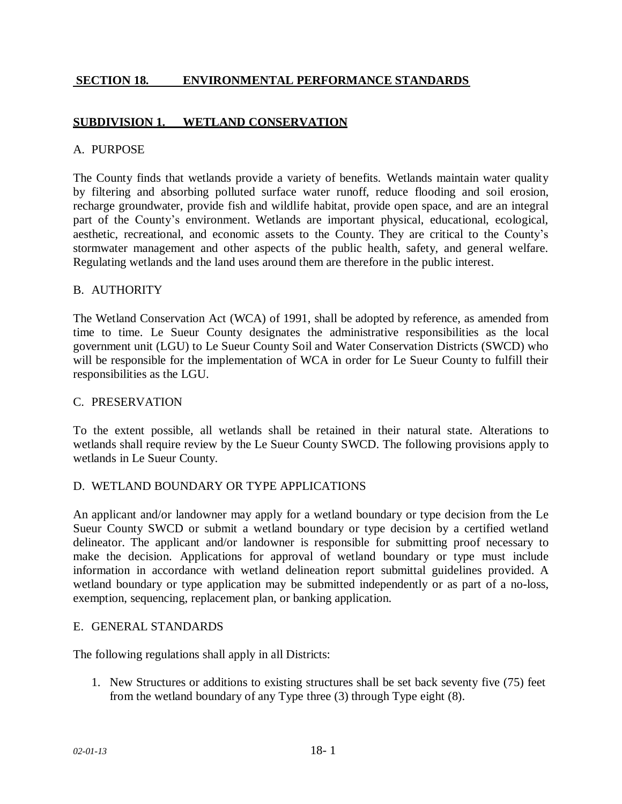## **SECTION 18. ENVIRONMENTAL PERFORMANCE STANDARDS**

## **SUBDIVISION 1. WETLAND CONSERVATION**

#### A. PURPOSE

The County finds that wetlands provide a variety of benefits. Wetlands maintain water quality by filtering and absorbing polluted surface water runoff, reduce flooding and soil erosion, recharge groundwater, provide fish and wildlife habitat, provide open space, and are an integral part of the County's environment. Wetlands are important physical, educational, ecological, aesthetic, recreational, and economic assets to the County. They are critical to the County's stormwater management and other aspects of the public health, safety, and general welfare. Regulating wetlands and the land uses around them are therefore in the public interest.

#### B. AUTHORITY

The Wetland Conservation Act (WCA) of 1991, shall be adopted by reference, as amended from time to time. Le Sueur County designates the administrative responsibilities as the local government unit (LGU) to Le Sueur County Soil and Water Conservation Districts (SWCD) who will be responsible for the implementation of WCA in order for Le Sueur County to fulfill their responsibilities as the LGU.

#### C. PRESERVATION

To the extent possible, all wetlands shall be retained in their natural state. Alterations to wetlands shall require review by the Le Sueur County SWCD. The following provisions apply to wetlands in Le Sueur County.

### D. WETLAND BOUNDARY OR TYPE APPLICATIONS

An applicant and/or landowner may apply for a wetland boundary or type decision from the Le Sueur County SWCD or submit a wetland boundary or type decision by a certified wetland delineator. The applicant and/or landowner is responsible for submitting proof necessary to make the decision. Applications for approval of wetland boundary or type must include information in accordance with wetland delineation report submittal guidelines provided. A wetland boundary or type application may be submitted independently or as part of a no-loss, exemption, sequencing, replacement plan, or banking application.

#### E. GENERAL STANDARDS

The following regulations shall apply in all Districts:

1. New Structures or additions to existing structures shall be set back seventy five (75) feet from the wetland boundary of any Type three (3) through Type eight (8).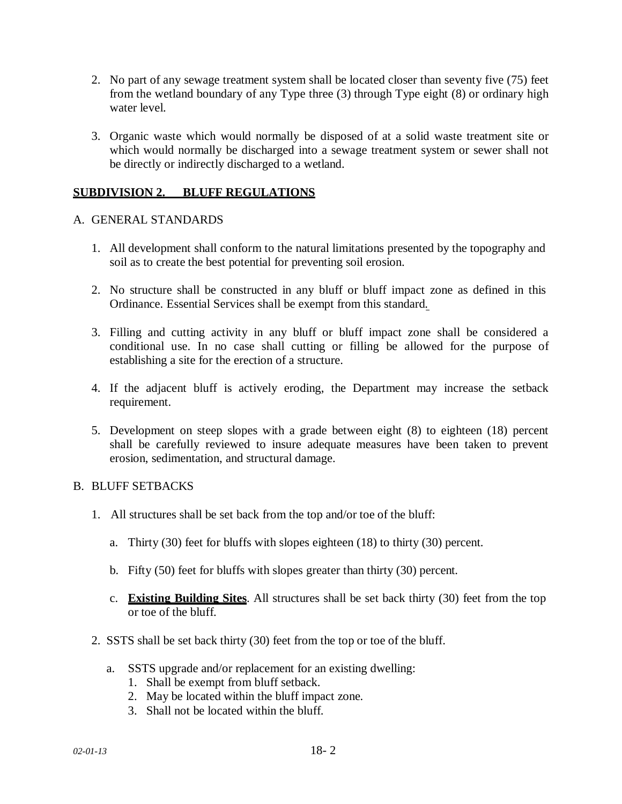- 2. No part of any sewage treatment system shall be located closer than seventy five (75) feet from the wetland boundary of any Type three (3) through Type eight (8) or ordinary high water level.
- 3. Organic waste which would normally be disposed of at a solid waste treatment site or which would normally be discharged into a sewage treatment system or sewer shall not be directly or indirectly discharged to a wetland.

## **SUBDIVISION 2. BLUFF REGULATIONS**

#### A. GENERAL STANDARDS

- 1. All development shall conform to the natural limitations presented by the topography and soil as to create the best potential for preventing soil erosion.
- 2. No structure shall be constructed in any bluff or bluff impact zone as defined in this Ordinance. Essential Services shall be exempt from this standard.
- 3. Filling and cutting activity in any bluff or bluff impact zone shall be considered a conditional use. In no case shall cutting or filling be allowed for the purpose of establishing a site for the erection of a structure.
- 4. If the adjacent bluff is actively eroding, the Department may increase the setback requirement.
- 5. Development on steep slopes with a grade between eight (8) to eighteen (18) percent shall be carefully reviewed to insure adequate measures have been taken to prevent erosion, sedimentation, and structural damage.

### B. BLUFF SETBACKS

- 1. All structures shall be set back from the top and/or toe of the bluff:
	- a. Thirty (30) feet for bluffs with slopes eighteen (18) to thirty (30) percent.
	- b. Fifty (50) feet for bluffs with slopes greater than thirty (30) percent.
	- c. **Existing Building Sites**. All structures shall be set back thirty (30) feet from the top or toe of the bluff.
- 2. SSTS shall be set back thirty (30) feet from the top or toe of the bluff.
	- a. SSTS upgrade and/or replacement for an existing dwelling:
		- 1. Shall be exempt from bluff setback.
		- 2. May be located within the bluff impact zone.
		- 3. Shall not be located within the bluff.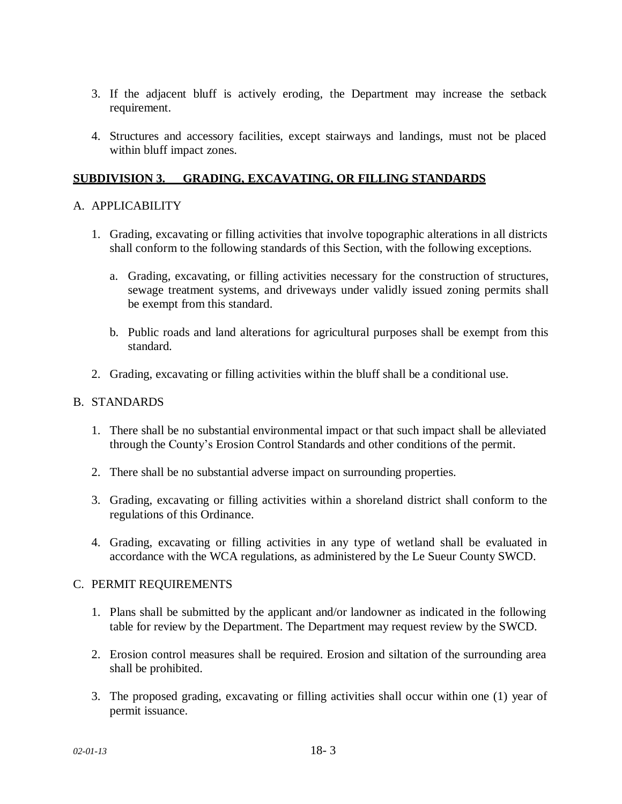- 3. If the adjacent bluff is actively eroding, the Department may increase the setback requirement.
- 4. Structures and accessory facilities, except stairways and landings, must not be placed within bluff impact zones.

## **SUBDIVISION 3. GRADING, EXCAVATING, OR FILLING STANDARDS**

### A. APPLICABILITY

- 1. Grading, excavating or filling activities that involve topographic alterations in all districts shall conform to the following standards of this Section, with the following exceptions.
	- a. Grading, excavating, or filling activities necessary for the construction of structures, sewage treatment systems, and driveways under validly issued zoning permits shall be exempt from this standard.
	- b. Public roads and land alterations for agricultural purposes shall be exempt from this standard.
- 2. Grading, excavating or filling activities within the bluff shall be a conditional use.

### B. STANDARDS

- 1. There shall be no substantial environmental impact or that such impact shall be alleviated through the County's Erosion Control Standards and other conditions of the permit.
- 2. There shall be no substantial adverse impact on surrounding properties.
- 3. Grading, excavating or filling activities within a shoreland district shall conform to the regulations of this Ordinance.
- 4. Grading, excavating or filling activities in any type of wetland shall be evaluated in accordance with the WCA regulations, as administered by the Le Sueur County SWCD.

### C. PERMIT REQUIREMENTS

- 1. Plans shall be submitted by the applicant and/or landowner as indicated in the following table for review by the Department. The Department may request review by the SWCD.
- 2. Erosion control measures shall be required. Erosion and siltation of the surrounding area shall be prohibited.
- 3. The proposed grading, excavating or filling activities shall occur within one (1) year of permit issuance.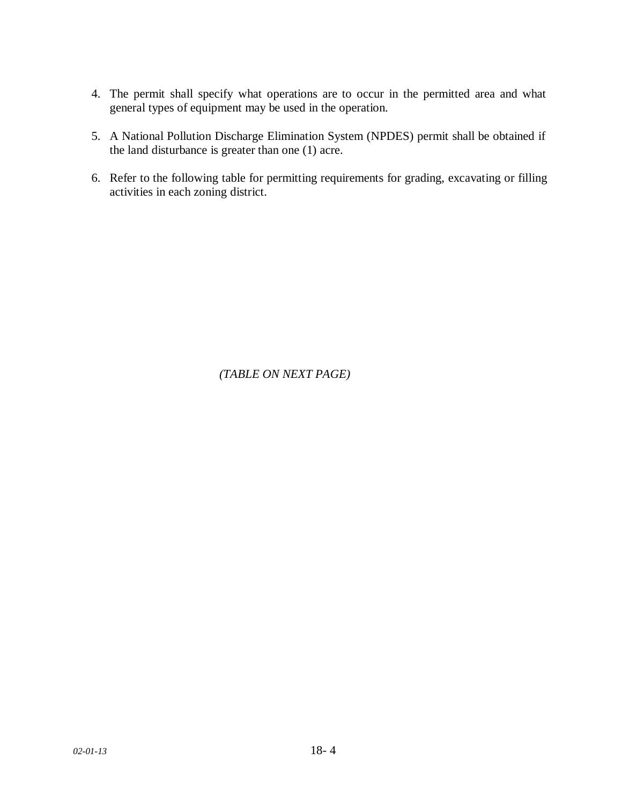- 4. The permit shall specify what operations are to occur in the permitted area and what general types of equipment may be used in the operation.
- 5. A National Pollution Discharge Elimination System (NPDES) permit shall be obtained if the land disturbance is greater than one (1) acre.
- 6. Refer to the following table for permitting requirements for grading, excavating or filling activities in each zoning district.

*(TABLE ON NEXT PAGE)*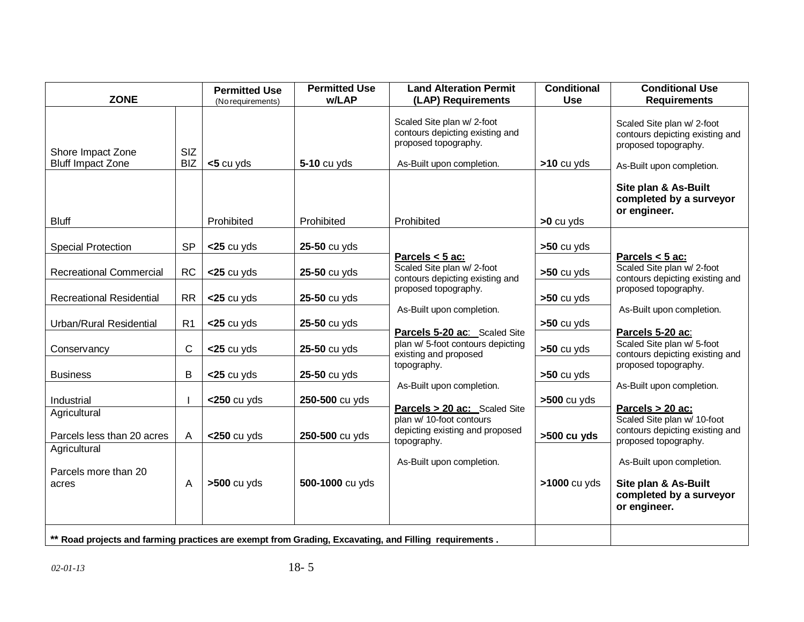| <b>ZONE</b>                                                                                           |                   | <b>Permitted Use</b><br>(No requirements) | <b>Permitted Use</b><br>w/LAP | <b>Land Alteration Permit</b><br>(LAP) Requirements                                                                | <b>Conditional</b><br><b>Use</b> | <b>Conditional Use</b><br><b>Requirements</b>                                                                                              |
|-------------------------------------------------------------------------------------------------------|-------------------|-------------------------------------------|-------------------------------|--------------------------------------------------------------------------------------------------------------------|----------------------------------|--------------------------------------------------------------------------------------------------------------------------------------------|
| Shore Impact Zone<br><b>Bluff Impact Zone</b>                                                         | SIZ<br><b>BIZ</b> | $<$ 5 cu yds                              | 5-10 cu yds                   | Scaled Site plan w/ 2-foot<br>contours depicting existing and<br>proposed topography.<br>As-Built upon completion. | $>10$ cu yds                     | Scaled Site plan w/ 2-foot<br>contours depicting existing and<br>proposed topography.<br>As-Built upon completion.<br>Site plan & As-Built |
| <b>Bluff</b>                                                                                          |                   | Prohibited                                | Prohibited                    | Prohibited                                                                                                         | $>0$ cu yds                      | completed by a surveyor<br>or engineer.                                                                                                    |
| <b>Special Protection</b>                                                                             | <b>SP</b>         | $<$ 25 cu yds                             | 25-50 cu yds                  |                                                                                                                    | $>50$ cu yds                     |                                                                                                                                            |
| <b>Recreational Commercial</b>                                                                        | <b>RC</b>         | $<$ 25 cu yds                             | 25-50 cu yds                  | Parcels $<$ 5 ac:<br>Scaled Site plan w/ 2-foot<br>contours depicting existing and                                 | $>50$ cu yds                     | Parcels $<$ 5 ac:<br>Scaled Site plan w/ 2-foot<br>contours depicting existing and                                                         |
| <b>Recreational Residential</b>                                                                       | <b>RR</b>         | $<$ 25 cu yds                             | 25-50 cu yds                  | proposed topography.                                                                                               | $>50$ cu yds                     | proposed topography.                                                                                                                       |
| Urban/Rural Residential                                                                               | R <sub>1</sub>    | $<$ 25 cu yds                             | 25-50 cu yds                  | As-Built upon completion.<br>Parcels 5-20 ac: Scaled Site                                                          | $>50$ cu yds                     | As-Built upon completion.<br>Parcels 5-20 ac:                                                                                              |
| Conservancy                                                                                           | C                 | $<$ 25 cu yds                             | 25-50 cu yds                  | plan w/ 5-foot contours depicting<br>existing and proposed                                                         | $>50$ cu yds                     | Scaled Site plan w/ 5-foot<br>contours depicting existing and                                                                              |
| <b>Business</b>                                                                                       | B                 | $<$ 25 cu yds                             | 25-50 cu yds                  | topography.                                                                                                        | $>50$ cu yds                     | proposed topography.                                                                                                                       |
| Industrial                                                                                            |                   | $<$ 250 cu yds                            | 250-500 cu yds                | As-Built upon completion.                                                                                          | $>500$ cu yds                    | As-Built upon completion.                                                                                                                  |
| Agricultural<br>Parcels less than 20 acres                                                            | A                 | $<$ 250 cu yds                            | 250-500 cu yds                | Parcels > 20 ac: Scaled Site<br>plan w/ 10-foot contours<br>depicting existing and proposed                        | >500 cu yds                      | Parcels $> 20$ ac:<br>Scaled Site plan w/ 10-foot<br>contours depicting existing and                                                       |
| Agricultural                                                                                          |                   |                                           |                               | topography.                                                                                                        |                                  | proposed topography.                                                                                                                       |
| Parcels more than 20<br>acres                                                                         | Α                 | >500 cu yds                               | 500-1000 cu yds               | As-Built upon completion.                                                                                          | >1000 cu yds                     | As-Built upon completion.<br>Site plan & As-Built<br>completed by a surveyor<br>or engineer.                                               |
| ** Road projects and farming practices are exempt from Grading, Excavating, and Filling requirements. |                   |                                           |                               |                                                                                                                    |                                  |                                                                                                                                            |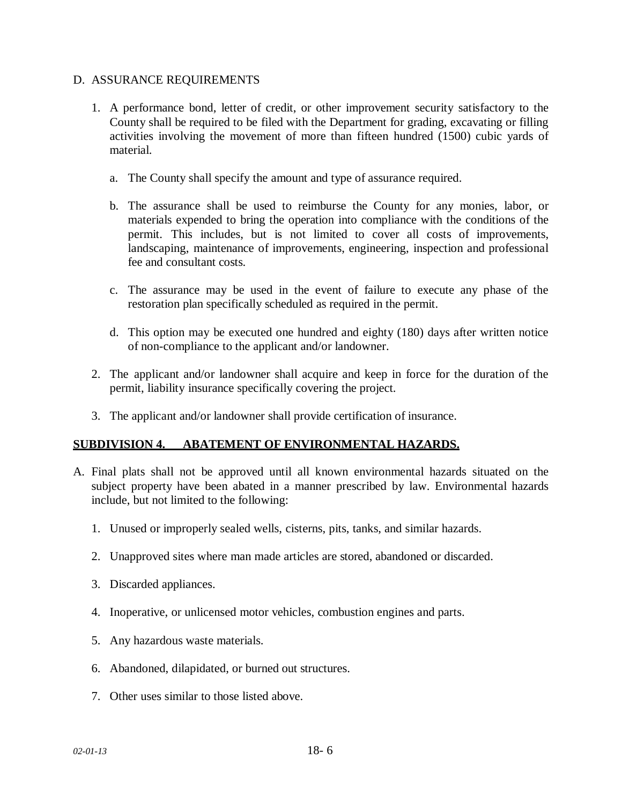### D. ASSURANCE REQUIREMENTS

- 1. A performance bond, letter of credit, or other improvement security satisfactory to the County shall be required to be filed with the Department for grading, excavating or filling activities involving the movement of more than fifteen hundred (1500) cubic yards of material.
	- a. The County shall specify the amount and type of assurance required.
	- b. The assurance shall be used to reimburse the County for any monies, labor, or materials expended to bring the operation into compliance with the conditions of the permit. This includes, but is not limited to cover all costs of improvements, landscaping, maintenance of improvements, engineering, inspection and professional fee and consultant costs.
	- c. The assurance may be used in the event of failure to execute any phase of the restoration plan specifically scheduled as required in the permit.
	- d. This option may be executed one hundred and eighty (180) days after written notice of non-compliance to the applicant and/or landowner.
- 2. The applicant and/or landowner shall acquire and keep in force for the duration of the permit, liability insurance specifically covering the project.
- 3. The applicant and/or landowner shall provide certification of insurance.

### **SUBDIVISION 4. ABATEMENT OF ENVIRONMENTAL HAZARDS.**

- A. Final plats shall not be approved until all known environmental hazards situated on the subject property have been abated in a manner prescribed by law. Environmental hazards include, but not limited to the following:
	- 1. Unused or improperly sealed wells, cisterns, pits, tanks, and similar hazards.
	- 2. Unapproved sites where man made articles are stored, abandoned or discarded.
	- 3. Discarded appliances.
	- 4. Inoperative, or unlicensed motor vehicles, combustion engines and parts.
	- 5. Any hazardous waste materials.
	- 6. Abandoned, dilapidated, or burned out structures.
	- 7. Other uses similar to those listed above.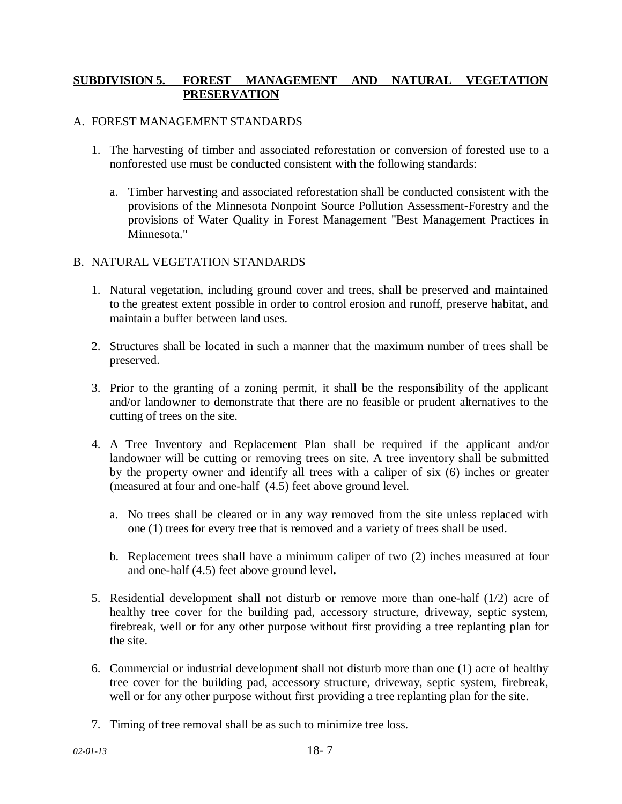## **SUBDIVISION 5. FOREST MANAGEMENT AND NATURAL VEGETATION PRESERVATION**

#### A. FOREST MANAGEMENT STANDARDS

- 1. The harvesting of timber and associated reforestation or conversion of forested use to a nonforested use must be conducted consistent with the following standards:
	- a. Timber harvesting and associated reforestation shall be conducted consistent with the provisions of the Minnesota Nonpoint Source Pollution Assessment-Forestry and the provisions of Water Quality in Forest Management "Best Management Practices in Minnesota."

## B. NATURAL VEGETATION STANDARDS

- 1. Natural vegetation, including ground cover and trees, shall be preserved and maintained to the greatest extent possible in order to control erosion and runoff, preserve habitat, and maintain a buffer between land uses.
- 2. Structures shall be located in such a manner that the maximum number of trees shall be preserved.
- 3. Prior to the granting of a zoning permit, it shall be the responsibility of the applicant and/or landowner to demonstrate that there are no feasible or prudent alternatives to the cutting of trees on the site.
- 4. A Tree Inventory and Replacement Plan shall be required if the applicant and/or landowner will be cutting or removing trees on site. A tree inventory shall be submitted by the property owner and identify all trees with a caliper of six (6) inches or greater (measured at four and one-half (4.5) feet above ground level.
	- a. No trees shall be cleared or in any way removed from the site unless replaced with one (1) trees for every tree that is removed and a variety of trees shall be used.
	- b. Replacement trees shall have a minimum caliper of two (2) inches measured at four and one-half (4.5) feet above ground level**.**
- 5. Residential development shall not disturb or remove more than one-half (1/2) acre of healthy tree cover for the building pad, accessory structure, driveway, septic system, firebreak, well or for any other purpose without first providing a tree replanting plan for the site.
- 6. Commercial or industrial development shall not disturb more than one (1) acre of healthy tree cover for the building pad, accessory structure, driveway, septic system, firebreak, well or for any other purpose without first providing a tree replanting plan for the site.
- 7. Timing of tree removal shall be as such to minimize tree loss.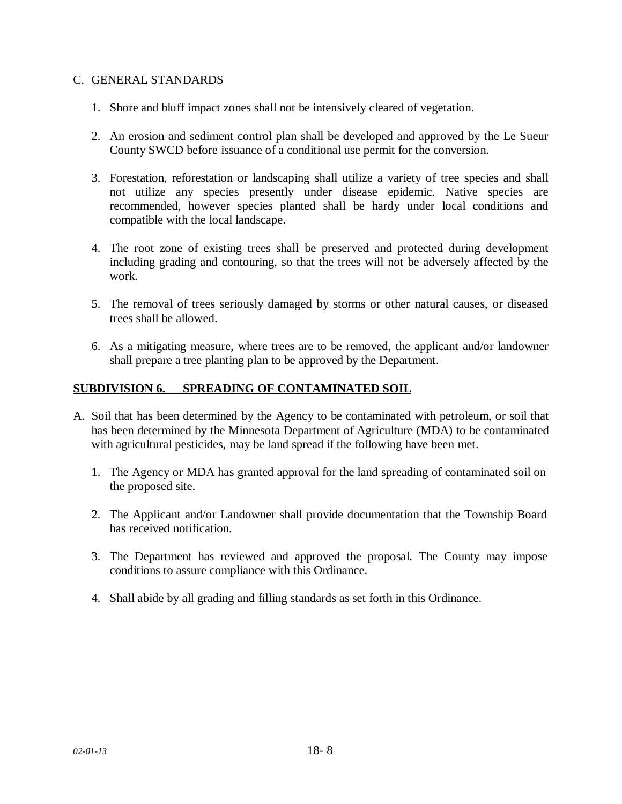#### C. GENERAL STANDARDS

- 1. Shore and bluff impact zones shall not be intensively cleared of vegetation.
- 2. An erosion and sediment control plan shall be developed and approved by the Le Sueur County SWCD before issuance of a conditional use permit for the conversion.
- 3. Forestation, reforestation or landscaping shall utilize a variety of tree species and shall not utilize any species presently under disease epidemic. Native species are recommended, however species planted shall be hardy under local conditions and compatible with the local landscape.
- 4. The root zone of existing trees shall be preserved and protected during development including grading and contouring, so that the trees will not be adversely affected by the work.
- 5. The removal of trees seriously damaged by storms or other natural causes, or diseased trees shall be allowed.
- 6. As a mitigating measure, where trees are to be removed, the applicant and/or landowner shall prepare a tree planting plan to be approved by the Department.

## **SUBDIVISION 6. SPREADING OF CONTAMINATED SOIL**

- A. Soil that has been determined by the Agency to be contaminated with petroleum, or soil that has been determined by the Minnesota Department of Agriculture (MDA) to be contaminated with agricultural pesticides, may be land spread if the following have been met.
	- 1. The Agency or MDA has granted approval for the land spreading of contaminated soil on the proposed site.
	- 2. The Applicant and/or Landowner shall provide documentation that the Township Board has received notification.
	- 3. The Department has reviewed and approved the proposal. The County may impose conditions to assure compliance with this Ordinance.
	- 4. Shall abide by all grading and filling standards as set forth in this Ordinance.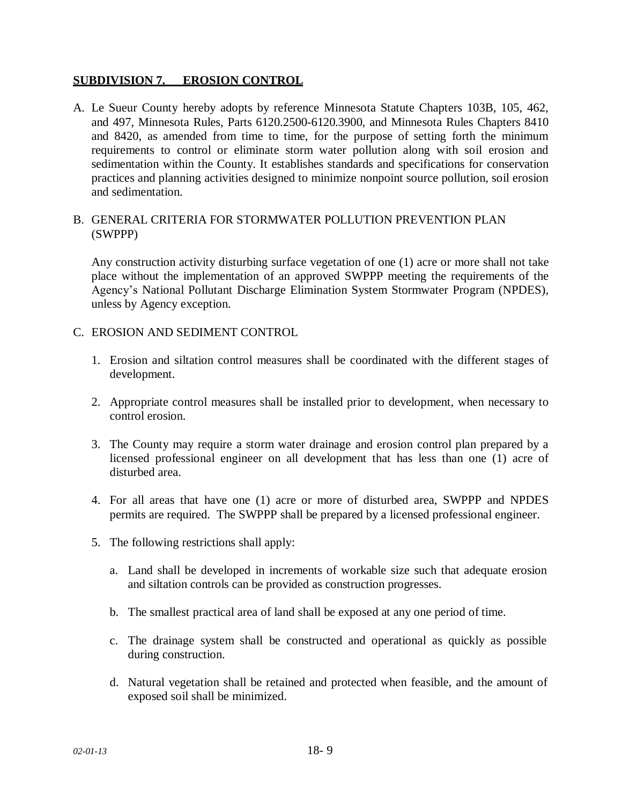## **SUBDIVISION 7. EROSION CONTROL**

A. Le Sueur County hereby adopts by reference Minnesota Statute Chapters 103B, 105, 462, and 497, Minnesota Rules, Parts 6120.2500-6120.3900, and Minnesota Rules Chapters 8410 and 8420, as amended from time to time, for the purpose of setting forth the minimum requirements to control or eliminate storm water pollution along with soil erosion and sedimentation within the County. It establishes standards and specifications for conservation practices and planning activities designed to minimize nonpoint source pollution, soil erosion and sedimentation.

## B. GENERAL CRITERIA FOR STORMWATER POLLUTION PREVENTION PLAN (SWPPP)

Any construction activity disturbing surface vegetation of one (1) acre or more shall not take place without the implementation of an approved SWPPP meeting the requirements of the Agency's National Pollutant Discharge Elimination System Stormwater Program (NPDES), unless by Agency exception.

## C. EROSION AND SEDIMENT CONTROL

- 1. Erosion and siltation control measures shall be coordinated with the different stages of development.
- 2. Appropriate control measures shall be installed prior to development, when necessary to control erosion.
- 3. The County may require a storm water drainage and erosion control plan prepared by a licensed professional engineer on all development that has less than one (1) acre of disturbed area.
- 4. For all areas that have one (1) acre or more of disturbed area, SWPPP and NPDES permits are required. The SWPPP shall be prepared by a licensed professional engineer.
- 5. The following restrictions shall apply:
	- a. Land shall be developed in increments of workable size such that adequate erosion and siltation controls can be provided as construction progresses.
	- b. The smallest practical area of land shall be exposed at any one period of time.
	- c. The drainage system shall be constructed and operational as quickly as possible during construction.
	- d. Natural vegetation shall be retained and protected when feasible, and the amount of exposed soil shall be minimized.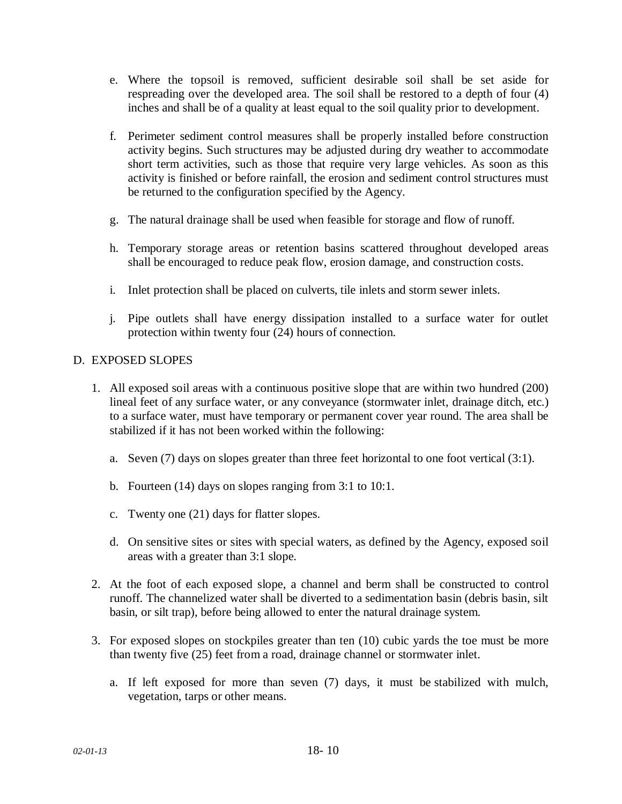- e. Where the topsoil is removed, sufficient desirable soil shall be set aside for respreading over the developed area. The soil shall be restored to a depth of four (4) inches and shall be of a quality at least equal to the soil quality prior to development.
- f. Perimeter sediment control measures shall be properly installed before construction activity begins. Such structures may be adjusted during dry weather to accommodate short term activities, such as those that require very large vehicles. As soon as this activity is finished or before rainfall, the erosion and sediment control structures must be returned to the configuration specified by the Agency.
- g. The natural drainage shall be used when feasible for storage and flow of runoff.
- h. Temporary storage areas or retention basins scattered throughout developed areas shall be encouraged to reduce peak flow, erosion damage, and construction costs.
- i. Inlet protection shall be placed on culverts, tile inlets and storm sewer inlets.
- j. Pipe outlets shall have energy dissipation installed to a surface water for outlet protection within twenty four (24) hours of connection.

# D. EXPOSED SLOPES

- 1. All exposed soil areas with a continuous positive slope that are within two hundred (200) lineal feet of any surface water, or any conveyance (stormwater inlet, drainage ditch, etc.) to a surface water, must have temporary or permanent cover year round. The area shall be stabilized if it has not been worked within the following:
	- a. Seven (7) days on slopes greater than three feet horizontal to one foot vertical (3:1).
	- b. Fourteen (14) days on slopes ranging from 3:1 to 10:1.
	- c. Twenty one (21) days for flatter slopes.
	- d. On sensitive sites or sites with special waters, as defined by the Agency, exposed soil areas with a greater than 3:1 slope.
- 2. At the foot of each exposed slope, a channel and berm shall be constructed to control runoff. The channelized water shall be diverted to a sedimentation basin (debris basin, silt basin, or silt trap), before being allowed to enter the natural drainage system.
- 3. For exposed slopes on stockpiles greater than ten (10) cubic yards the toe must be more than twenty five (25) feet from a road, drainage channel or stormwater inlet.
	- a. If left exposed for more than seven (7) days, it must be stabilized with mulch, vegetation, tarps or other means.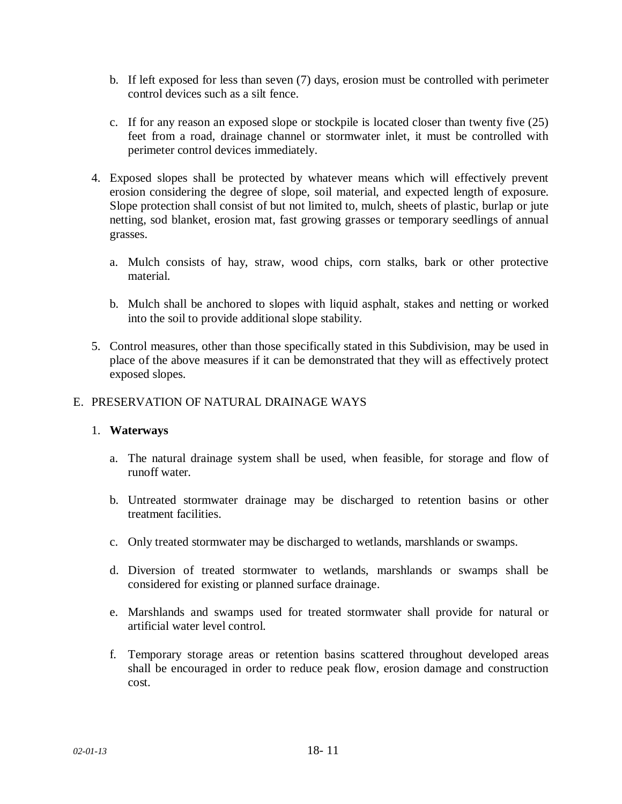- b. If left exposed for less than seven (7) days, erosion must be controlled with perimeter control devices such as a silt fence.
- c. If for any reason an exposed slope or stockpile is located closer than twenty five (25) feet from a road, drainage channel or stormwater inlet, it must be controlled with perimeter control devices immediately.
- 4. Exposed slopes shall be protected by whatever means which will effectively prevent erosion considering the degree of slope, soil material, and expected length of exposure. Slope protection shall consist of but not limited to, mulch, sheets of plastic, burlap or jute netting, sod blanket, erosion mat, fast growing grasses or temporary seedlings of annual grasses.
	- a. Mulch consists of hay, straw, wood chips, corn stalks, bark or other protective material.
	- b. Mulch shall be anchored to slopes with liquid asphalt, stakes and netting or worked into the soil to provide additional slope stability.
- 5. Control measures, other than those specifically stated in this Subdivision, may be used in place of the above measures if it can be demonstrated that they will as effectively protect exposed slopes.

## E. PRESERVATION OF NATURAL DRAINAGE WAYS

### 1. **Waterways**

- a. The natural drainage system shall be used, when feasible, for storage and flow of runoff water.
- b. Untreated stormwater drainage may be discharged to retention basins or other treatment facilities.
- c. Only treated stormwater may be discharged to wetlands, marshlands or swamps.
- d. Diversion of treated stormwater to wetlands, marshlands or swamps shall be considered for existing or planned surface drainage.
- e. Marshlands and swamps used for treated stormwater shall provide for natural or artificial water level control.
- f. Temporary storage areas or retention basins scattered throughout developed areas shall be encouraged in order to reduce peak flow, erosion damage and construction cost.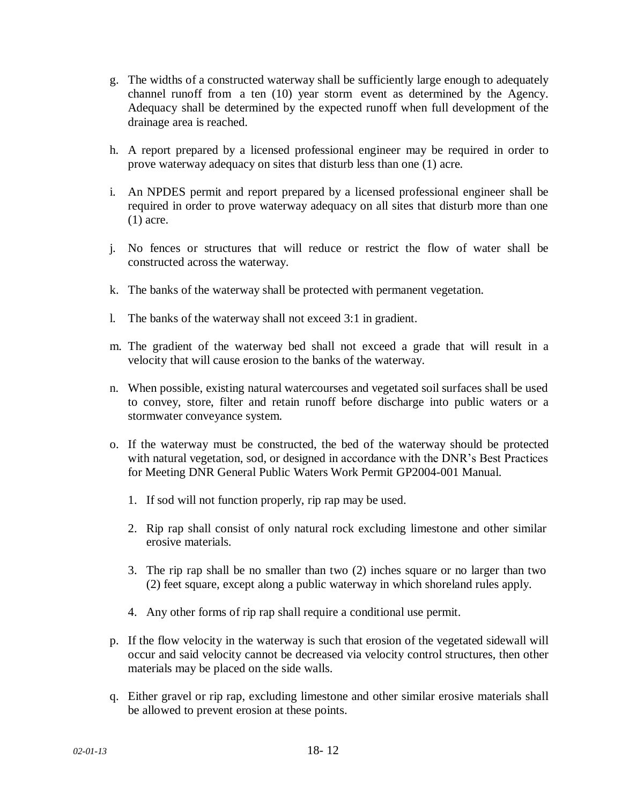- g. The widths of a constructed waterway shall be sufficiently large enough to adequately channel runoff from a ten (10) year storm event as determined by the Agency. Adequacy shall be determined by the expected runoff when full development of the drainage area is reached.
- h. A report prepared by a licensed professional engineer may be required in order to prove waterway adequacy on sites that disturb less than one (1) acre.
- i. An NPDES permit and report prepared by a licensed professional engineer shall be required in order to prove waterway adequacy on all sites that disturb more than one (1) acre.
- j. No fences or structures that will reduce or restrict the flow of water shall be constructed across the waterway.
- k. The banks of the waterway shall be protected with permanent vegetation.
- l. The banks of the waterway shall not exceed 3:1 in gradient.
- m. The gradient of the waterway bed shall not exceed a grade that will result in a velocity that will cause erosion to the banks of the waterway.
- n. When possible, existing natural watercourses and vegetated soil surfaces shall be used to convey, store, filter and retain runoff before discharge into public waters or a stormwater conveyance system.
- o. If the waterway must be constructed, the bed of the waterway should be protected with natural vegetation, sod, or designed in accordance with the DNR's Best Practices for Meeting DNR General Public Waters Work Permit GP2004-001 Manual.
	- 1. If sod will not function properly, rip rap may be used.
	- 2. Rip rap shall consist of only natural rock excluding limestone and other similar erosive materials.
	- 3. The rip rap shall be no smaller than two (2) inches square or no larger than two (2) feet square, except along a public waterway in which shoreland rules apply.
	- 4. Any other forms of rip rap shall require a conditional use permit.
- p. If the flow velocity in the waterway is such that erosion of the vegetated sidewall will occur and said velocity cannot be decreased via velocity control structures, then other materials may be placed on the side walls.
- q. Either gravel or rip rap, excluding limestone and other similar erosive materials shall be allowed to prevent erosion at these points.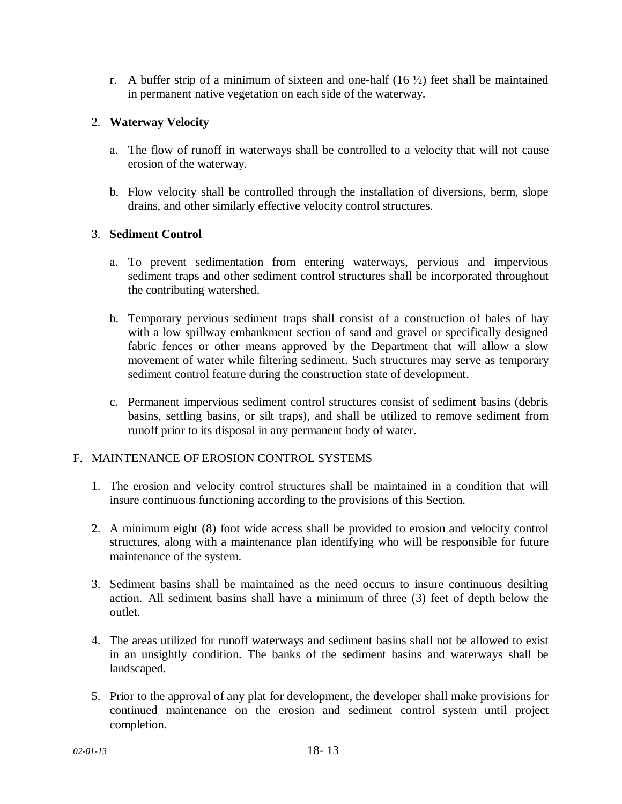r. A buffer strip of a minimum of sixteen and one-half  $(16 \frac{1}{2})$  feet shall be maintained in permanent native vegetation on each side of the waterway.

## 2. **Waterway Velocity**

- a. The flow of runoff in waterways shall be controlled to a velocity that will not cause erosion of the waterway.
- b. Flow velocity shall be controlled through the installation of diversions, berm, slope drains, and other similarly effective velocity control structures.

## 3. **Sediment Control**

- a. To prevent sedimentation from entering waterways, pervious and impervious sediment traps and other sediment control structures shall be incorporated throughout the contributing watershed.
- b. Temporary pervious sediment traps shall consist of a construction of bales of hay with a low spillway embankment section of sand and gravel or specifically designed fabric fences or other means approved by the Department that will allow a slow movement of water while filtering sediment. Such structures may serve as temporary sediment control feature during the construction state of development.
- c. Permanent impervious sediment control structures consist of sediment basins (debris basins, settling basins, or silt traps), and shall be utilized to remove sediment from runoff prior to its disposal in any permanent body of water.

### F. MAINTENANCE OF EROSION CONTROL SYSTEMS

- 1. The erosion and velocity control structures shall be maintained in a condition that will insure continuous functioning according to the provisions of this Section.
- 2. A minimum eight (8) foot wide access shall be provided to erosion and velocity control structures, along with a maintenance plan identifying who will be responsible for future maintenance of the system.
- 3. Sediment basins shall be maintained as the need occurs to insure continuous desilting action. All sediment basins shall have a minimum of three (3) feet of depth below the outlet.
- 4. The areas utilized for runoff waterways and sediment basins shall not be allowed to exist in an unsightly condition. The banks of the sediment basins and waterways shall be landscaped.
- 5. Prior to the approval of any plat for development, the developer shall make provisions for continued maintenance on the erosion and sediment control system until project completion.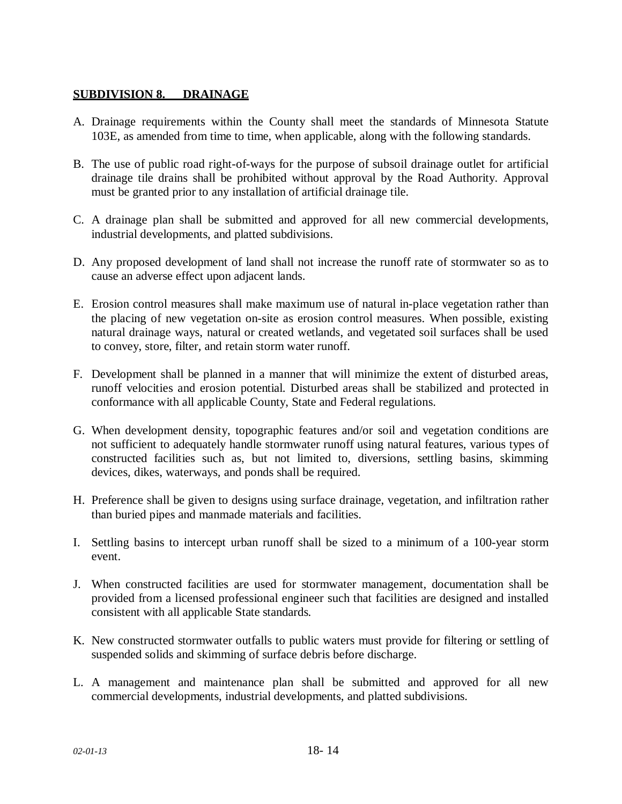## **SUBDIVISION 8. DRAINAGE**

- A. Drainage requirements within the County shall meet the standards of Minnesota Statute 103E, as amended from time to time, when applicable, along with the following standards.
- B. The use of public road right-of-ways for the purpose of subsoil drainage outlet for artificial drainage tile drains shall be prohibited without approval by the Road Authority. Approval must be granted prior to any installation of artificial drainage tile.
- C. A drainage plan shall be submitted and approved for all new commercial developments, industrial developments, and platted subdivisions.
- D. Any proposed development of land shall not increase the runoff rate of stormwater so as to cause an adverse effect upon adjacent lands.
- E. Erosion control measures shall make maximum use of natural in-place vegetation rather than the placing of new vegetation on-site as erosion control measures. When possible, existing natural drainage ways, natural or created wetlands, and vegetated soil surfaces shall be used to convey, store, filter, and retain storm water runoff.
- F. Development shall be planned in a manner that will minimize the extent of disturbed areas, runoff velocities and erosion potential. Disturbed areas shall be stabilized and protected in conformance with all applicable County, State and Federal regulations.
- G. When development density, topographic features and/or soil and vegetation conditions are not sufficient to adequately handle stormwater runoff using natural features, various types of constructed facilities such as, but not limited to, diversions, settling basins, skimming devices, dikes, waterways, and ponds shall be required.
- H. Preference shall be given to designs using surface drainage, vegetation, and infiltration rather than buried pipes and manmade materials and facilities.
- I. Settling basins to intercept urban runoff shall be sized to a minimum of a 100-year storm event.
- J. When constructed facilities are used for stormwater management, documentation shall be provided from a licensed professional engineer such that facilities are designed and installed consistent with all applicable State standards.
- K. New constructed stormwater outfalls to public waters must provide for filtering or settling of suspended solids and skimming of surface debris before discharge.
- L. A management and maintenance plan shall be submitted and approved for all new commercial developments, industrial developments, and platted subdivisions.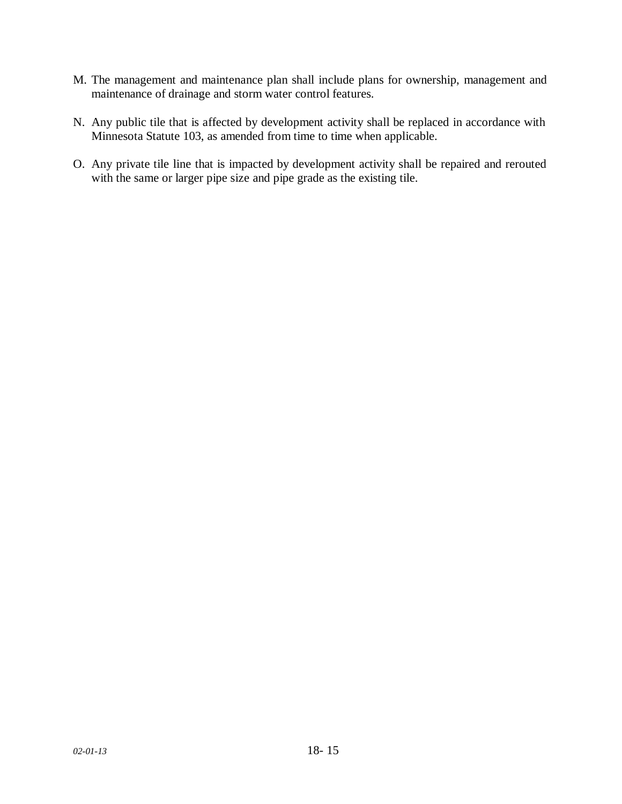- M. The management and maintenance plan shall include plans for ownership, management and maintenance of drainage and storm water control features.
- N. Any public tile that is affected by development activity shall be replaced in accordance with Minnesota Statute 103, as amended from time to time when applicable.
- O. Any private tile line that is impacted by development activity shall be repaired and rerouted with the same or larger pipe size and pipe grade as the existing tile.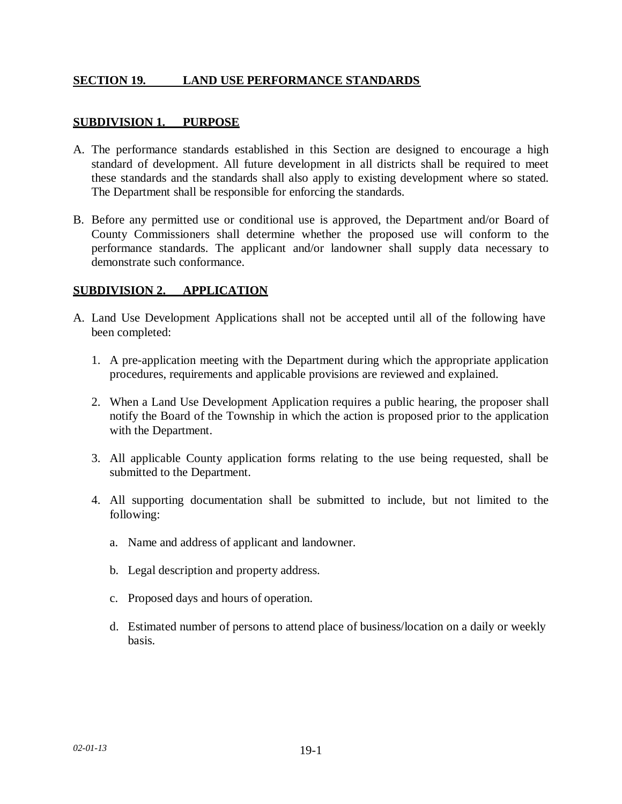## **SECTION 19. LAND USE PERFORMANCE STANDARDS**

### **SUBDIVISION 1. PURPOSE**

- A. The performance standards established in this Section are designed to encourage a high standard of development. All future development in all districts shall be required to meet these standards and the standards shall also apply to existing development where so stated. The Department shall be responsible for enforcing the standards.
- B. Before any permitted use or conditional use is approved, the Department and/or Board of County Commissioners shall determine whether the proposed use will conform to the performance standards. The applicant and/or landowner shall supply data necessary to demonstrate such conformance.

### **SUBDIVISION 2. APPLICATION**

- A. Land Use Development Applications shall not be accepted until all of the following have been completed:
	- 1. A pre-application meeting with the Department during which the appropriate application procedures, requirements and applicable provisions are reviewed and explained.
	- 2. When a Land Use Development Application requires a public hearing, the proposer shall notify the Board of the Township in which the action is proposed prior to the application with the Department.
	- 3. All applicable County application forms relating to the use being requested, shall be submitted to the Department.
	- 4. All supporting documentation shall be submitted to include, but not limited to the following:
		- a. Name and address of applicant and landowner.
		- b. Legal description and property address.
		- c. Proposed days and hours of operation.
		- d. Estimated number of persons to attend place of business/location on a daily or weekly basis.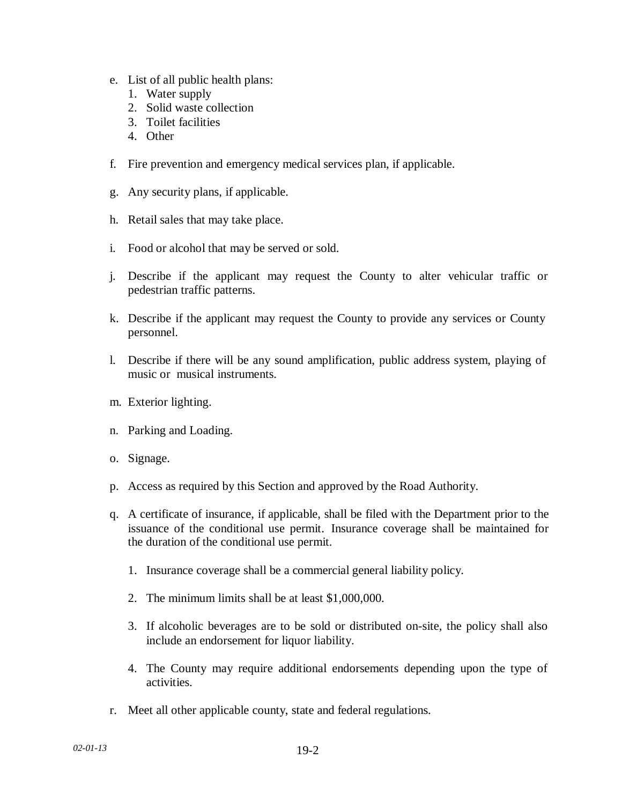- e. List of all public health plans:
	- 1. Water supply
	- 2. Solid waste collection
	- 3. Toilet facilities
	- 4. Other
- f. Fire prevention and emergency medical services plan, if applicable.
- g. Any security plans, if applicable.
- h. Retail sales that may take place.
- i. Food or alcohol that may be served or sold.
- j. Describe if the applicant may request the County to alter vehicular traffic or pedestrian traffic patterns.
- k. Describe if the applicant may request the County to provide any services or County personnel.
- l. Describe if there will be any sound amplification, public address system, playing of music or musical instruments.
- m. Exterior lighting.
- n. Parking and Loading.
- o. Signage.
- p. Access as required by this Section and approved by the Road Authority.
- q. A certificate of insurance, if applicable, shall be filed with the Department prior to the issuance of the conditional use permit. Insurance coverage shall be maintained for the duration of the conditional use permit.
	- 1. Insurance coverage shall be a commercial general liability policy.
	- 2. The minimum limits shall be at least \$1,000,000.
	- 3. If alcoholic beverages are to be sold or distributed on-site, the policy shall also include an endorsement for liquor liability.
	- 4. The County may require additional endorsements depending upon the type of activities.
- r. Meet all other applicable county, state and federal regulations.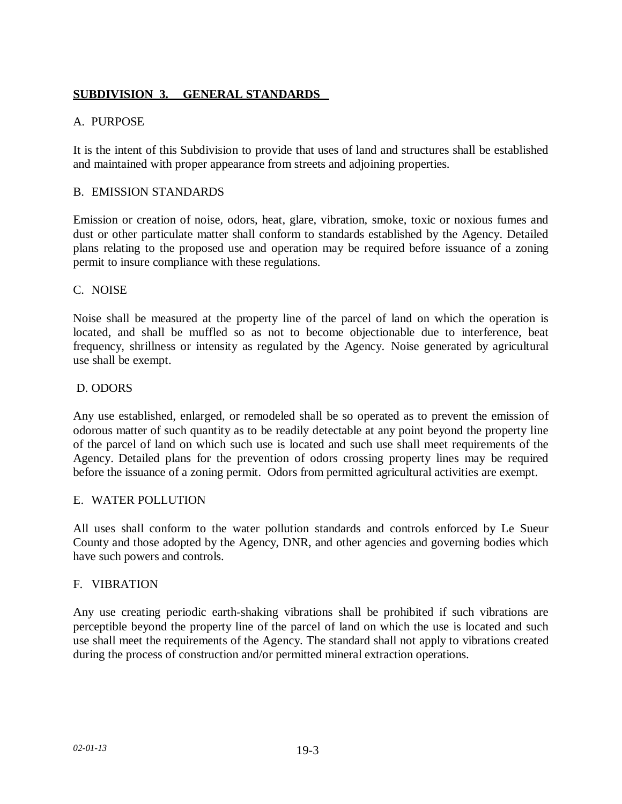# **SUBDIVISION 3. GENERAL STANDARDS**

## A. PURPOSE

It is the intent of this Subdivision to provide that uses of land and structures shall be established and maintained with proper appearance from streets and adjoining properties.

## B. EMISSION STANDARDS

Emission or creation of noise, odors, heat, glare, vibration, smoke, toxic or noxious fumes and dust or other particulate matter shall conform to standards established by the Agency. Detailed plans relating to the proposed use and operation may be required before issuance of a zoning permit to insure compliance with these regulations.

## C. NOISE

Noise shall be measured at the property line of the parcel of land on which the operation is located, and shall be muffled so as not to become objectionable due to interference, beat frequency, shrillness or intensity as regulated by the Agency. Noise generated by agricultural use shall be exempt.

## D. ODORS

Any use established, enlarged, or remodeled shall be so operated as to prevent the emission of odorous matter of such quantity as to be readily detectable at any point beyond the property line of the parcel of land on which such use is located and such use shall meet requirements of the Agency. Detailed plans for the prevention of odors crossing property lines may be required before the issuance of a zoning permit. Odors from permitted agricultural activities are exempt.

### E. WATER POLLUTION

All uses shall conform to the water pollution standards and controls enforced by Le Sueur County and those adopted by the Agency, DNR, and other agencies and governing bodies which have such powers and controls.

### F. VIBRATION

Any use creating periodic earth-shaking vibrations shall be prohibited if such vibrations are perceptible beyond the property line of the parcel of land on which the use is located and such use shall meet the requirements of the Agency. The standard shall not apply to vibrations created during the process of construction and/or permitted mineral extraction operations.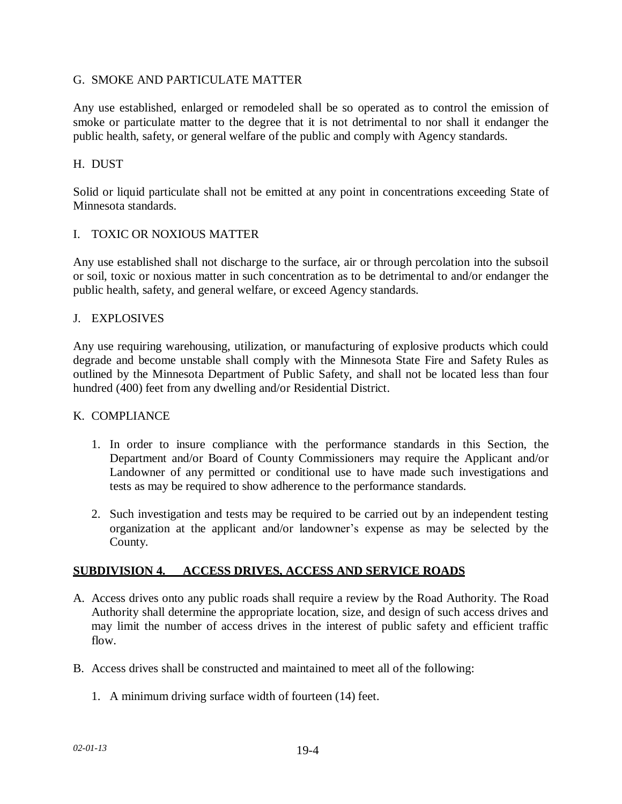### G. SMOKE AND PARTICULATE MATTER

Any use established, enlarged or remodeled shall be so operated as to control the emission of smoke or particulate matter to the degree that it is not detrimental to nor shall it endanger the public health, safety, or general welfare of the public and comply with Agency standards.

### H. DUST

Solid or liquid particulate shall not be emitted at any point in concentrations exceeding State of Minnesota standards.

### I. TOXIC OR NOXIOUS MATTER

Any use established shall not discharge to the surface, air or through percolation into the subsoil or soil, toxic or noxious matter in such concentration as to be detrimental to and/or endanger the public health, safety, and general welfare, or exceed Agency standards.

### J. EXPLOSIVES

Any use requiring warehousing, utilization, or manufacturing of explosive products which could degrade and become unstable shall comply with the Minnesota State Fire and Safety Rules as outlined by the Minnesota Department of Public Safety, and shall not be located less than four hundred (400) feet from any dwelling and/or Residential District.

### K. COMPLIANCE

- 1. In order to insure compliance with the performance standards in this Section, the Department and/or Board of County Commissioners may require the Applicant and/or Landowner of any permitted or conditional use to have made such investigations and tests as may be required to show adherence to the performance standards.
- 2. Such investigation and tests may be required to be carried out by an independent testing organization at the applicant and/or landowner's expense as may be selected by the County.

### **SUBDIVISION 4. ACCESS DRIVES, ACCESS AND SERVICE ROADS**

- A. Access drives onto any public roads shall require a review by the Road Authority. The Road Authority shall determine the appropriate location, size, and design of such access drives and may limit the number of access drives in the interest of public safety and efficient traffic flow.
- B. Access drives shall be constructed and maintained to meet all of the following:
	- 1. A minimum driving surface width of fourteen (14) feet.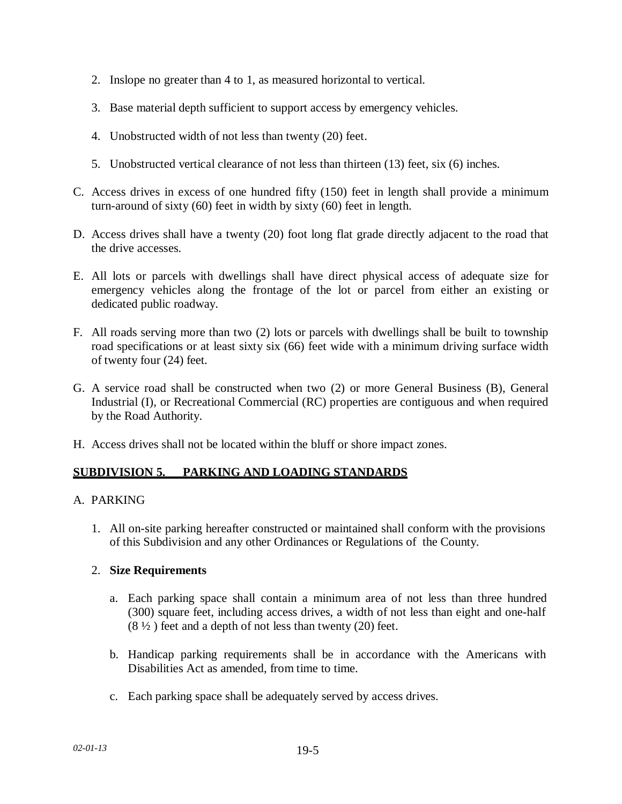- 2. Inslope no greater than 4 to 1, as measured horizontal to vertical.
- 3. Base material depth sufficient to support access by emergency vehicles.
- 4. Unobstructed width of not less than twenty (20) feet.
- 5. Unobstructed vertical clearance of not less than thirteen (13) feet, six (6) inches.
- C. Access drives in excess of one hundred fifty (150) feet in length shall provide a minimum turn-around of sixty (60) feet in width by sixty (60) feet in length.
- D. Access drives shall have a twenty (20) foot long flat grade directly adjacent to the road that the drive accesses.
- E. All lots or parcels with dwellings shall have direct physical access of adequate size for emergency vehicles along the frontage of the lot or parcel from either an existing or dedicated public roadway.
- F. All roads serving more than two (2) lots or parcels with dwellings shall be built to township road specifications or at least sixty six (66) feet wide with a minimum driving surface width of twenty four (24) feet.
- G. A service road shall be constructed when two (2) or more General Business (B), General Industrial (I), or Recreational Commercial (RC) properties are contiguous and when required by the Road Authority.
- H. Access drives shall not be located within the bluff or shore impact zones.

## **SUBDIVISION 5. PARKING AND LOADING STANDARDS**

### A. PARKING

1. All on-site parking hereafter constructed or maintained shall conform with the provisions of this Subdivision and any other Ordinances or Regulations of the County.

### 2. **Size Requirements**

- a. Each parking space shall contain a minimum area of not less than three hundred (300) square feet, including access drives, a width of not less than eight and one-half  $(8 \frac{1}{2})$  feet and a depth of not less than twenty (20) feet.
- b. Handicap parking requirements shall be in accordance with the Americans with Disabilities Act as amended, from time to time.
- c. Each parking space shall be adequately served by access drives.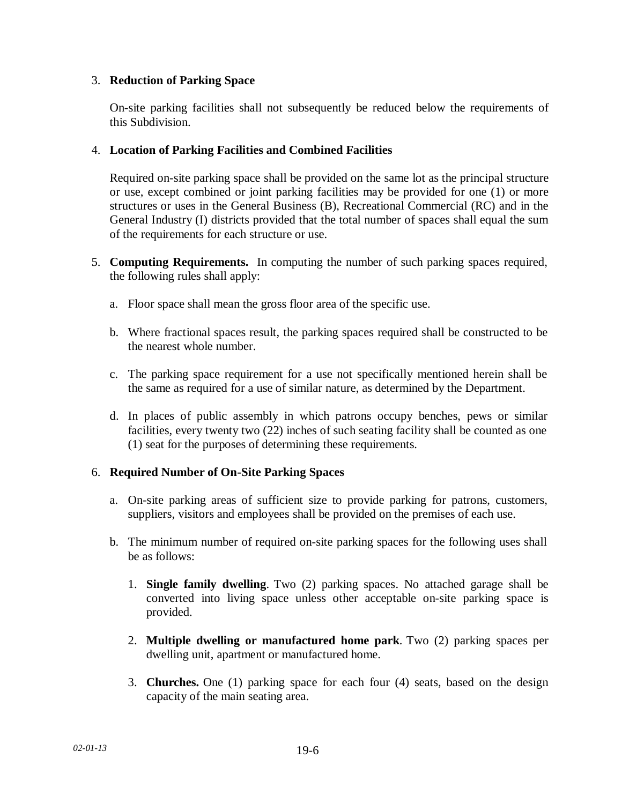## 3. **Reduction of Parking Space**

On-site parking facilities shall not subsequently be reduced below the requirements of this Subdivision.

## 4. **Location of Parking Facilities and Combined Facilities**

Required on-site parking space shall be provided on the same lot as the principal structure or use, except combined or joint parking facilities may be provided for one (1) or more structures or uses in the General Business (B), Recreational Commercial (RC) and in the General Industry (I) districts provided that the total number of spaces shall equal the sum of the requirements for each structure or use.

- 5. **Computing Requirements.** In computing the number of such parking spaces required, the following rules shall apply:
	- a. Floor space shall mean the gross floor area of the specific use.
	- b. Where fractional spaces result, the parking spaces required shall be constructed to be the nearest whole number.
	- c. The parking space requirement for a use not specifically mentioned herein shall be the same as required for a use of similar nature, as determined by the Department.
	- d. In places of public assembly in which patrons occupy benches, pews or similar facilities, every twenty two (22) inches of such seating facility shall be counted as one (1) seat for the purposes of determining these requirements.

## 6. **Required Number of On-Site Parking Spaces**

- a. On-site parking areas of sufficient size to provide parking for patrons, customers, suppliers, visitors and employees shall be provided on the premises of each use.
- b. The minimum number of required on-site parking spaces for the following uses shall be as follows:
	- 1. **Single family dwelling**. Two (2) parking spaces. No attached garage shall be converted into living space unless other acceptable on-site parking space is provided.
	- 2. **Multiple dwelling or manufactured home park**. Two (2) parking spaces per dwelling unit, apartment or manufactured home.
	- 3. **Churches.** One (1) parking space for each four (4) seats, based on the design capacity of the main seating area.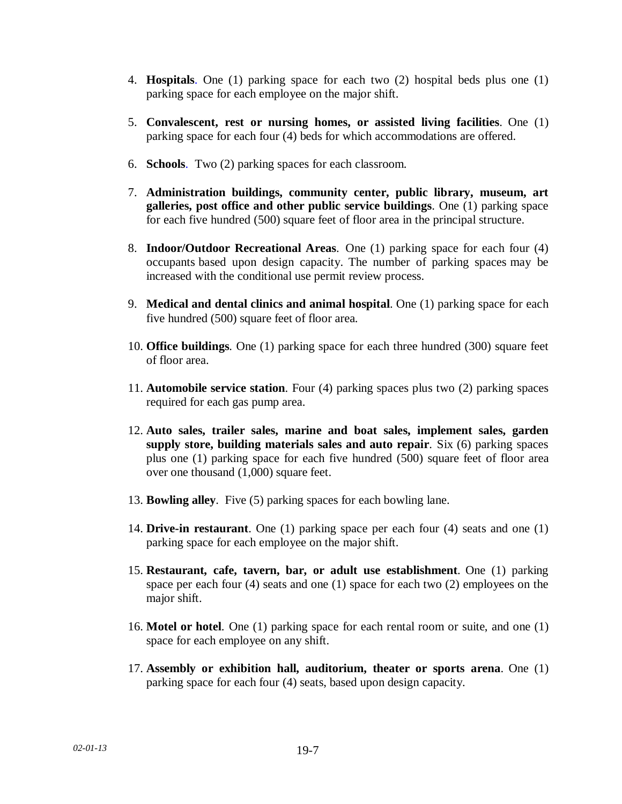- 4. **Hospitals**. One (1) parking space for each two (2) hospital beds plus one (1) parking space for each employee on the major shift.
- 5. **Convalescent, rest or nursing homes, or assisted living facilities**. One (1) parking space for each four (4) beds for which accommodations are offered.
- 6. **Schools**. Two (2) parking spaces for each classroom.
- 7. **Administration buildings, community center, public library, museum, art galleries, post office and other public service buildings**. One (1) parking space for each five hundred (500) square feet of floor area in the principal structure.
- 8. **Indoor/Outdoor Recreational Areas**. One (1) parking space for each four (4) occupants based upon design capacity. The number of parking spaces may be increased with the conditional use permit review process.
- 9. **Medical and dental clinics and animal hospital**. One (1) parking space for each five hundred (500) square feet of floor area.
- 10. **Office buildings**. One (1) parking space for each three hundred (300) square feet of floor area.
- 11. **Automobile service station**. Four (4) parking spaces plus two (2) parking spaces required for each gas pump area.
- 12. **Auto sales, trailer sales, marine and boat sales, implement sales, garden supply store, building materials sales and auto repair**. Six (6) parking spaces plus one (1) parking space for each five hundred (500) square feet of floor area over one thousand (1,000) square feet.
- 13. **Bowling alley**. Five (5) parking spaces for each bowling lane.
- 14. **Drive-in restaurant**. One (1) parking space per each four (4) seats and one (1) parking space for each employee on the major shift.
- 15. **Restaurant, cafe, tavern, bar, or adult use establishment**. One (1) parking space per each four (4) seats and one (1) space for each two (2) employees on the major shift.
- 16. **Motel or hotel**. One (1) parking space for each rental room or suite, and one (1) space for each employee on any shift.
- 17. **Assembly or exhibition hall, auditorium, theater or sports arena**. One (1) parking space for each four (4) seats, based upon design capacity.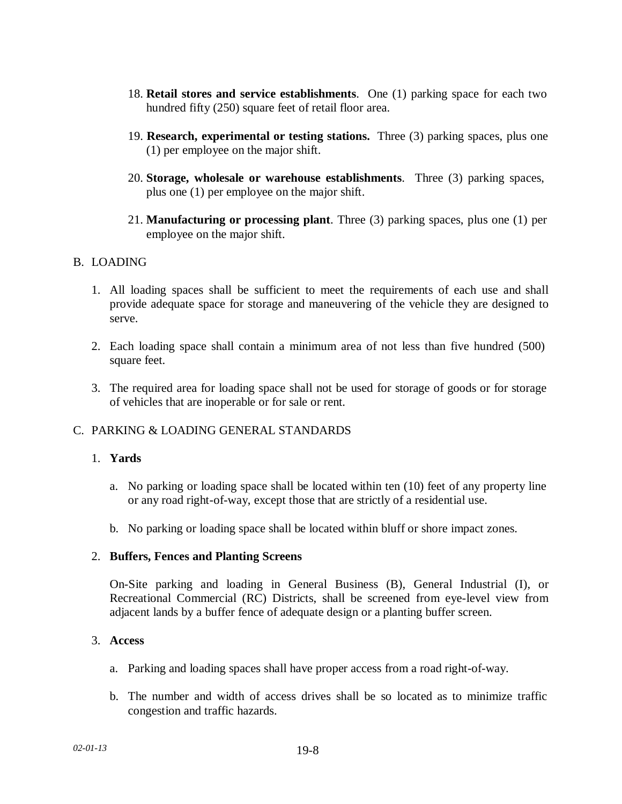- 18. **Retail stores and service establishments**. One (1) parking space for each two hundred fifty (250) square feet of retail floor area.
- 19. **Research, experimental or testing stations.** Three (3) parking spaces, plus one (1) per employee on the major shift.
- 20. **Storage, wholesale or warehouse establishments**. Three (3) parking spaces, plus one (1) per employee on the major shift.
- 21. **Manufacturing or processing plant**. Three (3) parking spaces, plus one (1) per employee on the major shift.

## B. LOADING

- 1. All loading spaces shall be sufficient to meet the requirements of each use and shall provide adequate space for storage and maneuvering of the vehicle they are designed to serve.
- 2. Each loading space shall contain a minimum area of not less than five hundred (500) square feet.
- 3. The required area for loading space shall not be used for storage of goods or for storage of vehicles that are inoperable or for sale or rent.

## C. PARKING & LOADING GENERAL STANDARDS

## 1. **Yards**

- a. No parking or loading space shall be located within ten (10) feet of any property line or any road right-of-way, except those that are strictly of a residential use.
- b. No parking or loading space shall be located within bluff or shore impact zones.

### 2. **Buffers, Fences and Planting Screens**

On-Site parking and loading in General Business (B), General Industrial (I), or Recreational Commercial (RC) Districts, shall be screened from eye-level view from adjacent lands by a buffer fence of adequate design or a planting buffer screen.

### 3. **Access**

- a. Parking and loading spaces shall have proper access from a road right-of-way.
- b. The number and width of access drives shall be so located as to minimize traffic congestion and traffic hazards.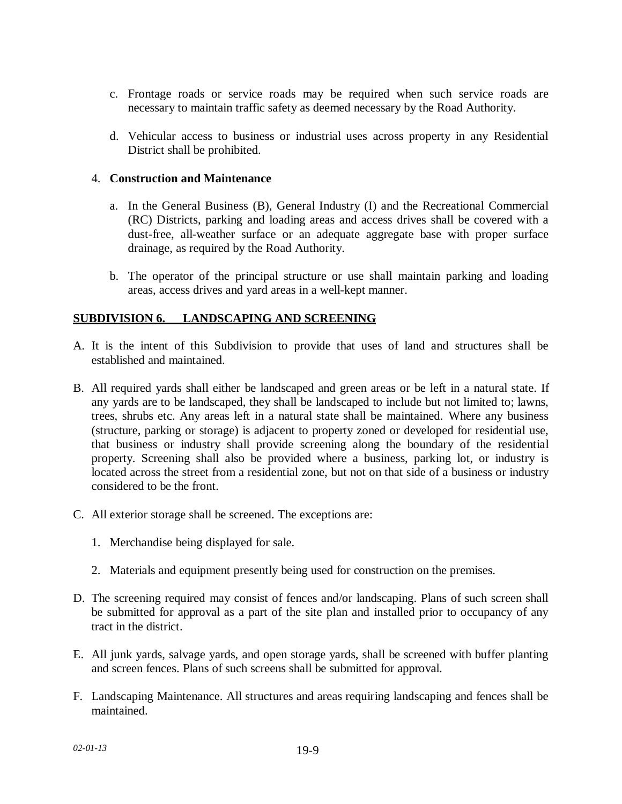- c. Frontage roads or service roads may be required when such service roads are necessary to maintain traffic safety as deemed necessary by the Road Authority.
- d. Vehicular access to business or industrial uses across property in any Residential District shall be prohibited.

## 4. **Construction and Maintenance**

- a. In the General Business (B), General Industry (I) and the Recreational Commercial (RC) Districts, parking and loading areas and access drives shall be covered with a dust-free, all-weather surface or an adequate aggregate base with proper surface drainage, as required by the Road Authority.
- b. The operator of the principal structure or use shall maintain parking and loading areas, access drives and yard areas in a well-kept manner.

## **SUBDIVISION 6. LANDSCAPING AND SCREENING**

- A. It is the intent of this Subdivision to provide that uses of land and structures shall be established and maintained.
- B. All required yards shall either be landscaped and green areas or be left in a natural state. If any yards are to be landscaped, they shall be landscaped to include but not limited to; lawns, trees, shrubs etc. Any areas left in a natural state shall be maintained. Where any business (structure, parking or storage) is adjacent to property zoned or developed for residential use, that business or industry shall provide screening along the boundary of the residential property. Screening shall also be provided where a business, parking lot, or industry is located across the street from a residential zone, but not on that side of a business or industry considered to be the front.
- C. All exterior storage shall be screened. The exceptions are:
	- 1. Merchandise being displayed for sale.
	- 2. Materials and equipment presently being used for construction on the premises.
- D. The screening required may consist of fences and/or landscaping. Plans of such screen shall be submitted for approval as a part of the site plan and installed prior to occupancy of any tract in the district.
- E. All junk yards, salvage yards, and open storage yards, shall be screened with buffer planting and screen fences. Plans of such screens shall be submitted for approval.
- F. Landscaping Maintenance. All structures and areas requiring landscaping and fences shall be maintained.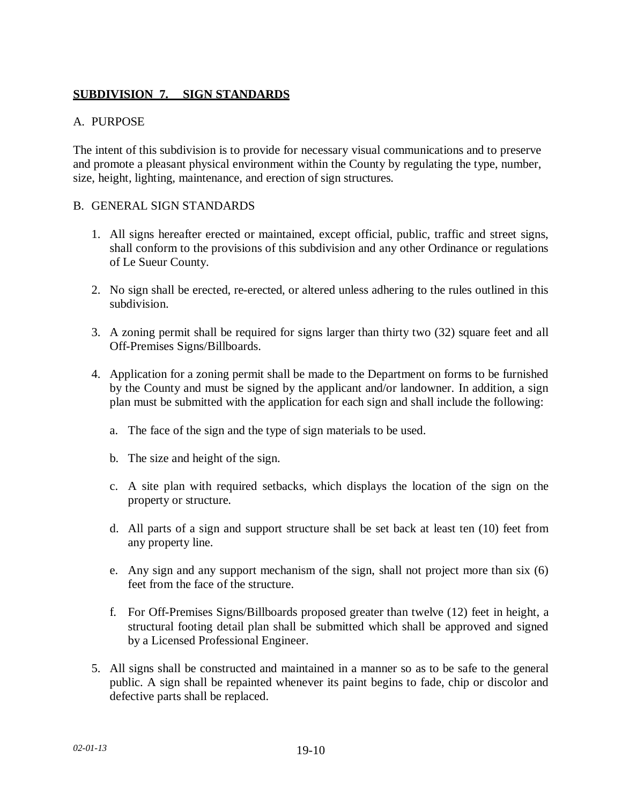# **SUBDIVISION 7. SIGN STANDARDS**

### A. PURPOSE

The intent of this subdivision is to provide for necessary visual communications and to preserve and promote a pleasant physical environment within the County by regulating the type, number, size, height, lighting, maintenance, and erection of sign structures.

### B. GENERAL SIGN STANDARDS

- 1. All signs hereafter erected or maintained, except official, public, traffic and street signs, shall conform to the provisions of this subdivision and any other Ordinance or regulations of Le Sueur County.
- 2. No sign shall be erected, re-erected, or altered unless adhering to the rules outlined in this subdivision.
- 3. A zoning permit shall be required for signs larger than thirty two (32) square feet and all Off-Premises Signs/Billboards.
- 4. Application for a zoning permit shall be made to the Department on forms to be furnished by the County and must be signed by the applicant and/or landowner. In addition, a sign plan must be submitted with the application for each sign and shall include the following:
	- a. The face of the sign and the type of sign materials to be used.
	- b. The size and height of the sign.
	- c. A site plan with required setbacks, which displays the location of the sign on the property or structure.
	- d. All parts of a sign and support structure shall be set back at least ten (10) feet from any property line.
	- e. Any sign and any support mechanism of the sign, shall not project more than six (6) feet from the face of the structure.
	- f. For Off-Premises Signs/Billboards proposed greater than twelve (12) feet in height, a structural footing detail plan shall be submitted which shall be approved and signed by a Licensed Professional Engineer.
- 5. All signs shall be constructed and maintained in a manner so as to be safe to the general public. A sign shall be repainted whenever its paint begins to fade, chip or discolor and defective parts shall be replaced.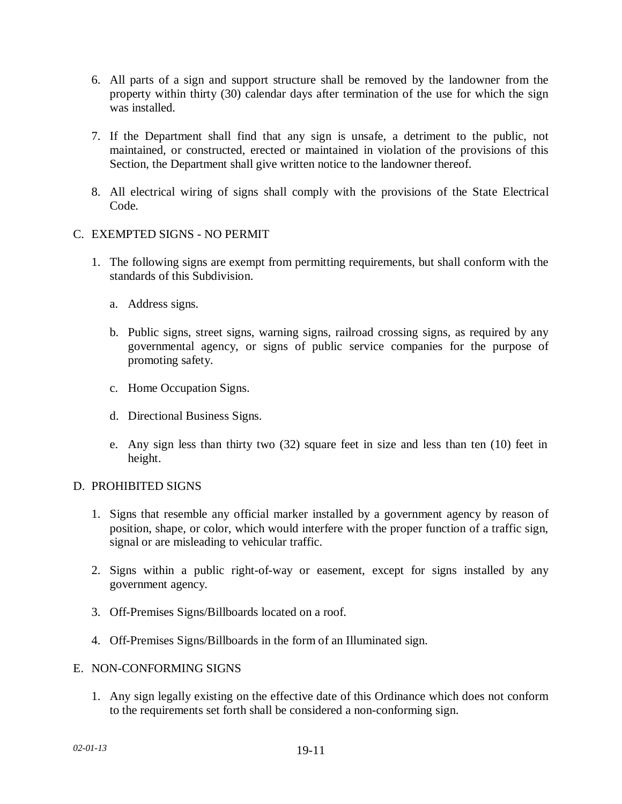- 6. All parts of a sign and support structure shall be removed by the landowner from the property within thirty (30) calendar days after termination of the use for which the sign was installed.
- 7. If the Department shall find that any sign is unsafe, a detriment to the public, not maintained, or constructed, erected or maintained in violation of the provisions of this Section, the Department shall give written notice to the landowner thereof.
- 8. All electrical wiring of signs shall comply with the provisions of the State Electrical Code.
- C. EXEMPTED SIGNS NO PERMIT
	- 1. The following signs are exempt from permitting requirements, but shall conform with the standards of this Subdivision.
		- a. Address signs.
		- b. Public signs, street signs, warning signs, railroad crossing signs, as required by any governmental agency, or signs of public service companies for the purpose of promoting safety.
		- c. Home Occupation Signs.
		- d. Directional Business Signs.
		- e. Any sign less than thirty two (32) square feet in size and less than ten (10) feet in height.

### D. PROHIBITED SIGNS

- 1. Signs that resemble any official marker installed by a government agency by reason of position, shape, or color, which would interfere with the proper function of a traffic sign, signal or are misleading to vehicular traffic.
- 2. Signs within a public right-of-way or easement, except for signs installed by any government agency.
- 3. Off-Premises Signs/Billboards located on a roof.
- 4. Off-Premises Signs/Billboards in the form of an Illuminated sign.

### E. NON-CONFORMING SIGNS

1. Any sign legally existing on the effective date of this Ordinance which does not conform to the requirements set forth shall be considered a non-conforming sign.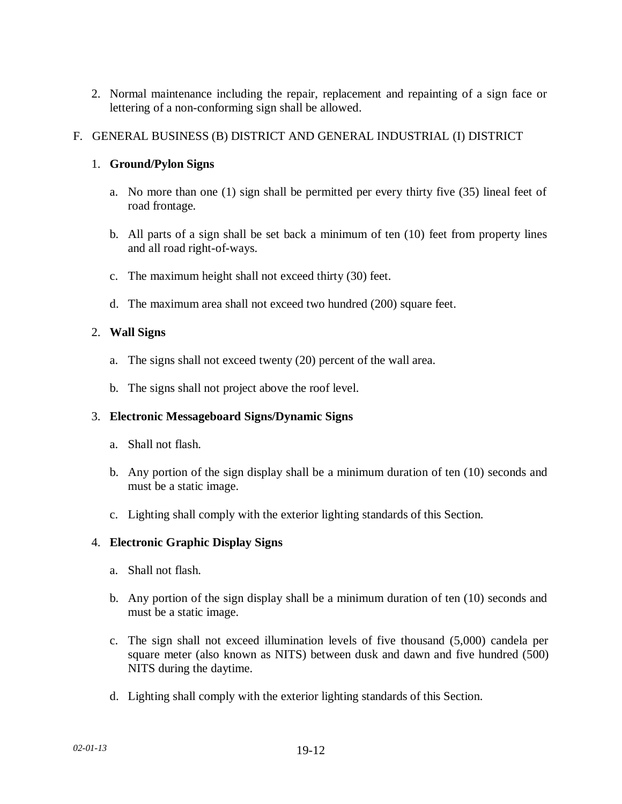2. Normal maintenance including the repair, replacement and repainting of a sign face or lettering of a non-conforming sign shall be allowed.

## F. GENERAL BUSINESS (B) DISTRICT AND GENERAL INDUSTRIAL (I) DISTRICT

## 1. **Ground/Pylon Signs**

- a. No more than one (1) sign shall be permitted per every thirty five (35) lineal feet of road frontage.
- b. All parts of a sign shall be set back a minimum of ten (10) feet from property lines and all road right-of-ways.
- c. The maximum height shall not exceed thirty (30) feet.
- d. The maximum area shall not exceed two hundred (200) square feet.

# 2. **Wall Signs**

- a. The signs shall not exceed twenty (20) percent of the wall area.
- b. The signs shall not project above the roof level.

## 3. **Electronic Messageboard Signs/Dynamic Signs**

- a. Shall not flash.
- b. Any portion of the sign display shall be a minimum duration of ten (10) seconds and must be a static image.
- c. Lighting shall comply with the exterior lighting standards of this Section.

## 4. **Electronic Graphic Display Signs**

- a. Shall not flash.
- b. Any portion of the sign display shall be a minimum duration of ten (10) seconds and must be a static image.
- c. The sign shall not exceed illumination levels of five thousand (5,000) candela per square meter (also known as NITS) between dusk and dawn and five hundred (500) NITS during the daytime.
- d. Lighting shall comply with the exterior lighting standards of this Section.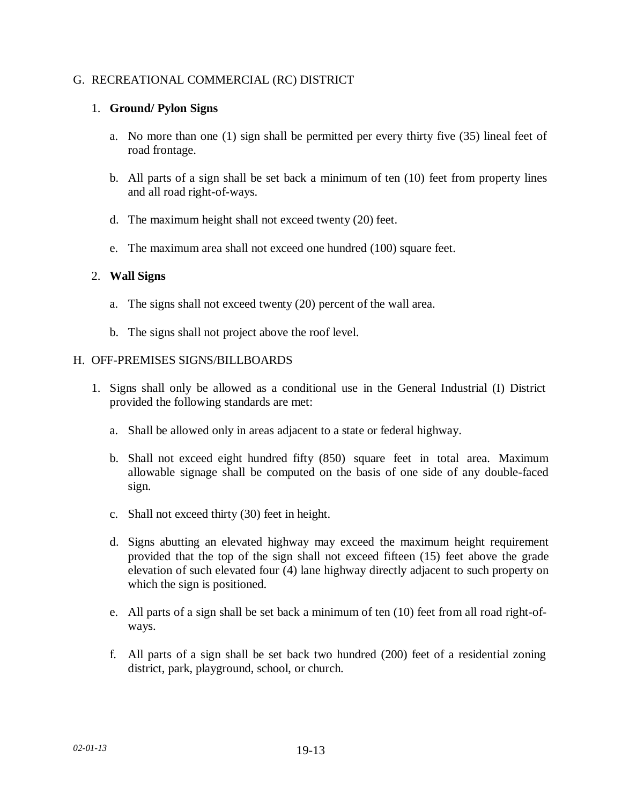### G. RECREATIONAL COMMERCIAL (RC) DISTRICT

### 1. **Ground/ Pylon Signs**

- a. No more than one (1) sign shall be permitted per every thirty five (35) lineal feet of road frontage.
- b. All parts of a sign shall be set back a minimum of ten (10) feet from property lines and all road right-of-ways.
- d. The maximum height shall not exceed twenty (20) feet.
- e. The maximum area shall not exceed one hundred (100) square feet.

## 2. **Wall Signs**

- a. The signs shall not exceed twenty (20) percent of the wall area.
- b. The signs shall not project above the roof level.

## H. OFF-PREMISES SIGNS/BILLBOARDS

- 1. Signs shall only be allowed as a conditional use in the General Industrial (I) District provided the following standards are met:
	- a. Shall be allowed only in areas adjacent to a state or federal highway.
	- b. Shall not exceed eight hundred fifty (850) square feet in total area. Maximum allowable signage shall be computed on the basis of one side of any double-faced sign.
	- c. Shall not exceed thirty (30) feet in height.
	- d. Signs abutting an elevated highway may exceed the maximum height requirement provided that the top of the sign shall not exceed fifteen (15) feet above the grade elevation of such elevated four (4) lane highway directly adjacent to such property on which the sign is positioned.
	- e. All parts of a sign shall be set back a minimum of ten (10) feet from all road right-ofways.
	- f. All parts of a sign shall be set back two hundred (200) feet of a residential zoning district, park, playground, school, or church.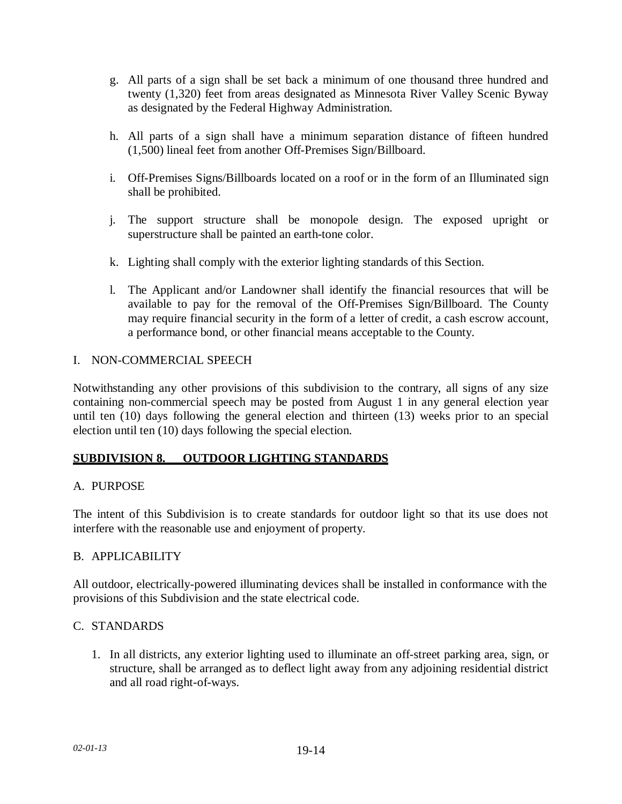- g. All parts of a sign shall be set back a minimum of one thousand three hundred and twenty (1,320) feet from areas designated as Minnesota River Valley Scenic Byway as designated by the Federal Highway Administration.
- h. All parts of a sign shall have a minimum separation distance of fifteen hundred (1,500) lineal feet from another Off-Premises Sign/Billboard.
- i. Off-Premises Signs/Billboards located on a roof or in the form of an Illuminated sign shall be prohibited.
- j. The support structure shall be monopole design. The exposed upright or superstructure shall be painted an earth-tone color.
- k. Lighting shall comply with the exterior lighting standards of this Section.
- l. The Applicant and/or Landowner shall identify the financial resources that will be available to pay for the removal of the Off-Premises Sign/Billboard. The County may require financial security in the form of a letter of credit, a cash escrow account, a performance bond, or other financial means acceptable to the County.

## I. NON-COMMERCIAL SPEECH

Notwithstanding any other provisions of this subdivision to the contrary, all signs of any size containing non-commercial speech may be posted from August 1 in any general election year until ten (10) days following the general election and thirteen (13) weeks prior to an special election until ten (10) days following the special election.

## **SUBDIVISION 8. OUTDOOR LIGHTING STANDARDS**

## A. PURPOSE

The intent of this Subdivision is to create standards for outdoor light so that its use does not interfere with the reasonable use and enjoyment of property.

## B. APPLICABILITY

All outdoor, electrically-powered illuminating devices shall be installed in conformance with the provisions of this Subdivision and the state electrical code.

## C. STANDARDS

1. In all districts, any exterior lighting used to illuminate an off-street parking area, sign, or structure, shall be arranged as to deflect light away from any adjoining residential district and all road right-of-ways.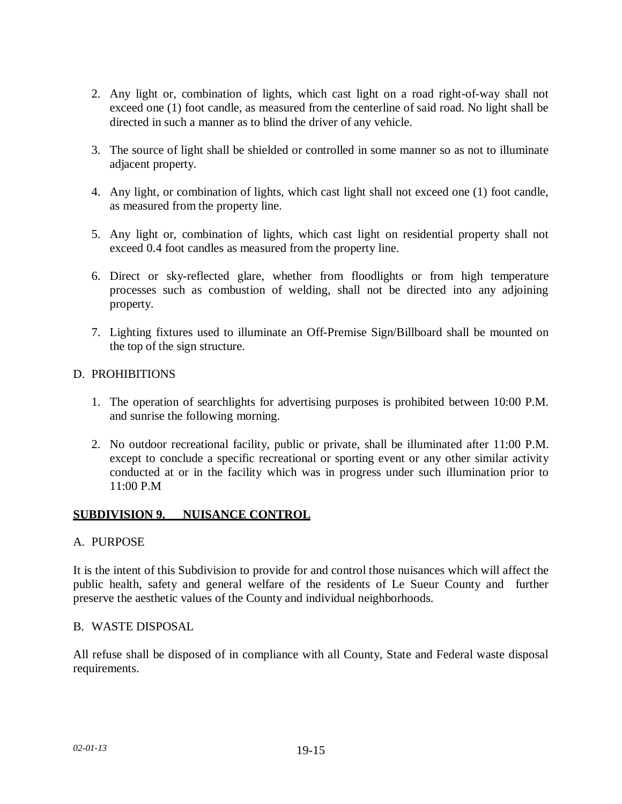- 2. Any light or, combination of lights, which cast light on a road right-of-way shall not exceed one (1) foot candle, as measured from the centerline of said road. No light shall be directed in such a manner as to blind the driver of any vehicle.
- 3. The source of light shall be shielded or controlled in some manner so as not to illuminate adjacent property.
- 4. Any light, or combination of lights, which cast light shall not exceed one (1) foot candle, as measured from the property line.
- 5. Any light or, combination of lights, which cast light on residential property shall not exceed 0.4 foot candles as measured from the property line.
- 6. Direct or sky-reflected glare, whether from floodlights or from high temperature processes such as combustion of welding, shall not be directed into any adjoining property.
- 7. Lighting fixtures used to illuminate an Off-Premise Sign/Billboard shall be mounted on the top of the sign structure.

## D. PROHIBITIONS

- 1. The operation of searchlights for advertising purposes is prohibited between 10:00 P.M. and sunrise the following morning.
- 2. No outdoor recreational facility, public or private, shall be illuminated after 11:00 P.M. except to conclude a specific recreational or sporting event or any other similar activity conducted at or in the facility which was in progress under such illumination prior to 11:00 P.M

## **SUBDIVISION 9. NUISANCE CONTROL**

### A. PURPOSE

It is the intent of this Subdivision to provide for and control those nuisances which will affect the public health, safety and general welfare of the residents of Le Sueur County and further preserve the aesthetic values of the County and individual neighborhoods.

### B. WASTE DISPOSAL

All refuse shall be disposed of in compliance with all County, State and Federal waste disposal requirements.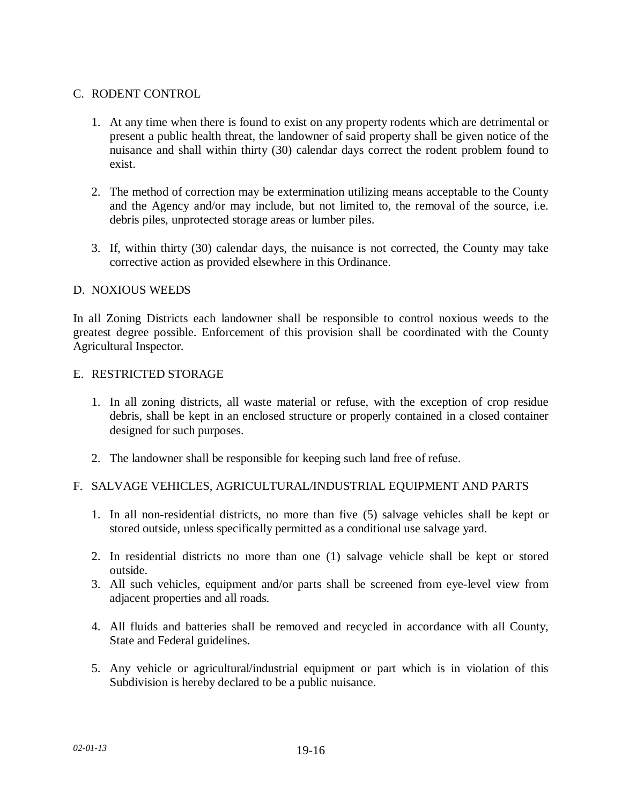## C. RODENT CONTROL

- 1. At any time when there is found to exist on any property rodents which are detrimental or present a public health threat, the landowner of said property shall be given notice of the nuisance and shall within thirty (30) calendar days correct the rodent problem found to exist.
- 2. The method of correction may be extermination utilizing means acceptable to the County and the Agency and/or may include, but not limited to, the removal of the source, i.e. debris piles, unprotected storage areas or lumber piles.
- 3. If, within thirty (30) calendar days, the nuisance is not corrected, the County may take corrective action as provided elsewhere in this Ordinance.

## D. NOXIOUS WEEDS

In all Zoning Districts each landowner shall be responsible to control noxious weeds to the greatest degree possible. Enforcement of this provision shall be coordinated with the County Agricultural Inspector.

### E. RESTRICTED STORAGE

- 1. In all zoning districts, all waste material or refuse, with the exception of crop residue debris, shall be kept in an enclosed structure or properly contained in a closed container designed for such purposes.
- 2. The landowner shall be responsible for keeping such land free of refuse.

## F. SALVAGE VEHICLES, AGRICULTURAL/INDUSTRIAL EQUIPMENT AND PARTS

- 1. In all non-residential districts, no more than five (5) salvage vehicles shall be kept or stored outside, unless specifically permitted as a conditional use salvage yard.
- 2. In residential districts no more than one (1) salvage vehicle shall be kept or stored outside.
- 3. All such vehicles, equipment and/or parts shall be screened from eye-level view from adjacent properties and all roads.
- 4. All fluids and batteries shall be removed and recycled in accordance with all County, State and Federal guidelines.
- 5. Any vehicle or agricultural/industrial equipment or part which is in violation of this Subdivision is hereby declared to be a public nuisance.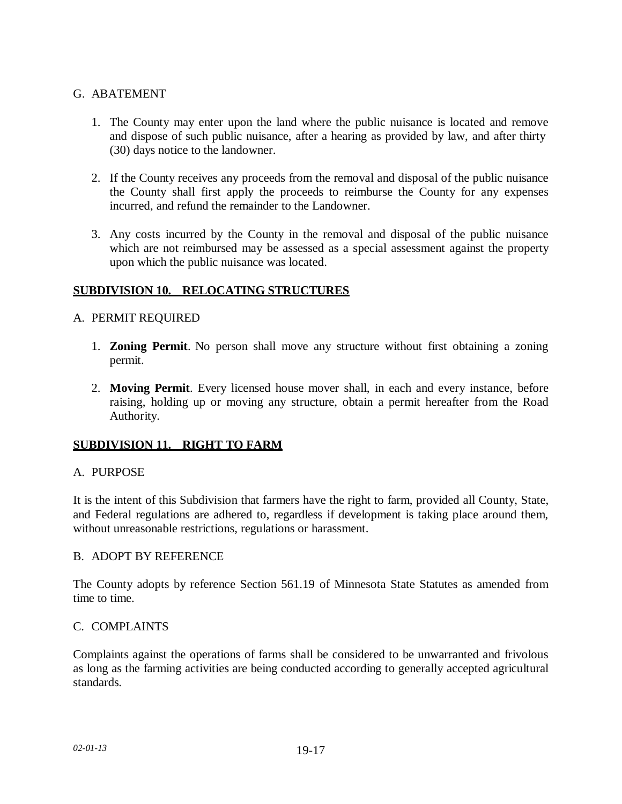## G. ABATEMENT

- 1. The County may enter upon the land where the public nuisance is located and remove and dispose of such public nuisance, after a hearing as provided by law, and after thirty (30) days notice to the landowner.
- 2. If the County receives any proceeds from the removal and disposal of the public nuisance the County shall first apply the proceeds to reimburse the County for any expenses incurred, and refund the remainder to the Landowner.
- 3. Any costs incurred by the County in the removal and disposal of the public nuisance which are not reimbursed may be assessed as a special assessment against the property upon which the public nuisance was located.

### **SUBDIVISION 10. RELOCATING STRUCTURES**

### A. PERMIT REQUIRED

- 1. **Zoning Permit**. No person shall move any structure without first obtaining a zoning permit.
- 2. **Moving Permit**. Every licensed house mover shall, in each and every instance, before raising, holding up or moving any structure, obtain a permit hereafter from the Road Authority.

## **SUBDIVISION 11. RIGHT TO FARM**

### A. PURPOSE

It is the intent of this Subdivision that farmers have the right to farm, provided all County, State, and Federal regulations are adhered to, regardless if development is taking place around them, without unreasonable restrictions, regulations or harassment.

### B. ADOPT BY REFERENCE

The County adopts by reference Section 561.19 of Minnesota State Statutes as amended from time to time.

### C. COMPLAINTS

Complaints against the operations of farms shall be considered to be unwarranted and frivolous as long as the farming activities are being conducted according to generally accepted agricultural standards.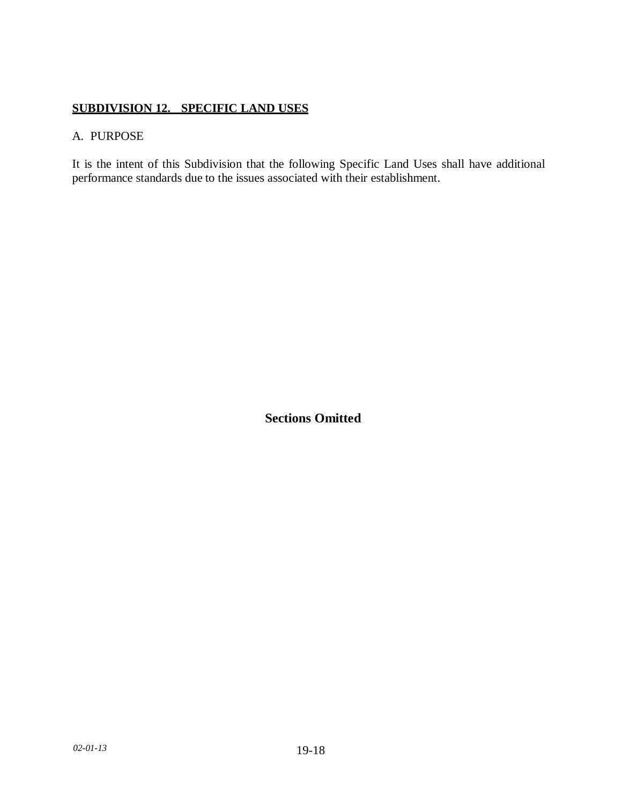# **SUBDIVISION 12. SPECIFIC LAND USES**

## A. PURPOSE

It is the intent of this Subdivision that the following Specific Land Uses shall have additional performance standards due to the issues associated with their establishment.

**Sections Omitted**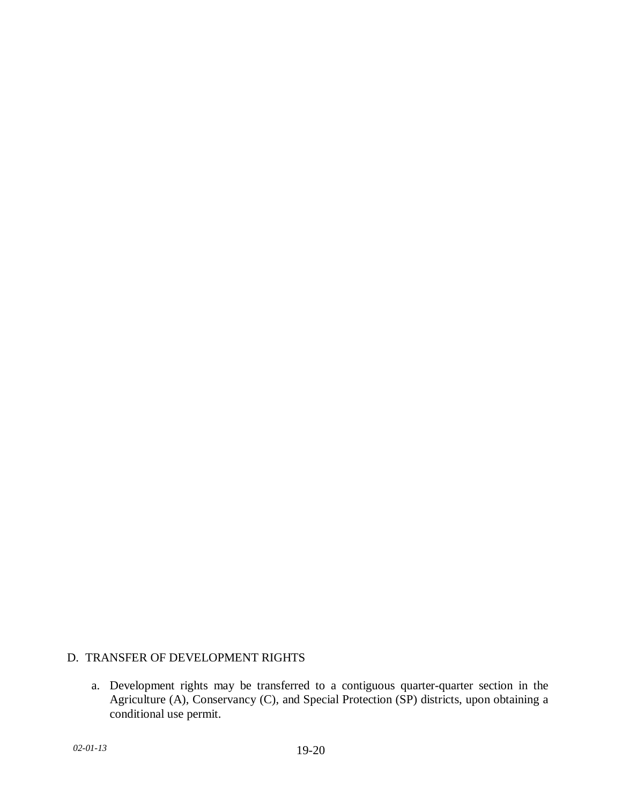## D. TRANSFER OF DEVELOPMENT RIGHTS

a. Development rights may be transferred to a contiguous quarter-quarter section in the Agriculture (A), Conservancy (C), and Special Protection (SP) districts, upon obtaining a conditional use permit.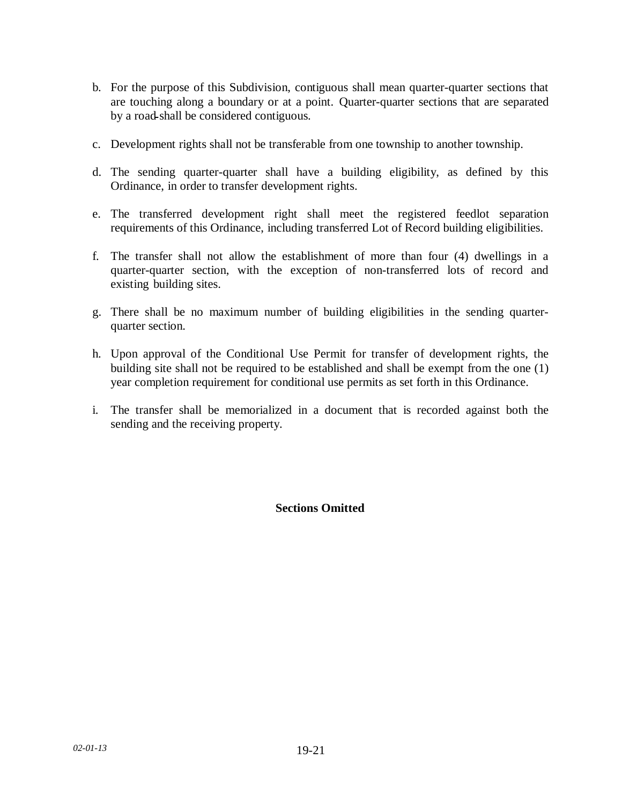- b. For the purpose of this Subdivision, contiguous shall mean quarter-quarter sections that are touching along a boundary or at a point. Quarter-quarter sections that are separated by a road shall be considered contiguous.
- c. Development rights shall not be transferable from one township to another township.
- d. The sending quarter-quarter shall have a building eligibility, as defined by this Ordinance, in order to transfer development rights.
- e. The transferred development right shall meet the registered feedlot separation requirements of this Ordinance, including transferred Lot of Record building eligibilities.
- f. The transfer shall not allow the establishment of more than four (4) dwellings in a quarter-quarter section, with the exception of non-transferred lots of record and existing building sites.
- g. There shall be no maximum number of building eligibilities in the sending quarterquarter section.
- h. Upon approval of the Conditional Use Permit for transfer of development rights, the building site shall not be required to be established and shall be exempt from the one (1) year completion requirement for conditional use permits as set forth in this Ordinance.
- i. The transfer shall be memorialized in a document that is recorded against both the sending and the receiving property.

**Sections Omitted**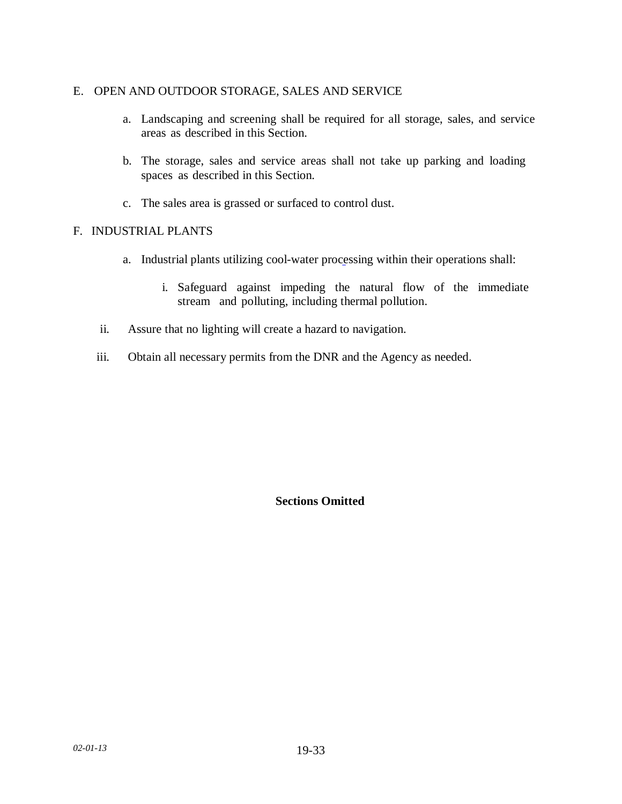### E. OPEN AND OUTDOOR STORAGE, SALES AND SERVICE

- a. Landscaping and screening shall be required for all storage, sales, and service areas as described in this Section.
- b. The storage, sales and service areas shall not take up parking and loading spaces as described in this Section.
- c. The sales area is grassed or surfaced to control dust.

## F. INDUSTRIAL PLANTS

- a. Industrial plants utilizing cool-water processing within their operations shall:
	- i. Safeguard against impeding the natural flow of the immediate stream and polluting, including thermal pollution.
- ii. Assure that no lighting will create a hazard to navigation.
- iii. Obtain all necessary permits from the DNR and the Agency as needed.

## **Sections Omitted**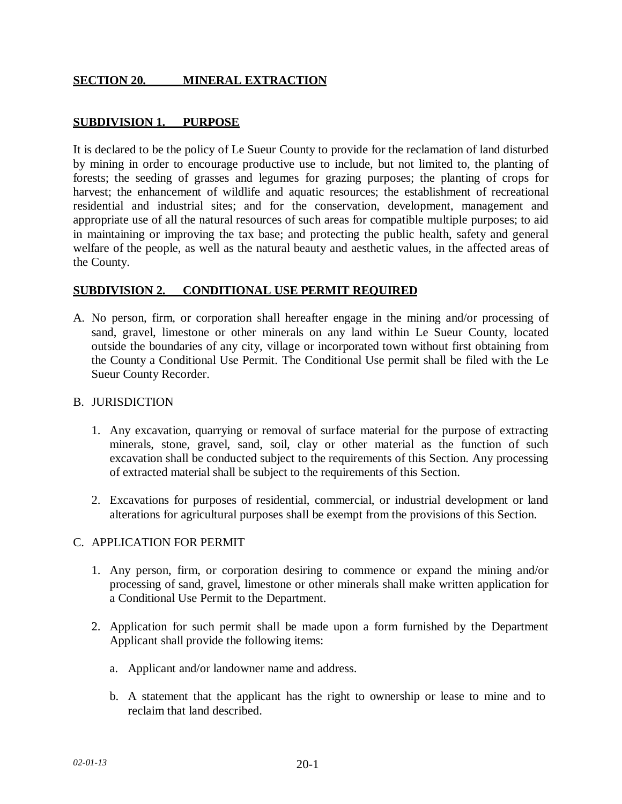## **SECTION 20. MINERAL EXTRACTION**

## **SUBDIVISION 1. PURPOSE**

It is declared to be the policy of Le Sueur County to provide for the reclamation of land disturbed by mining in order to encourage productive use to include, but not limited to, the planting of forests; the seeding of grasses and legumes for grazing purposes; the planting of crops for harvest; the enhancement of wildlife and aquatic resources; the establishment of recreational residential and industrial sites; and for the conservation, development, management and appropriate use of all the natural resources of such areas for compatible multiple purposes; to aid in maintaining or improving the tax base; and protecting the public health, safety and general welfare of the people, as well as the natural beauty and aesthetic values, in the affected areas of the County.

### **SUBDIVISION 2. CONDITIONAL USE PERMIT REQUIRED**

A. No person, firm, or corporation shall hereafter engage in the mining and/or processing of sand, gravel, limestone or other minerals on any land within Le Sueur County, located outside the boundaries of any city, village or incorporated town without first obtaining from the County a Conditional Use Permit. The Conditional Use permit shall be filed with the Le Sueur County Recorder.

#### B. JURISDICTION

- 1. Any excavation, quarrying or removal of surface material for the purpose of extracting minerals, stone, gravel, sand, soil, clay or other material as the function of such excavation shall be conducted subject to the requirements of this Section. Any processing of extracted material shall be subject to the requirements of this Section.
- 2. Excavations for purposes of residential, commercial, or industrial development or land alterations for agricultural purposes shall be exempt from the provisions of this Section.

### C. APPLICATION FOR PERMIT

- 1. Any person, firm, or corporation desiring to commence or expand the mining and/or processing of sand, gravel, limestone or other minerals shall make written application for a Conditional Use Permit to the Department.
- 2. Application for such permit shall be made upon a form furnished by the Department Applicant shall provide the following items:
	- a. Applicant and/or landowner name and address.
	- b. A statement that the applicant has the right to ownership or lease to mine and to reclaim that land described.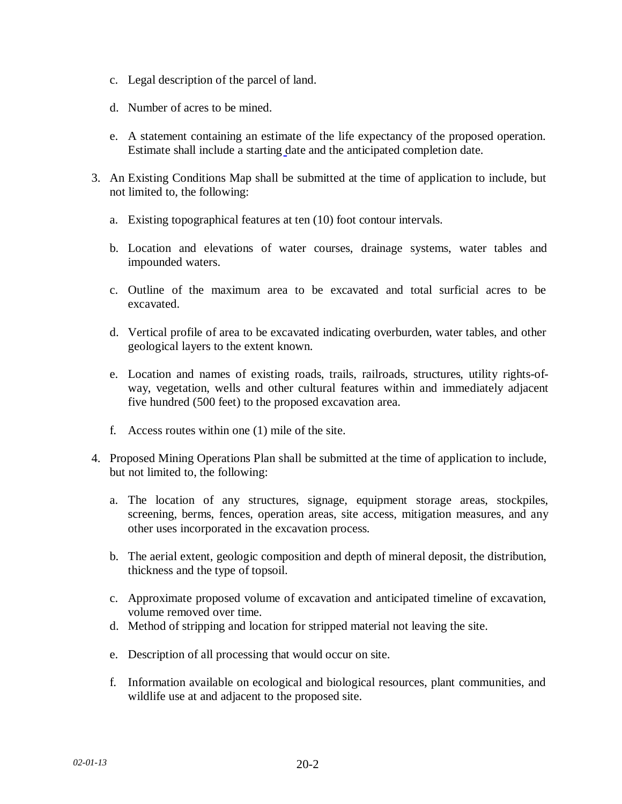- c. Legal description of the parcel of land.
- d. Number of acres to be mined.
- e. A statement containing an estimate of the life expectancy of the proposed operation. Estimate shall include a starting date and the anticipated completion date.
- 3. An Existing Conditions Map shall be submitted at the time of application to include, but not limited to, the following:
	- a. Existing topographical features at ten (10) foot contour intervals.
	- b. Location and elevations of water courses, drainage systems, water tables and impounded waters.
	- c. Outline of the maximum area to be excavated and total surficial acres to be excavated.
	- d. Vertical profile of area to be excavated indicating overburden, water tables, and other geological layers to the extent known.
	- e. Location and names of existing roads, trails, railroads, structures, utility rights-ofway, vegetation, wells and other cultural features within and immediately adjacent five hundred (500 feet) to the proposed excavation area.
	- f. Access routes within one (1) mile of the site.
- 4. Proposed Mining Operations Plan shall be submitted at the time of application to include, but not limited to, the following:
	- a. The location of any structures, signage, equipment storage areas, stockpiles, screening, berms, fences, operation areas, site access, mitigation measures, and any other uses incorporated in the excavation process.
	- b. The aerial extent, geologic composition and depth of mineral deposit, the distribution, thickness and the type of topsoil.
	- c. Approximate proposed volume of excavation and anticipated timeline of excavation, volume removed over time.
	- d. Method of stripping and location for stripped material not leaving the site.
	- e. Description of all processing that would occur on site.
	- f. Information available on ecological and biological resources, plant communities, and wildlife use at and adjacent to the proposed site.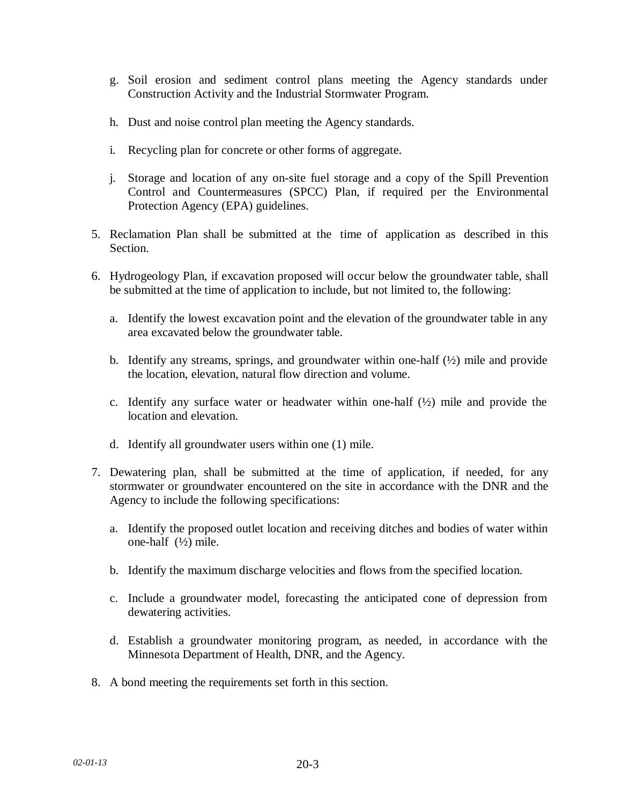- g. Soil erosion and sediment control plans meeting the Agency standards under Construction Activity and the Industrial Stormwater Program.
- h. Dust and noise control plan meeting the Agency standards.
- i. Recycling plan for concrete or other forms of aggregate.
- j. Storage and location of any on-site fuel storage and a copy of the Spill Prevention Control and Countermeasures (SPCC) Plan, if required per the Environmental Protection Agency (EPA) guidelines.
- 5. Reclamation Plan shall be submitted at the time of application as described in this Section.
- 6. Hydrogeology Plan, if excavation proposed will occur below the groundwater table, shall be submitted at the time of application to include, but not limited to, the following:
	- a. Identify the lowest excavation point and the elevation of the groundwater table in any area excavated below the groundwater table.
	- b. Identify any streams, springs, and groundwater within one-half  $(\frac{1}{2})$  mile and provide the location, elevation, natural flow direction and volume.
	- c. Identify any surface water or headwater within one-half  $(\frac{1}{2})$  mile and provide the location and elevation.
	- d. Identify all groundwater users within one (1) mile.
- 7. Dewatering plan, shall be submitted at the time of application, if needed, for any stormwater or groundwater encountered on the site in accordance with the DNR and the Agency to include the following specifications:
	- a. Identify the proposed outlet location and receiving ditches and bodies of water within one-half (½) mile.
	- b. Identify the maximum discharge velocities and flows from the specified location.
	- c. Include a groundwater model, forecasting the anticipated cone of depression from dewatering activities.
	- d. Establish a groundwater monitoring program, as needed, in accordance with the Minnesota Department of Health, DNR, and the Agency.
- 8. A bond meeting the requirements set forth in this section.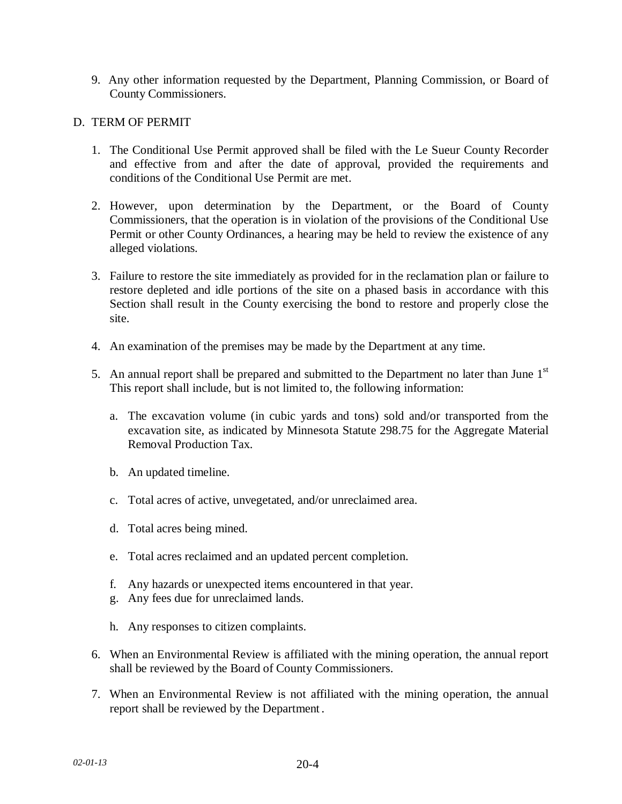9. Any other information requested by the Department, Planning Commission, or Board of County Commissioners.

## D. TERM OF PERMIT

- 1. The Conditional Use Permit approved shall be filed with the Le Sueur County Recorder and effective from and after the date of approval, provided the requirements and conditions of the Conditional Use Permit are met.
- 2. However, upon determination by the Department, or the Board of County Commissioners, that the operation is in violation of the provisions of the Conditional Use Permit or other County Ordinances, a hearing may be held to review the existence of any alleged violations.
- 3. Failure to restore the site immediately as provided for in the reclamation plan or failure to restore depleted and idle portions of the site on a phased basis in accordance with this Section shall result in the County exercising the bond to restore and properly close the site.
- 4. An examination of the premises may be made by the Department at any time.
- 5. An annual report shall be prepared and submitted to the Department no later than June  $1<sup>st</sup>$ This report shall include, but is not limited to, the following information:
	- a. The excavation volume (in cubic yards and tons) sold and/or transported from the excavation site, as indicated by Minnesota Statute 298.75 for the Aggregate Material Removal Production Tax.
	- b. An updated timeline.
	- c. Total acres of active, unvegetated, and/or unreclaimed area.
	- d. Total acres being mined.
	- e. Total acres reclaimed and an updated percent completion.
	- f. Any hazards or unexpected items encountered in that year.
	- g. Any fees due for unreclaimed lands.
	- h. Any responses to citizen complaints.
- 6. When an Environmental Review is affiliated with the mining operation, the annual report shall be reviewed by the Board of County Commissioners.
- 7. When an Environmental Review is not affiliated with the mining operation, the annual report shall be reviewed by the Department.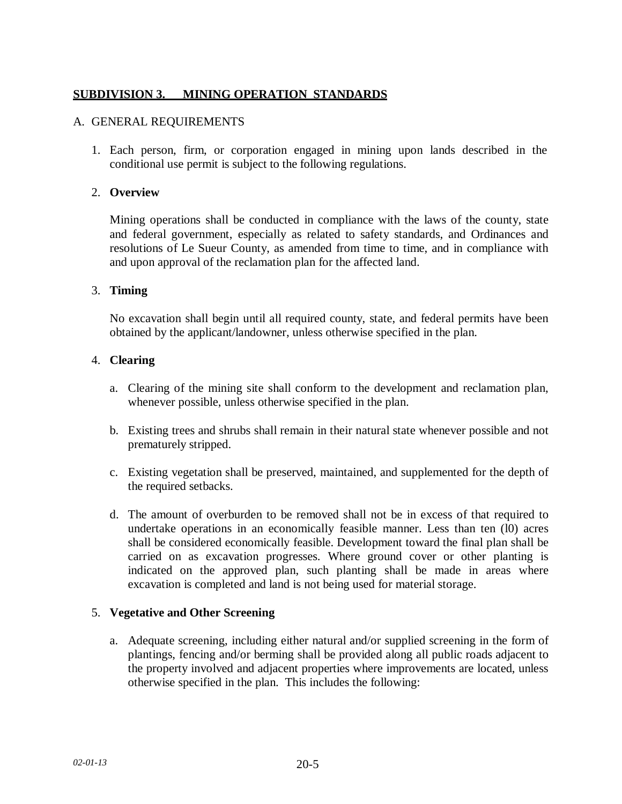# **SUBDIVISION 3. MINING OPERATION\_STANDARDS**

#### A. GENERAL REQUIREMENTS

1. Each person, firm, or corporation engaged in mining upon lands described in the conditional use permit is subject to the following regulations.

### 2. **Overview**

Mining operations shall be conducted in compliance with the laws of the county, state and federal government, especially as related to safety standards, and Ordinances and resolutions of Le Sueur County, as amended from time to time, and in compliance with and upon approval of the reclamation plan for the affected land.

### 3. **Timing**

No excavation shall begin until all required county, state, and federal permits have been obtained by the applicant/landowner, unless otherwise specified in the plan.

## 4. **Clearing**

- a. Clearing of the mining site shall conform to the development and reclamation plan, whenever possible, unless otherwise specified in the plan.
- b. Existing trees and shrubs shall remain in their natural state whenever possible and not prematurely stripped.
- c. Existing vegetation shall be preserved, maintained, and supplemented for the depth of the required setbacks.
- d. The amount of overburden to be removed shall not be in excess of that required to undertake operations in an economically feasible manner. Less than ten (l0) acres shall be considered economically feasible. Development toward the final plan shall be carried on as excavation progresses. Where ground cover or other planting is indicated on the approved plan, such planting shall be made in areas where excavation is completed and land is not being used for material storage.

### 5. **Vegetative and Other Screening**

a. Adequate screening, including either natural and/or supplied screening in the form of plantings, fencing and/or berming shall be provided along all public roads adjacent to the property involved and adjacent properties where improvements are located, unless otherwise specified in the plan. This includes the following: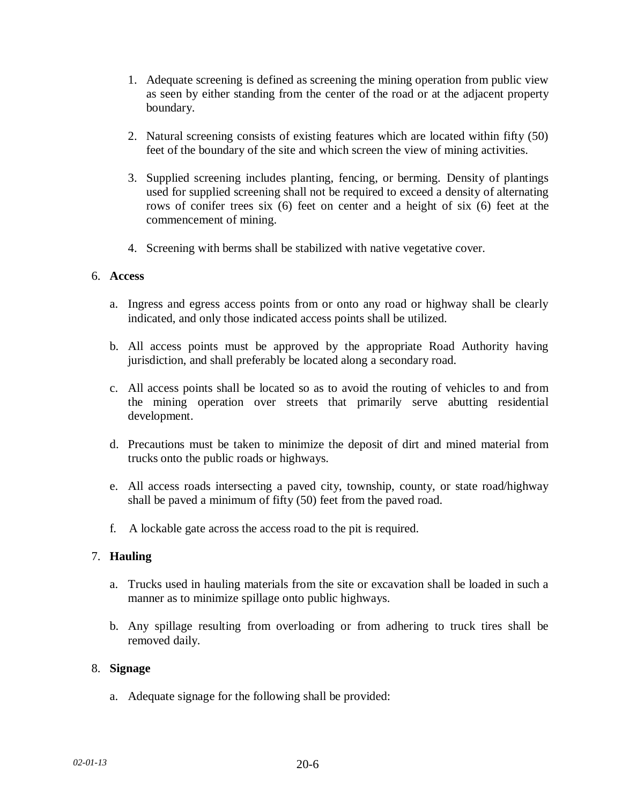- 1. Adequate screening is defined as screening the mining operation from public view as seen by either standing from the center of the road or at the adjacent property boundary.
- 2. Natural screening consists of existing features which are located within fifty (50) feet of the boundary of the site and which screen the view of mining activities.
- 3. Supplied screening includes planting, fencing, or berming. Density of plantings used for supplied screening shall not be required to exceed a density of alternating rows of conifer trees six (6) feet on center and a height of six (6) feet at the commencement of mining.
- 4. Screening with berms shall be stabilized with native vegetative cover.

### 6. **Access**

- a. Ingress and egress access points from or onto any road or highway shall be clearly indicated, and only those indicated access points shall be utilized.
- b. All access points must be approved by the appropriate Road Authority having jurisdiction, and shall preferably be located along a secondary road.
- c. All access points shall be located so as to avoid the routing of vehicles to and from the mining operation over streets that primarily serve abutting residential development.
- d. Precautions must be taken to minimize the deposit of dirt and mined material from trucks onto the public roads or highways.
- e. All access roads intersecting a paved city, township, county, or state road/highway shall be paved a minimum of fifty (50) feet from the paved road.
- f. A lockable gate across the access road to the pit is required.

### 7. **Hauling**

- a. Trucks used in hauling materials from the site or excavation shall be loaded in such a manner as to minimize spillage onto public highways.
- b. Any spillage resulting from overloading or from adhering to truck tires shall be removed daily.

### 8. **Signage**

a. Adequate signage for the following shall be provided: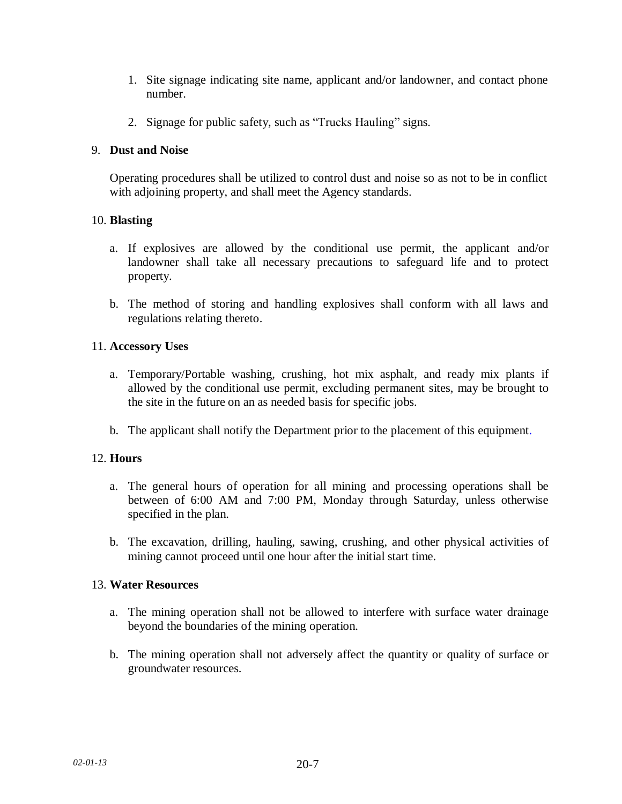- 1. Site signage indicating site name, applicant and/or landowner, and contact phone number.
- 2. Signage for public safety, such as "Trucks Hauling" signs.

### 9. **Dust and Noise**

Operating procedures shall be utilized to control dust and noise so as not to be in conflict with adjoining property, and shall meet the Agency standards.

## 10. **Blasting**

- a. If explosives are allowed by the conditional use permit, the applicant and/or landowner shall take all necessary precautions to safeguard life and to protect property.
- b. The method of storing and handling explosives shall conform with all laws and regulations relating thereto.

## 11. **Accessory Uses**

- a. Temporary/Portable washing, crushing, hot mix asphalt, and ready mix plants if allowed by the conditional use permit, excluding permanent sites, may be brought to the site in the future on an as needed basis for specific jobs.
- b. The applicant shall notify the Department prior to the placement of this equipment.

### 12. **Hours**

- a. The general hours of operation for all mining and processing operations shall be between of 6:00 AM and 7:00 PM, Monday through Saturday, unless otherwise specified in the plan.
- b. The excavation, drilling, hauling, sawing, crushing, and other physical activities of mining cannot proceed until one hour after the initial start time.

### 13. **Water Resources**

- a. The mining operation shall not be allowed to interfere with surface water drainage beyond the boundaries of the mining operation.
- b. The mining operation shall not adversely affect the quantity or quality of surface or groundwater resources.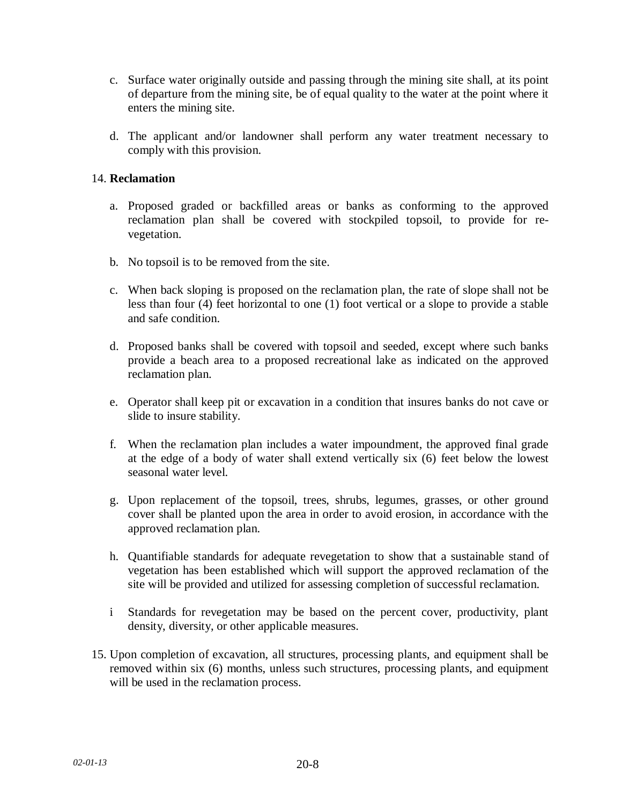- c. Surface water originally outside and passing through the mining site shall, at its point of departure from the mining site, be of equal quality to the water at the point where it enters the mining site.
- d. The applicant and/or landowner shall perform any water treatment necessary to comply with this provision.

### 14. **Reclamation**

- a. Proposed graded or backfilled areas or banks as conforming to the approved reclamation plan shall be covered with stockpiled topsoil, to provide for revegetation.
- b. No topsoil is to be removed from the site.
- c. When back sloping is proposed on the reclamation plan, the rate of slope shall not be less than four (4) feet horizontal to one (1) foot vertical or a slope to provide a stable and safe condition.
- d. Proposed banks shall be covered with topsoil and seeded, except where such banks provide a beach area to a proposed recreational lake as indicated on the approved reclamation plan.
- e. Operator shall keep pit or excavation in a condition that insures banks do not cave or slide to insure stability.
- f. When the reclamation plan includes a water impoundment, the approved final grade at the edge of a body of water shall extend vertically six (6) feet below the lowest seasonal water level.
- g. Upon replacement of the topsoil, trees, shrubs, legumes, grasses, or other ground cover shall be planted upon the area in order to avoid erosion, in accordance with the approved reclamation plan.
- h. Quantifiable standards for adequate revegetation to show that a sustainable stand of vegetation has been established which will support the approved reclamation of the site will be provided and utilized for assessing completion of successful reclamation.
- i Standards for revegetation may be based on the percent cover, productivity, plant density, diversity, or other applicable measures.
- 15. Upon completion of excavation, all structures, processing plants, and equipment shall be removed within six (6) months, unless such structures, processing plants, and equipment will be used in the reclamation process.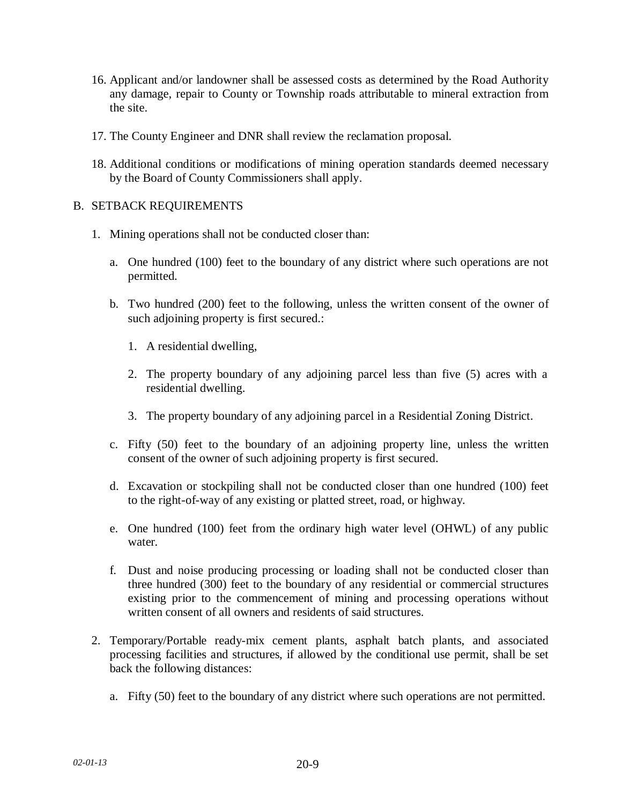- 16. Applicant and/or landowner shall be assessed costs as determined by the Road Authority any damage, repair to County or Township roads attributable to mineral extraction from the site.
- 17. The County Engineer and DNR shall review the reclamation proposal.
- 18. Additional conditions or modifications of mining operation standards deemed necessary by the Board of County Commissioners shall apply.

## B. SETBACK REQUIREMENTS

- 1. Mining operations shall not be conducted closer than:
	- a. One hundred (100) feet to the boundary of any district where such operations are not permitted.
	- b. Two hundred (200) feet to the following, unless the written consent of the owner of such adjoining property is first secured.:
		- 1. A residential dwelling,
		- 2. The property boundary of any adjoining parcel less than five (5) acres with a residential dwelling.
		- 3. The property boundary of any adjoining parcel in a Residential Zoning District.
	- c. Fifty (50) feet to the boundary of an adjoining property line, unless the written consent of the owner of such adjoining property is first secured.
	- d. Excavation or stockpiling shall not be conducted closer than one hundred (100) feet to the right-of-way of any existing or platted street, road, or highway.
	- e. One hundred (100) feet from the ordinary high water level (OHWL) of any public water.
	- f. Dust and noise producing processing or loading shall not be conducted closer than three hundred (300) feet to the boundary of any residential or commercial structures existing prior to the commencement of mining and processing operations without written consent of all owners and residents of said structures.
- 2. Temporary/Portable ready-mix cement plants, asphalt batch plants, and associated processing facilities and structures, if allowed by the conditional use permit, shall be set back the following distances:
	- a. Fifty (50) feet to the boundary of any district where such operations are not permitted.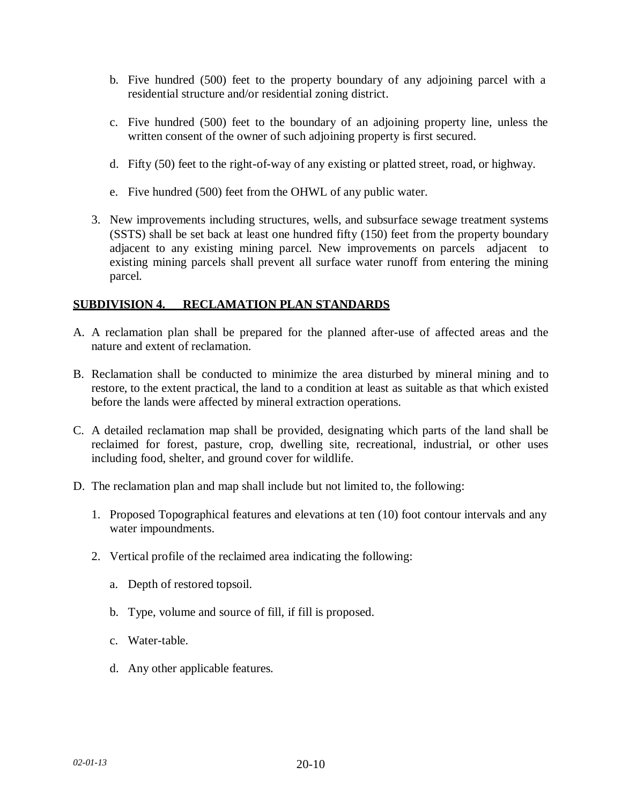- b. Five hundred (500) feet to the property boundary of any adjoining parcel with a residential structure and/or residential zoning district.
- c. Five hundred (500) feet to the boundary of an adjoining property line, unless the written consent of the owner of such adjoining property is first secured.
- d. Fifty (50) feet to the right-of-way of any existing or platted street, road, or highway.
- e. Five hundred (500) feet from the OHWL of any public water.
- 3. New improvements including structures, wells, and subsurface sewage treatment systems (SSTS) shall be set back at least one hundred fifty (150) feet from the property boundary adjacent to any existing mining parcel. New improvements on parcels adjacent to existing mining parcels shall prevent all surface water runoff from entering the mining parcel.

## **SUBDIVISION 4. RECLAMATION PLAN STANDARDS**

- A. A reclamation plan shall be prepared for the planned after-use of affected areas and the nature and extent of reclamation.
- B. Reclamation shall be conducted to minimize the area disturbed by mineral mining and to restore, to the extent practical, the land to a condition at least as suitable as that which existed before the lands were affected by mineral extraction operations.
- C. A detailed reclamation map shall be provided, designating which parts of the land shall be reclaimed for forest, pasture, crop, dwelling site, recreational, industrial, or other uses including food, shelter, and ground cover for wildlife.
- D. The reclamation plan and map shall include but not limited to, the following:
	- 1. Proposed Topographical features and elevations at ten (10) foot contour intervals and any water impoundments.
	- 2. Vertical profile of the reclaimed area indicating the following:
		- a. Depth of restored topsoil.
		- b. Type, volume and source of fill, if fill is proposed.
		- c. Water-table.
		- d. Any other applicable features.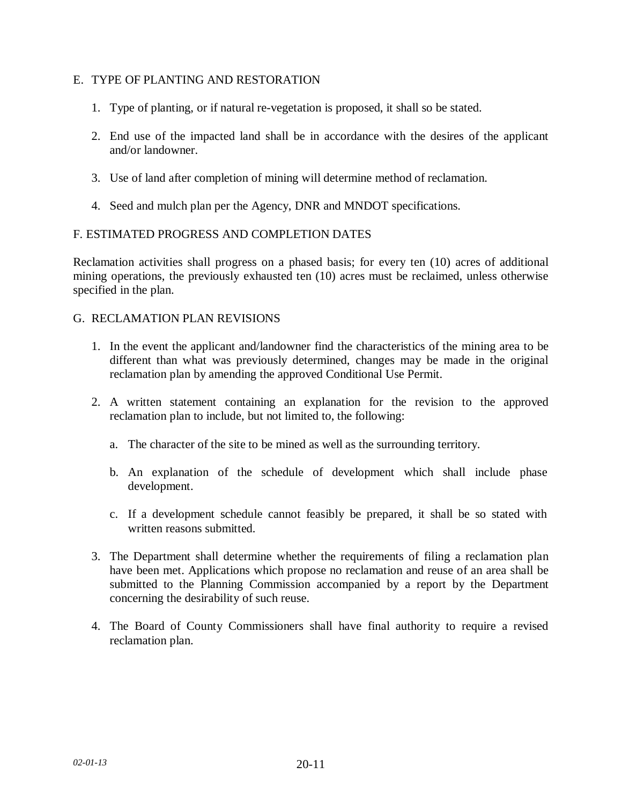### E. TYPE OF PLANTING AND RESTORATION

- 1. Type of planting, or if natural re-vegetation is proposed, it shall so be stated.
- 2. End use of the impacted land shall be in accordance with the desires of the applicant and/or landowner.
- 3. Use of land after completion of mining will determine method of reclamation.
- 4. Seed and mulch plan per the Agency, DNR and MNDOT specifications.

## F. ESTIMATED PROGRESS AND COMPLETION DATES

Reclamation activities shall progress on a phased basis; for every ten (10) acres of additional mining operations, the previously exhausted ten (10) acres must be reclaimed, unless otherwise specified in the plan.

## G. RECLAMATION PLAN REVISIONS

- 1. In the event the applicant and/landowner find the characteristics of the mining area to be different than what was previously determined, changes may be made in the original reclamation plan by amending the approved Conditional Use Permit.
- 2. A written statement containing an explanation for the revision to the approved reclamation plan to include, but not limited to, the following:
	- a. The character of the site to be mined as well as the surrounding territory.
	- b. An explanation of the schedule of development which shall include phase development.
	- c. If a development schedule cannot feasibly be prepared, it shall be so stated with written reasons submitted.
- 3. The Department shall determine whether the requirements of filing a reclamation plan have been met. Applications which propose no reclamation and reuse of an area shall be submitted to the Planning Commission accompanied by a report by the Department concerning the desirability of such reuse.
- 4. The Board of County Commissioners shall have final authority to require a revised reclamation plan.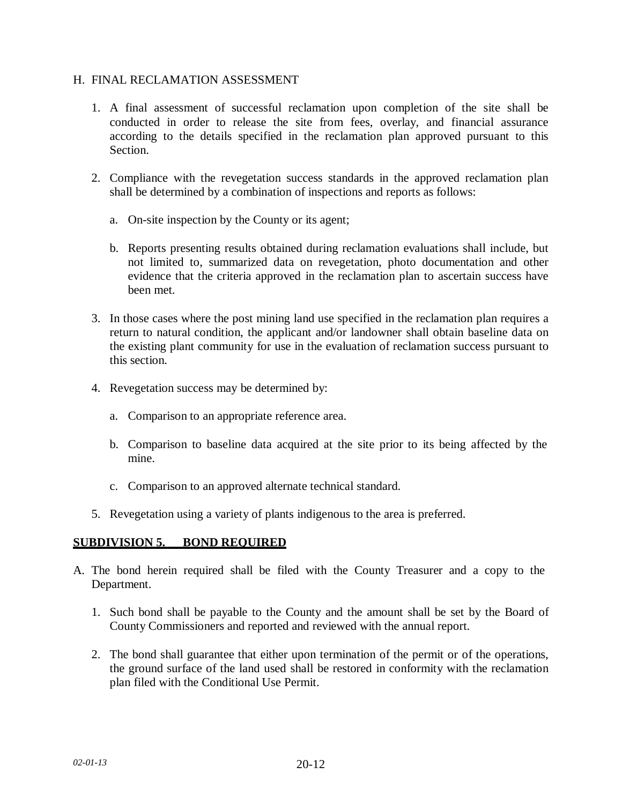#### H. FINAL RECLAMATION ASSESSMENT

- 1. A final assessment of successful reclamation upon completion of the site shall be conducted in order to release the site from fees, overlay, and financial assurance according to the details specified in the reclamation plan approved pursuant to this Section.
- 2. Compliance with the revegetation success standards in the approved reclamation plan shall be determined by a combination of inspections and reports as follows:
	- a. On-site inspection by the County or its agent;
	- b. Reports presenting results obtained during reclamation evaluations shall include, but not limited to, summarized data on revegetation, photo documentation and other evidence that the criteria approved in the reclamation plan to ascertain success have been met.
- 3. In those cases where the post mining land use specified in the reclamation plan requires a return to natural condition, the applicant and/or landowner shall obtain baseline data on the existing plant community for use in the evaluation of reclamation success pursuant to this section.
- 4. Revegetation success may be determined by:
	- a. Comparison to an appropriate reference area.
	- b. Comparison to baseline data acquired at the site prior to its being affected by the mine.
	- c. Comparison to an approved alternate technical standard.
- 5. Revegetation using a variety of plants indigenous to the area is preferred.

## **SUBDIVISION 5. BOND REQUIRED**

- A. The bond herein required shall be filed with the County Treasurer and a copy to the Department.
	- 1. Such bond shall be payable to the County and the amount shall be set by the Board of County Commissioners and reported and reviewed with the annual report.
	- 2. The bond shall guarantee that either upon termination of the permit or of the operations, the ground surface of the land used shall be restored in conformity with the reclamation plan filed with the Conditional Use Permit.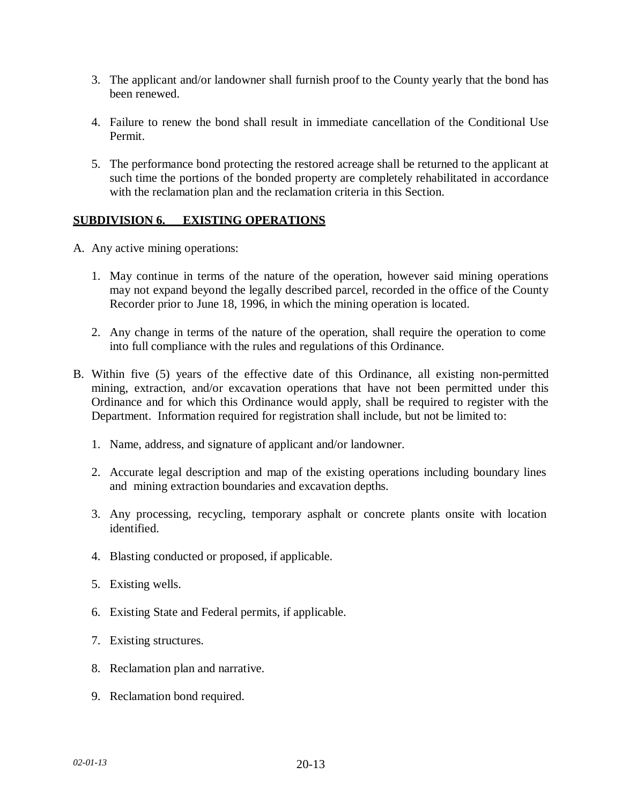- 3. The applicant and/or landowner shall furnish proof to the County yearly that the bond has been renewed.
- 4. Failure to renew the bond shall result in immediate cancellation of the Conditional Use Permit.
- 5. The performance bond protecting the restored acreage shall be returned to the applicant at such time the portions of the bonded property are completely rehabilitated in accordance with the reclamation plan and the reclamation criteria in this Section.

## **SUBDIVISION 6. EXISTING OPERATIONS**

- A. Any active mining operations:
	- 1. May continue in terms of the nature of the operation, however said mining operations may not expand beyond the legally described parcel, recorded in the office of the County Recorder prior to June 18, 1996, in which the mining operation is located.
	- 2. Any change in terms of the nature of the operation, shall require the operation to come into full compliance with the rules and regulations of this Ordinance.
- B. Within five (5) years of the effective date of this Ordinance, all existing non-permitted mining, extraction, and/or excavation operations that have not been permitted under this Ordinance and for which this Ordinance would apply, shall be required to register with the Department. Information required for registration shall include, but not be limited to:
	- 1. Name, address, and signature of applicant and/or landowner.
	- 2. Accurate legal description and map of the existing operations including boundary lines and mining extraction boundaries and excavation depths.
	- 3. Any processing, recycling, temporary asphalt or concrete plants onsite with location identified.
	- 4. Blasting conducted or proposed, if applicable.
	- 5. Existing wells.
	- 6. Existing State and Federal permits, if applicable.
	- 7. Existing structures.
	- 8. Reclamation plan and narrative.
	- 9. Reclamation bond required.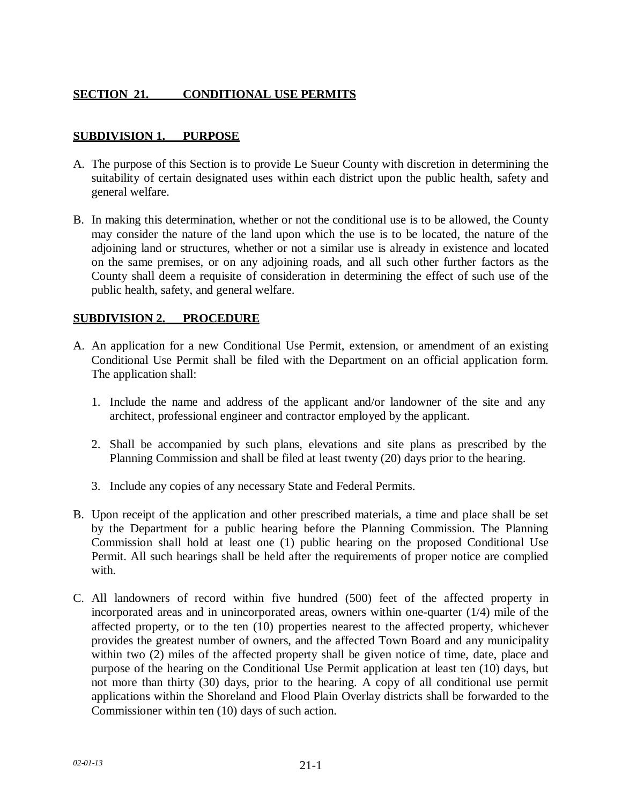# **SECTION 21. CONDITIONAL USE PERMITS**

## **SUBDIVISION 1. PURPOSE**

- A. The purpose of this Section is to provide Le Sueur County with discretion in determining the suitability of certain designated uses within each district upon the public health, safety and general welfare.
- B. In making this determination, whether or not the conditional use is to be allowed, the County may consider the nature of the land upon which the use is to be located, the nature of the adjoining land or structures, whether or not a similar use is already in existence and located on the same premises, or on any adjoining roads, and all such other further factors as the County shall deem a requisite of consideration in determining the effect of such use of the public health, safety, and general welfare.

## **SUBDIVISION 2. PROCEDURE**

- A. An application for a new Conditional Use Permit, extension, or amendment of an existing Conditional Use Permit shall be filed with the Department on an official application form. The application shall:
	- 1. Include the name and address of the applicant and/or landowner of the site and any architect, professional engineer and contractor employed by the applicant.
	- 2. Shall be accompanied by such plans, elevations and site plans as prescribed by the Planning Commission and shall be filed at least twenty (20) days prior to the hearing.
	- 3. Include any copies of any necessary State and Federal Permits.
- B. Upon receipt of the application and other prescribed materials, a time and place shall be set by the Department for a public hearing before the Planning Commission. The Planning Commission shall hold at least one (1) public hearing on the proposed Conditional Use Permit. All such hearings shall be held after the requirements of proper notice are complied with.
- C. All landowners of record within five hundred (500) feet of the affected property in incorporated areas and in unincorporated areas, owners within one-quarter (1/4) mile of the affected property, or to the ten (10) properties nearest to the affected property, whichever provides the greatest number of owners, and the affected Town Board and any municipality within two (2) miles of the affected property shall be given notice of time, date, place and purpose of the hearing on the Conditional Use Permit application at least ten (10) days, but not more than thirty (30) days, prior to the hearing. A copy of all conditional use permit applications within the Shoreland and Flood Plain Overlay districts shall be forwarded to the Commissioner within ten (10) days of such action.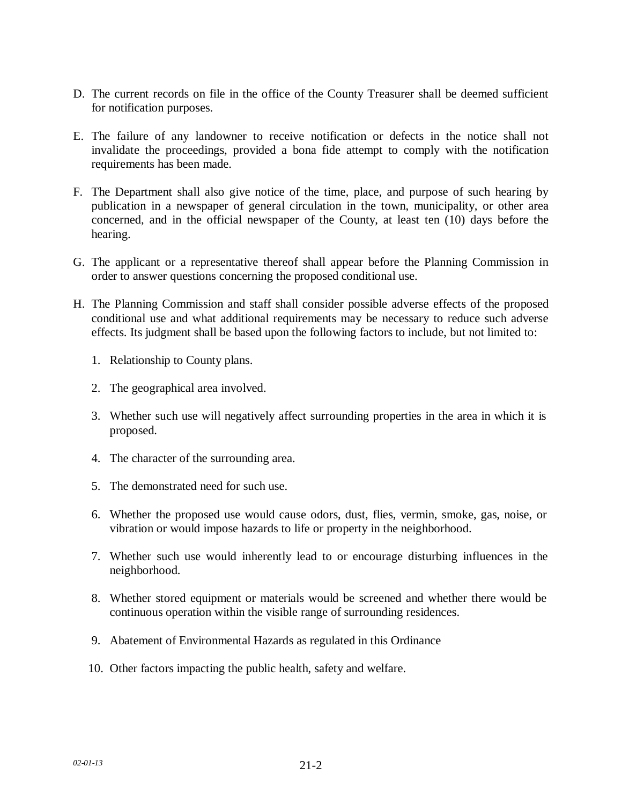- D. The current records on file in the office of the County Treasurer shall be deemed sufficient for notification purposes.
- E. The failure of any landowner to receive notification or defects in the notice shall not invalidate the proceedings, provided a bona fide attempt to comply with the notification requirements has been made.
- F. The Department shall also give notice of the time, place, and purpose of such hearing by publication in a newspaper of general circulation in the town, municipality, or other area concerned, and in the official newspaper of the County, at least ten (10) days before the hearing.
- G. The applicant or a representative thereof shall appear before the Planning Commission in order to answer questions concerning the proposed conditional use.
- H. The Planning Commission and staff shall consider possible adverse effects of the proposed conditional use and what additional requirements may be necessary to reduce such adverse effects. Its judgment shall be based upon the following factors to include, but not limited to:
	- 1. Relationship to County plans.
	- 2. The geographical area involved.
	- 3. Whether such use will negatively affect surrounding properties in the area in which it is proposed.
	- 4. The character of the surrounding area.
	- 5. The demonstrated need for such use.
	- 6. Whether the proposed use would cause odors, dust, flies, vermin, smoke, gas, noise, or vibration or would impose hazards to life or property in the neighborhood.
	- 7. Whether such use would inherently lead to or encourage disturbing influences in the neighborhood.
	- 8. Whether stored equipment or materials would be screened and whether there would be continuous operation within the visible range of surrounding residences.
	- 9. Abatement of Environmental Hazards as regulated in this Ordinance
	- 10. Other factors impacting the public health, safety and welfare.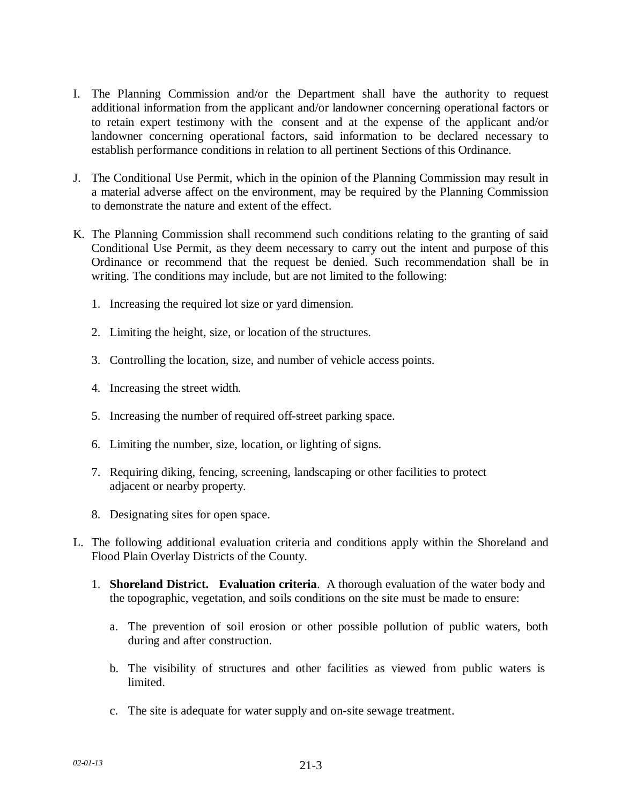- I. The Planning Commission and/or the Department shall have the authority to request additional information from the applicant and/or landowner concerning operational factors or to retain expert testimony with the consent and at the expense of the applicant and/or landowner concerning operational factors, said information to be declared necessary to establish performance conditions in relation to all pertinent Sections of this Ordinance.
- J. The Conditional Use Permit, which in the opinion of the Planning Commission may result in a material adverse affect on the environment, may be required by the Planning Commission to demonstrate the nature and extent of the effect.
- K. The Planning Commission shall recommend such conditions relating to the granting of said Conditional Use Permit, as they deem necessary to carry out the intent and purpose of this Ordinance or recommend that the request be denied. Such recommendation shall be in writing. The conditions may include, but are not limited to the following:
	- 1. Increasing the required lot size or yard dimension.
	- 2. Limiting the height, size, or location of the structures.
	- 3. Controlling the location, size, and number of vehicle access points.
	- 4. Increasing the street width.
	- 5. Increasing the number of required off-street parking space.
	- 6. Limiting the number, size, location, or lighting of signs.
	- 7. Requiring diking, fencing, screening, landscaping or other facilities to protect adjacent or nearby property.
	- 8. Designating sites for open space.
- L. The following additional evaluation criteria and conditions apply within the Shoreland and Flood Plain Overlay Districts of the County.
	- 1. **Shoreland District. Evaluation criteria**. A thorough evaluation of the water body and the topographic, vegetation, and soils conditions on the site must be made to ensure:
		- a. The prevention of soil erosion or other possible pollution of public waters, both during and after construction.
		- b. The visibility of structures and other facilities as viewed from public waters is limited.
		- c. The site is adequate for water supply and on-site sewage treatment.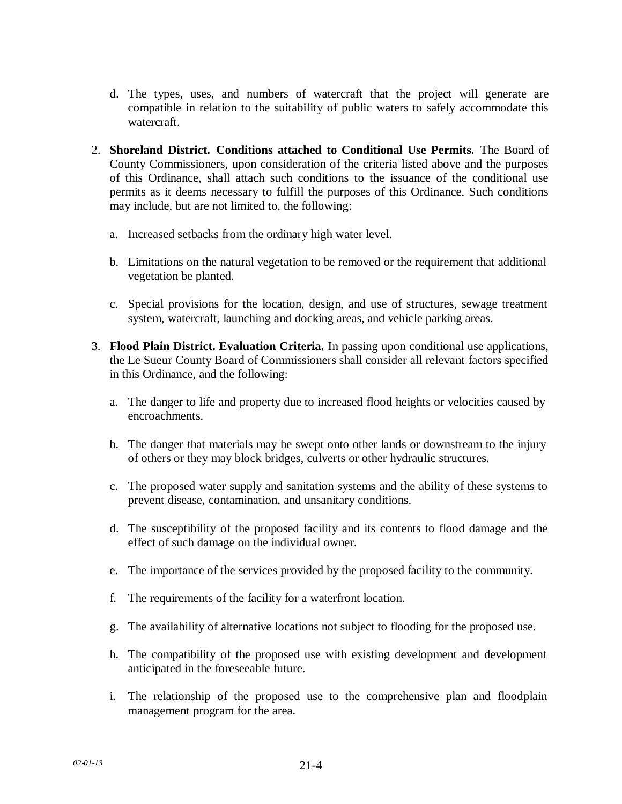- d. The types, uses, and numbers of watercraft that the project will generate are compatible in relation to the suitability of public waters to safely accommodate this watercraft.
- 2. **Shoreland District. Conditions attached to Conditional Use Permits.** The Board of County Commissioners, upon consideration of the criteria listed above and the purposes of this Ordinance, shall attach such conditions to the issuance of the conditional use permits as it deems necessary to fulfill the purposes of this Ordinance. Such conditions may include, but are not limited to, the following:
	- a. Increased setbacks from the ordinary high water level.
	- b. Limitations on the natural vegetation to be removed or the requirement that additional vegetation be planted.
	- c. Special provisions for the location, design, and use of structures, sewage treatment system, watercraft, launching and docking areas, and vehicle parking areas.
- 3. **Flood Plain District. Evaluation Criteria.** In passing upon conditional use applications, the Le Sueur County Board of Commissioners shall consider all relevant factors specified in this Ordinance, and the following:
	- a. The danger to life and property due to increased flood heights or velocities caused by encroachments.
	- b. The danger that materials may be swept onto other lands or downstream to the injury of others or they may block bridges, culverts or other hydraulic structures.
	- c. The proposed water supply and sanitation systems and the ability of these systems to prevent disease, contamination, and unsanitary conditions.
	- d. The susceptibility of the proposed facility and its contents to flood damage and the effect of such damage on the individual owner.
	- e. The importance of the services provided by the proposed facility to the community.
	- f. The requirements of the facility for a waterfront location.
	- g. The availability of alternative locations not subject to flooding for the proposed use.
	- h. The compatibility of the proposed use with existing development and development anticipated in the foreseeable future.
	- i. The relationship of the proposed use to the comprehensive plan and floodplain management program for the area.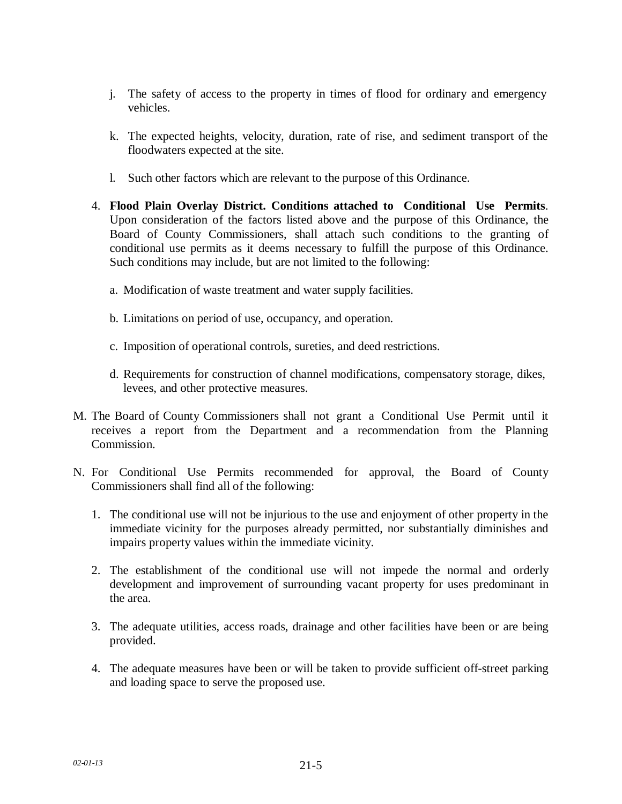- j. The safety of access to the property in times of flood for ordinary and emergency vehicles.
- k. The expected heights, velocity, duration, rate of rise, and sediment transport of the floodwaters expected at the site.
- l. Such other factors which are relevant to the purpose of this Ordinance.
- 4. **Flood Plain Overlay District. Conditions attached to Conditional Use Permits**. Upon consideration of the factors listed above and the purpose of this Ordinance, the Board of County Commissioners, shall attach such conditions to the granting of conditional use permits as it deems necessary to fulfill the purpose of this Ordinance. Such conditions may include, but are not limited to the following:
	- a. Modification of waste treatment and water supply facilities.
	- b. Limitations on period of use, occupancy, and operation.
	- c. Imposition of operational controls, sureties, and deed restrictions.
	- d. Requirements for construction of channel modifications, compensatory storage, dikes, levees, and other protective measures.
- M. The Board of County Commissioners shall not grant a Conditional Use Permit until it receives a report from the Department and a recommendation from the Planning Commission.
- N. For Conditional Use Permits recommended for approval, the Board of County Commissioners shall find all of the following:
	- 1. The conditional use will not be injurious to the use and enjoyment of other property in the immediate vicinity for the purposes already permitted, nor substantially diminishes and impairs property values within the immediate vicinity.
	- 2. The establishment of the conditional use will not impede the normal and orderly development and improvement of surrounding vacant property for uses predominant in the area.
	- 3. The adequate utilities, access roads, drainage and other facilities have been or are being provided.
	- 4. The adequate measures have been or will be taken to provide sufficient off-street parking and loading space to serve the proposed use.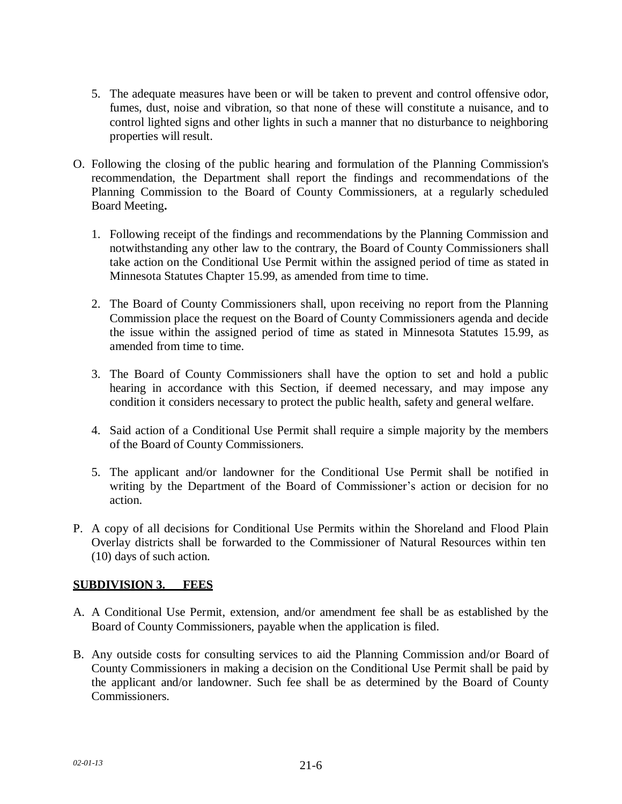- 5. The adequate measures have been or will be taken to prevent and control offensive odor, fumes, dust, noise and vibration, so that none of these will constitute a nuisance, and to control lighted signs and other lights in such a manner that no disturbance to neighboring properties will result.
- O. Following the closing of the public hearing and formulation of the Planning Commission's recommendation, the Department shall report the findings and recommendations of the Planning Commission to the Board of County Commissioners, at a regularly scheduled Board Meeting**.**
	- 1. Following receipt of the findings and recommendations by the Planning Commission and notwithstanding any other law to the contrary, the Board of County Commissioners shall take action on the Conditional Use Permit within the assigned period of time as stated in Minnesota Statutes Chapter 15.99, as amended from time to time.
	- 2. The Board of County Commissioners shall, upon receiving no report from the Planning Commission place the request on the Board of County Commissioners agenda and decide the issue within the assigned period of time as stated in Minnesota Statutes 15.99, as amended from time to time.
	- 3. The Board of County Commissioners shall have the option to set and hold a public hearing in accordance with this Section, if deemed necessary, and may impose any condition it considers necessary to protect the public health, safety and general welfare.
	- 4. Said action of a Conditional Use Permit shall require a simple majority by the members of the Board of County Commissioners.
	- 5. The applicant and/or landowner for the Conditional Use Permit shall be notified in writing by the Department of the Board of Commissioner's action or decision for no action.
- P. A copy of all decisions for Conditional Use Permits within the Shoreland and Flood Plain Overlay districts shall be forwarded to the Commissioner of Natural Resources within ten (10) days of such action.

## **SUBDIVISION 3. FEES**

- A. A Conditional Use Permit, extension, and/or amendment fee shall be as established by the Board of County Commissioners, payable when the application is filed.
- B. Any outside costs for consulting services to aid the Planning Commission and/or Board of County Commissioners in making a decision on the Conditional Use Permit shall be paid by the applicant and/or landowner. Such fee shall be as determined by the Board of County Commissioners.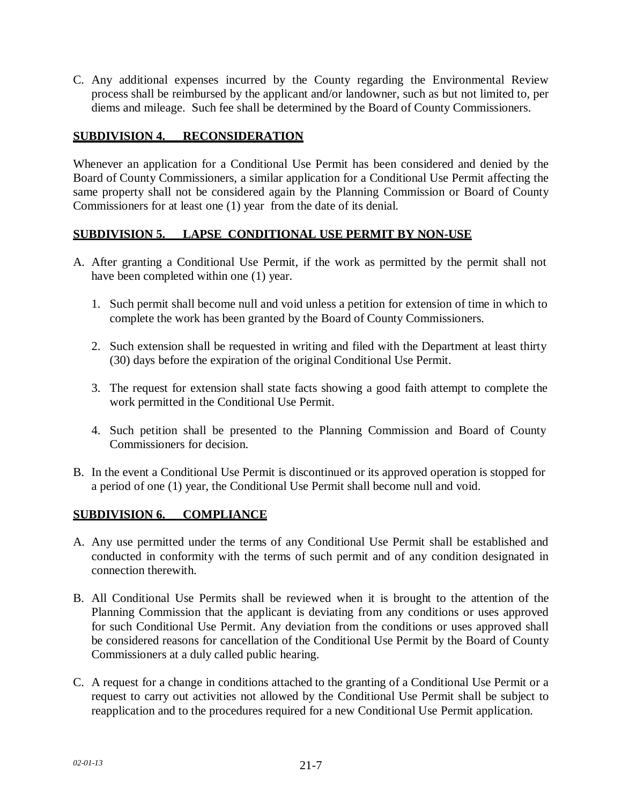C. Any additional expenses incurred by the County regarding the Environmental Review process shall be reimbursed by the applicant and/or landowner, such as but not limited to, per diems and mileage. Such fee shall be determined by the Board of County Commissioners.

## **SUBDIVISION 4. RECONSIDERATION**

Whenever an application for a Conditional Use Permit has been considered and denied by the Board of County Commissioners, a similar application for a Conditional Use Permit affecting the same property shall not be considered again by the Planning Commission or Board of County Commissioners for at least one (1) year from the date of its denial.

## **SUBDIVISION 5. LAPSE\_CONDITIONAL USE PERMIT BY NON-USE**

- A. After granting a Conditional Use Permit, if the work as permitted by the permit shall not have been completed within one (1) year.
	- 1. Such permit shall become null and void unless a petition for extension of time in which to complete the work has been granted by the Board of County Commissioners.
	- 2. Such extension shall be requested in writing and filed with the Department at least thirty (30) days before the expiration of the original Conditional Use Permit.
	- 3. The request for extension shall state facts showing a good faith attempt to complete the work permitted in the Conditional Use Permit.
	- 4. Such petition shall be presented to the Planning Commission and Board of County Commissioners for decision.
- B. In the event a Conditional Use Permit is discontinued or its approved operation is stopped for a period of one (1) year, the Conditional Use Permit shall become null and void.

## **SUBDIVISION 6. COMPLIANCE**

- A. Any use permitted under the terms of any Conditional Use Permit shall be established and conducted in conformity with the terms of such permit and of any condition designated in connection therewith.
- B. All Conditional Use Permits shall be reviewed when it is brought to the attention of the Planning Commission that the applicant is deviating from any conditions or uses approved for such Conditional Use Permit. Any deviation from the conditions or uses approved shall be considered reasons for cancellation of the Conditional Use Permit by the Board of County Commissioners at a duly called public hearing.
- C. A request for a change in conditions attached to the granting of a Conditional Use Permit or a request to carry out activities not allowed by the Conditional Use Permit shall be subject to reapplication and to the procedures required for a new Conditional Use Permit application.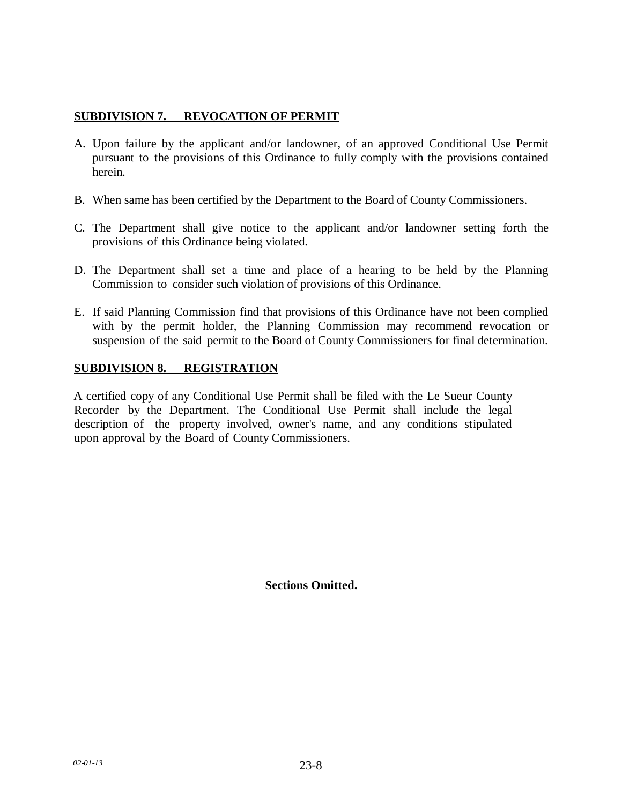### **SUBDIVISION 7. REVOCATION OF PERMIT**

- A. Upon failure by the applicant and/or landowner, of an approved Conditional Use Permit pursuant to the provisions of this Ordinance to fully comply with the provisions contained herein.
- B. When same has been certified by the Department to the Board of County Commissioners.
- C. The Department shall give notice to the applicant and/or landowner setting forth the provisions of this Ordinance being violated.
- D. The Department shall set a time and place of a hearing to be held by the Planning Commission to consider such violation of provisions of this Ordinance.
- E. If said Planning Commission find that provisions of this Ordinance have not been complied with by the permit holder, the Planning Commission may recommend revocation or suspension of the said permit to the Board of County Commissioners for final determination.

## **SUBDIVISION 8. REGISTRATION**

A certified copy of any Conditional Use Permit shall be filed with the Le Sueur County Recorder by the Department. The Conditional Use Permit shall include the legal description of the property involved, owner's name, and any conditions stipulated upon approval by the Board of County Commissioners.

**Sections Omitted.**